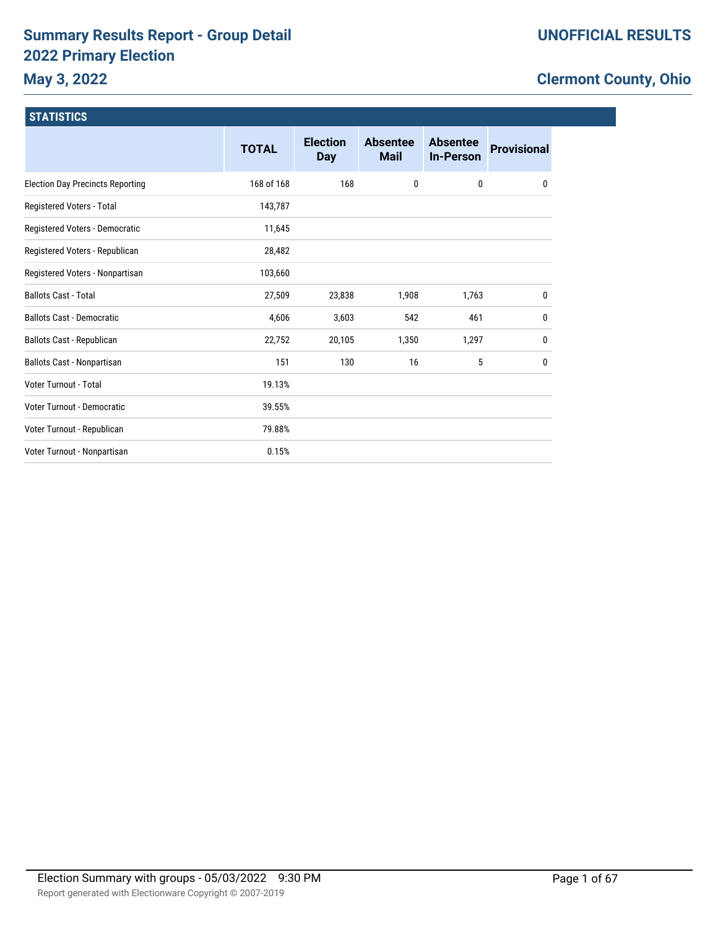# **Summary Results Report - Group Detail 2022 Primary Election**

# **May 3, 2022**

# **Clermont County, Ohio**

| <b>STATISTICS</b>                       |              |                               |                                |                                     |                    |
|-----------------------------------------|--------------|-------------------------------|--------------------------------|-------------------------------------|--------------------|
|                                         | <b>TOTAL</b> | <b>Election</b><br><b>Day</b> | <b>Absentee</b><br><b>Mail</b> | <b>Absentee</b><br><b>In-Person</b> | <b>Provisional</b> |
| <b>Election Day Precincts Reporting</b> | 168 of 168   | 168                           | 0                              | 0                                   | 0                  |
| Registered Voters - Total               | 143,787      |                               |                                |                                     |                    |
| Registered Voters - Democratic          | 11,645       |                               |                                |                                     |                    |
| Registered Voters - Republican          | 28,482       |                               |                                |                                     |                    |
| Registered Voters - Nonpartisan         | 103,660      |                               |                                |                                     |                    |
| <b>Ballots Cast - Total</b>             | 27,509       | 23,838                        | 1,908                          | 1,763                               | 0                  |
| <b>Ballots Cast - Democratic</b>        | 4,606        | 3,603                         | 542                            | 461                                 | 0                  |
| Ballots Cast - Republican               | 22,752       | 20,105                        | 1,350                          | 1,297                               | 0                  |
| Ballots Cast - Nonpartisan              | 151          | 130                           | 16                             | 5                                   | 0                  |
| <b>Voter Turnout - Total</b>            | 19.13%       |                               |                                |                                     |                    |
| <b>Voter Turnout - Democratic</b>       | 39.55%       |                               |                                |                                     |                    |
| Voter Turnout - Republican              | 79.88%       |                               |                                |                                     |                    |
| Voter Turnout - Nonpartisan             | 0.15%        |                               |                                |                                     |                    |
|                                         |              |                               |                                |                                     |                    |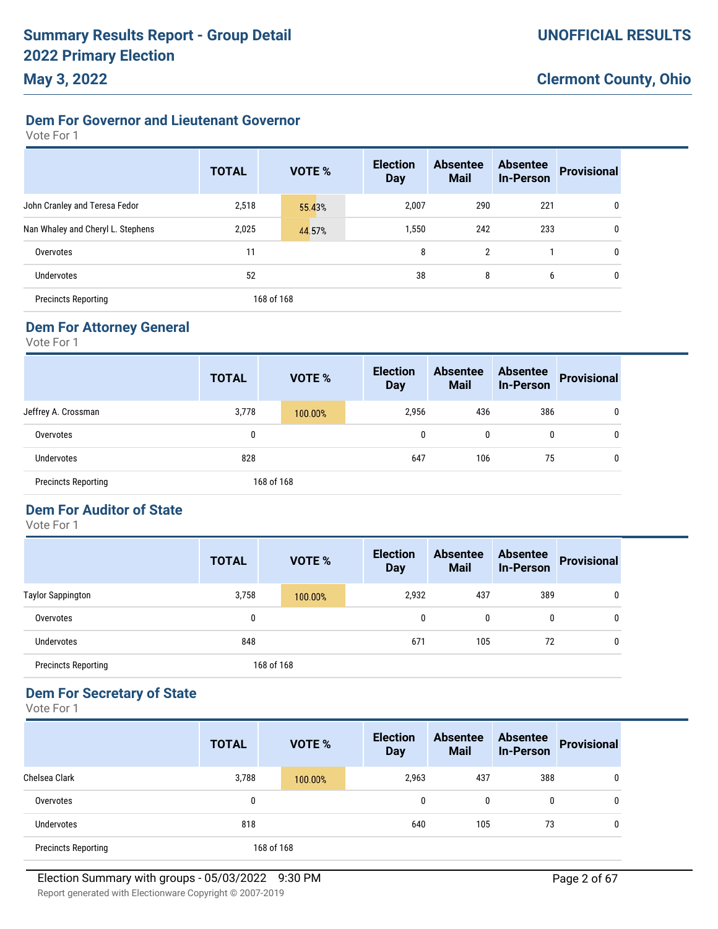### **Dem For Governor and Lieutenant Governor**

Vote For 1

|                                   | <b>TOTAL</b> | <b>VOTE %</b> | <b>Election</b><br><b>Day</b> | <b>Absentee</b><br><b>Mail</b> | <b>Absentee</b><br><b>In-Person</b> | <b>Provisional</b> |
|-----------------------------------|--------------|---------------|-------------------------------|--------------------------------|-------------------------------------|--------------------|
| John Cranley and Teresa Fedor     | 2,518        | 55.43%        | 2,007                         | 290                            | 221                                 | 0                  |
| Nan Whaley and Cheryl L. Stephens | 2,025        | 44.57%        | 1,550                         | 242                            | 233                                 | 0                  |
| Overvotes                         | 11           |               | 8                             | $\overline{2}$                 |                                     | 0                  |
| <b>Undervotes</b>                 | 52           |               | 38                            | 8                              | 6                                   | 0                  |
| <b>Precincts Reporting</b>        |              | 168 of 168    |                               |                                |                                     |                    |

### **Dem For Attorney General**

Vote For 1

|                            | <b>TOTAL</b> | <b>VOTE %</b> |  | <b>Election</b><br><b>Day</b> | <b>Absentee</b><br><b>Mail</b> | <b>Absentee</b><br><b>In-Person</b> | <b>Provisional</b> |
|----------------------------|--------------|---------------|--|-------------------------------|--------------------------------|-------------------------------------|--------------------|
| Jeffrey A. Crossman        | 3,778        | 100.00%       |  | 2,956                         | 436                            | 386                                 | 0                  |
| Overvotes                  | 0            |               |  | 0                             | 0                              | 0                                   | 0                  |
| <b>Undervotes</b>          | 828          |               |  | 647                           | 106                            | 75                                  | $\mathbf 0$        |
| <b>Precincts Reporting</b> |              | 168 of 168    |  |                               |                                |                                     |                    |

# **Dem For Auditor of State**

Vote For 1

|                            | <b>TOTAL</b> | <b>VOTE %</b> | <b>Election</b><br><b>Day</b> | <b>Absentee</b><br><b>Mail</b> | <b>Absentee</b><br><b>In-Person</b> | <b>Provisional</b> |
|----------------------------|--------------|---------------|-------------------------------|--------------------------------|-------------------------------------|--------------------|
| <b>Taylor Sappington</b>   | 3,758        | 100.00%       | 2,932                         | 437                            | 389                                 |                    |
| Overvotes                  | 0            |               | 0                             | 0                              | 0                                   |                    |
| <b>Undervotes</b>          | 848          |               | 671                           | 105                            | 72                                  | 0                  |
| <b>Precincts Reporting</b> |              | 168 of 168    |                               |                                |                                     |                    |

### **Dem For Secretary of State**

|                            | <b>TOTAL</b> | <b>VOTE %</b> | <b>Election</b><br><b>Day</b> | <b>Absentee</b><br><b>Mail</b> | <b>Absentee</b><br><b>In-Person</b> | <b>Provisional</b> |
|----------------------------|--------------|---------------|-------------------------------|--------------------------------|-------------------------------------|--------------------|
| Chelsea Clark              | 3,788        | 100.00%       | 2,963                         | 437                            | 388                                 | 0                  |
| Overvotes                  | 0            |               | 0                             | 0                              | 0                                   | 0                  |
| Undervotes                 | 818          |               | 640                           | 105                            | 73                                  | 0                  |
| <b>Precincts Reporting</b> |              | 168 of 168    |                               |                                |                                     |                    |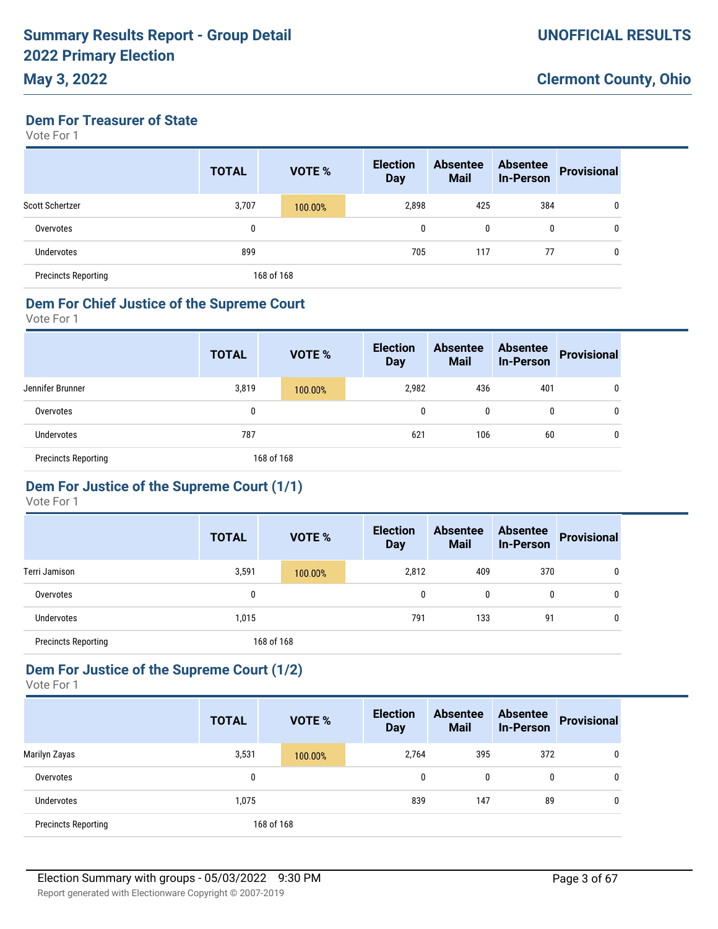### **May 3, 2022**

**Dem For Treasurer of State**

Vote For 1

|                            | <b>TOTAL</b> | <b>VOTE %</b> | <b>Election</b><br><b>Day</b> | <b>Absentee</b><br><b>Mail</b> | <b>Absentee</b><br><b>In-Person</b> | <b>Provisional</b> |
|----------------------------|--------------|---------------|-------------------------------|--------------------------------|-------------------------------------|--------------------|
| Scott Schertzer            | 3,707        | 100.00%       | 2,898                         | 425                            | 384                                 | 0                  |
| Overvotes                  | 0            |               | 0                             | 0                              | 0                                   | 0                  |
| Undervotes                 | 899          |               | 705                           | 117                            | 77                                  | 0                  |
| <b>Precincts Reporting</b> |              | 168 of 168    |                               |                                |                                     |                    |

#### **Dem For Chief Justice of the Supreme Court**

Vote For 1

|                            | <b>TOTAL</b> |  | <b>VOTE %</b> |     | <b>Election</b><br><b>Day</b> | <b>Absentee</b><br><b>Mail</b> | <b>Absentee</b><br><b>In-Person</b> | Provisional |
|----------------------------|--------------|--|---------------|-----|-------------------------------|--------------------------------|-------------------------------------|-------------|
| Jennifer Brunner           | 3,819        |  | 100.00%       |     | 2,982                         | 436                            | 401                                 | 0           |
| Overvotes                  | 0            |  |               |     | 0                             | 0                              | 0                                   | 0           |
| Undervotes                 | 787          |  |               | 621 | 106                           | 60                             | 0                                   |             |
| <b>Precincts Reporting</b> | 168 of 168   |  |               |     |                               |                                |                                     |             |

# **Dem For Justice of the Supreme Court (1/1)**

Vote For 1

|                            | <b>TOTAL</b> |            | <b>VOTE %</b> | <b>Election</b><br><b>Day</b> | <b>Absentee</b><br><b>Mail</b> | <b>Absentee</b><br><b>In-Person</b> | <b>Provisional</b> |
|----------------------------|--------------|------------|---------------|-------------------------------|--------------------------------|-------------------------------------|--------------------|
| Terri Jamison              | 3,591        |            | 100.00%       | 2,812                         | 409                            | 370                                 | 0                  |
| Overvotes                  | 0            |            |               | 0                             | 0                              | 0                                   | 0                  |
| Undervotes                 | 1,015        |            |               | 791                           | 133                            | 91                                  | 0                  |
| <b>Precincts Reporting</b> |              | 168 of 168 |               |                               |                                |                                     |                    |

## **Dem For Justice of the Supreme Court (1/2)**

|                            | <b>TOTAL</b> | <b>VOTE %</b> | <b>Election</b><br><b>Day</b> | <b>Absentee</b><br><b>Mail</b> | <b>Absentee</b><br><b>In-Person</b> | <b>Provisional</b> |
|----------------------------|--------------|---------------|-------------------------------|--------------------------------|-------------------------------------|--------------------|
| Marilyn Zayas              | 3,531        | 100.00%       | 2,764                         | 395                            | 372                                 | 0                  |
| Overvotes                  | 0            |               | $\mathbf{0}$                  | 0                              | 0                                   | 0                  |
| Undervotes                 | 1,075        |               | 839                           | 147                            | 89                                  |                    |
| <b>Precincts Reporting</b> |              | 168 of 168    |                               |                                |                                     |                    |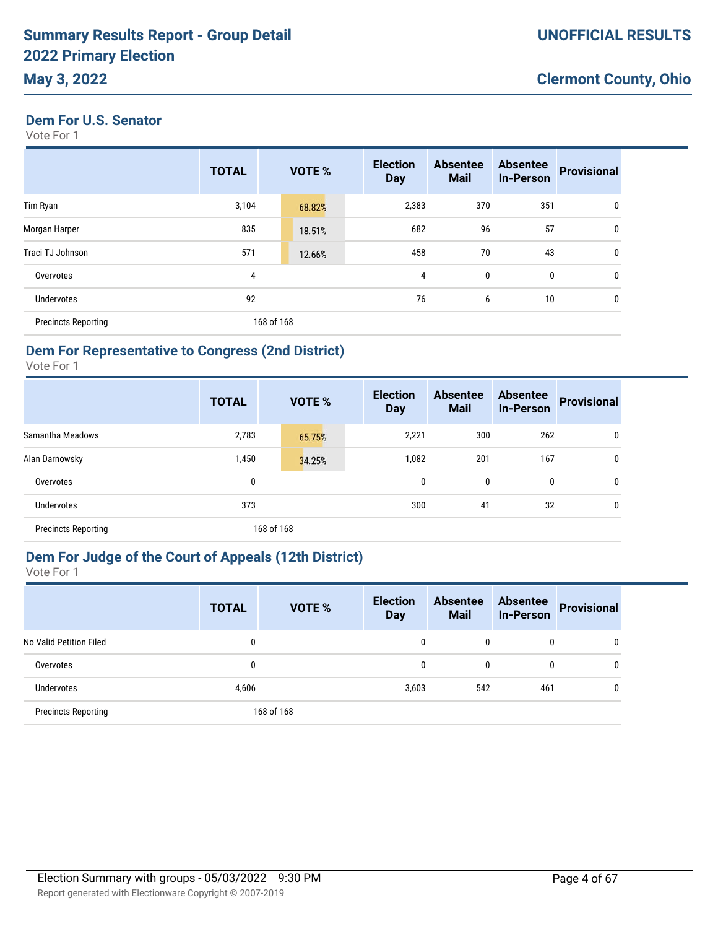### **May 3, 2022**

**Dem For U.S. Senator**

Vote For 1

|                            | <b>TOTAL</b> | VOTE %     | <b>Election</b><br><b>Day</b> | <b>Absentee</b><br><b>Mail</b> | <b>Absentee</b><br><b>In-Person</b> | <b>Provisional</b> |
|----------------------------|--------------|------------|-------------------------------|--------------------------------|-------------------------------------|--------------------|
| Tim Ryan                   | 3,104        | 68.82%     | 2,383                         | 370                            | 351                                 | 0                  |
| Morgan Harper              | 835          | 18.51%     | 682                           | 96                             | 57                                  | 0                  |
| Traci TJ Johnson           | 571          | 12.66%     | 458                           | 70                             | 43                                  | $\mathbf 0$        |
| Overvotes                  | 4            |            | 4                             | 0                              | 0                                   | 0                  |
| <b>Undervotes</b>          | 92           |            | 76                            | 6                              | 10                                  | 0                  |
| <b>Precincts Reporting</b> |              | 168 of 168 |                               |                                |                                     |                    |

### **Dem For Representative to Congress (2nd District)**

Vote For 1

|                            | <b>TOTAL</b> | <b>VOTE %</b> | <b>Election</b><br><b>Day</b> | <b>Absentee</b><br><b>Mail</b> | <b>Absentee</b><br><b>In-Person</b> | <b>Provisional</b> |
|----------------------------|--------------|---------------|-------------------------------|--------------------------------|-------------------------------------|--------------------|
| Samantha Meadows           | 2,783        | 65.75%        | 2,221                         | 300                            | 262                                 | 0                  |
| Alan Darnowsky             | 1,450        | 34.25%        | 1,082                         | 201                            | 167                                 | 0                  |
| Overvotes                  | 0            |               | $\mathbf{0}$                  | 0                              | 0                                   | 0                  |
| <b>Undervotes</b>          | 373          |               | 300                           | 41                             | 32                                  | 0                  |
| <b>Precincts Reporting</b> |              | 168 of 168    |                               |                                |                                     |                    |

## **Dem For Judge of the Court of Appeals (12th District)**

|                            | <b>TOTAL</b> | VOTE %     | <b>Election</b><br><b>Day</b> | <b>Absentee</b><br><b>Mail</b> | <b>Absentee</b><br><b>In-Person</b> | Provisional |
|----------------------------|--------------|------------|-------------------------------|--------------------------------|-------------------------------------|-------------|
| No Valid Petition Filed    | 0            |            | 0                             | 0                              | $\mathbf{0}$                        | 0           |
| Overvotes                  | 0            |            | 0                             | 0                              | $\mathbf{0}$                        | 0           |
| <b>Undervotes</b>          | 4,606        |            | 3,603                         | 542                            | 461                                 | 0           |
| <b>Precincts Reporting</b> |              | 168 of 168 |                               |                                |                                     |             |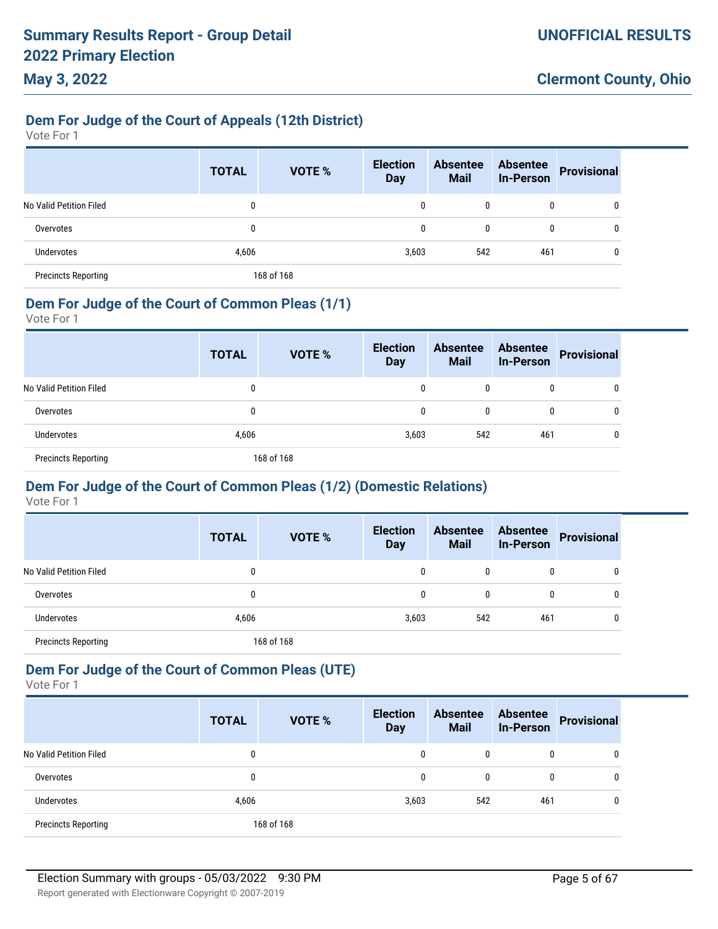### **Dem For Judge of the Court of Appeals (12th District)**

Vote For 1

|                            | <b>TOTAL</b> | <b>VOTE %</b> | <b>Election</b><br><b>Day</b> | <b>Absentee</b><br><b>Mail</b> | <b>Absentee</b><br><b>In-Person</b> | <b>Provisional</b> |
|----------------------------|--------------|---------------|-------------------------------|--------------------------------|-------------------------------------|--------------------|
| No Valid Petition Filed    |              |               | 0                             | 0                              | 0                                   | 0                  |
| Overvotes                  |              |               | 0                             | 0                              | 0                                   | 0                  |
| <b>Undervotes</b>          | 4,606        |               | 3,603                         | 542                            | 461                                 | 0                  |
| <b>Precincts Reporting</b> |              | 168 of 168    |                               |                                |                                     |                    |

### **Dem For Judge of the Court of Common Pleas (1/1)**

Vote For 1

|                            | <b>TOTAL</b> | <b>VOTE %</b> | <b>Election</b><br><b>Day</b> | <b>Absentee</b><br><b>Mail</b> | <b>Absentee</b><br><b>In-Person</b> | Provisional  |
|----------------------------|--------------|---------------|-------------------------------|--------------------------------|-------------------------------------|--------------|
| No Valid Petition Filed    | 0            |               |                               |                                | 0                                   | 0            |
| Overvotes                  | 0            |               | 0                             | 0                              | 0                                   | 0            |
| Undervotes                 | 4,606        |               | 3,603                         | 542                            | 461                                 | $\mathbf{0}$ |
| <b>Precincts Reporting</b> |              | 168 of 168    |                               |                                |                                     |              |

### **Dem For Judge of the Court of Common Pleas (1/2) (Domestic Relations)**

Vote For 1

|                            | <b>TOTAL</b> | <b>VOTE %</b> | <b>Election</b><br><b>Day</b> | <b>Absentee</b><br><b>Mail</b> | <b>Absentee</b><br><b>In-Person</b> | <b>Provisional</b> |
|----------------------------|--------------|---------------|-------------------------------|--------------------------------|-------------------------------------|--------------------|
| No Valid Petition Filed    | 0            |               | 0                             | 0                              | 0                                   | 0                  |
| Overvotes                  | 0            |               | 0                             | $\mathbf{0}$                   | 0                                   | 0                  |
| Undervotes                 | 4,606        |               | 3,603                         | 542                            | 461                                 | 0                  |
| <b>Precincts Reporting</b> |              | 168 of 168    |                               |                                |                                     |                    |

### **Dem For Judge of the Court of Common Pleas (UTE)**

|                            | <b>TOTAL</b> | <b>VOTE %</b> | <b>Election</b><br><b>Day</b> | <b>Absentee</b><br><b>Mail</b> | <b>Absentee</b><br><b>In-Person</b> | <b>Provisional</b> |
|----------------------------|--------------|---------------|-------------------------------|--------------------------------|-------------------------------------|--------------------|
| No Valid Petition Filed    | 0            |               | 0                             | $\mathbf{0}$                   | 0                                   |                    |
| Overvotes                  | 0            |               | 0                             | $\mathbf{0}$                   | 0                                   |                    |
| <b>Undervotes</b>          | 4,606        |               | 3,603                         | 542                            | 461                                 |                    |
| <b>Precincts Reporting</b> |              | 168 of 168    |                               |                                |                                     |                    |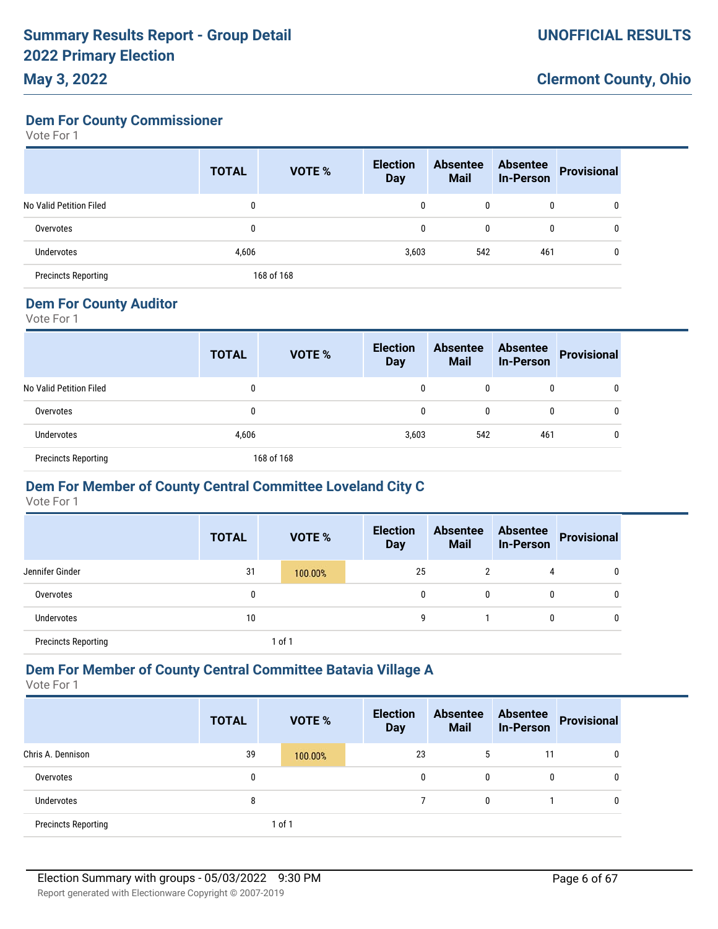# **May 3, 2022**

**Dem For County Commissioner**

Vote For 1

|                            | <b>TOTAL</b> | <b>VOTE %</b> | <b>Election</b><br><b>Day</b> | <b>Absentee</b><br><b>Mail</b> | <b>Absentee</b><br><b>In-Person</b> | <b>Provisional</b> |
|----------------------------|--------------|---------------|-------------------------------|--------------------------------|-------------------------------------|--------------------|
| No Valid Petition Filed    | $\mathbf{0}$ |               | 0                             | 0                              | 0                                   | 0                  |
| Overvotes                  | 0            |               | 0                             | 0                              | 0                                   | 0                  |
| Undervotes                 | 4,606        |               | 3,603                         | 542                            | 461                                 | 0                  |
| <b>Precincts Reporting</b> |              | 168 of 168    |                               |                                |                                     |                    |

#### **Dem For County Auditor**

Vote For 1

|                            | <b>TOTAL</b> | <b>VOTE %</b> | <b>Election</b><br><b>Day</b> | <b>Absentee</b><br><b>Mail</b> | <b>Absentee</b><br><b>In-Person</b> | Provisional |
|----------------------------|--------------|---------------|-------------------------------|--------------------------------|-------------------------------------|-------------|
| No Valid Petition Filed    | 0            |               | 0                             |                                | $\mathbf{0}$                        |             |
| Overvotes                  | 0            |               |                               |                                |                                     |             |
| <b>Undervotes</b>          | 4,606        |               | 3,603                         | 542                            | 461                                 |             |
| <b>Precincts Reporting</b> |              | 168 of 168    |                               |                                |                                     |             |

### **Dem For Member of County Central Committee Loveland City C**

Vote For 1

|                            | <b>TOTAL</b> | VOTE %  | <b>Election</b><br><b>Day</b> | <b>Absentee</b><br><b>Mail</b> | <b>Absentee</b><br><b>In-Person</b> | <b>Provisional</b> |
|----------------------------|--------------|---------|-------------------------------|--------------------------------|-------------------------------------|--------------------|
| Jennifer Ginder            | 31           | 100.00% | 25                            | $\overline{2}$                 | 4                                   | $\mathbf 0$        |
| Overvotes                  | 0            |         | 0                             | 0                              | 0                                   | 0                  |
| Undervotes                 | 10           |         | 9                             |                                | 0                                   | 0                  |
| <b>Precincts Reporting</b> |              | of 1    |                               |                                |                                     |                    |

### **Dem For Member of County Central Committee Batavia Village A**

|                            | <b>TOTAL</b> | <b>VOTE %</b> | <b>Election</b><br><b>Day</b> |    | <b>Absentee</b><br><b>Mail</b> | <b>Absentee</b><br><b>In-Person</b> | <b>Provisional</b> |
|----------------------------|--------------|---------------|-------------------------------|----|--------------------------------|-------------------------------------|--------------------|
| Chris A. Dennison          | 39           | 100.00%       |                               | 23 | 5                              | 11                                  | 0                  |
| Overvotes                  | 0            |               |                               | 0  | $\mathbf{0}$                   | 0                                   | 0                  |
| Undervotes                 | 8            |               |                               |    | $\mathbf{0}$                   |                                     | 0                  |
| <b>Precincts Reporting</b> |              | 1 of 1        |                               |    |                                |                                     |                    |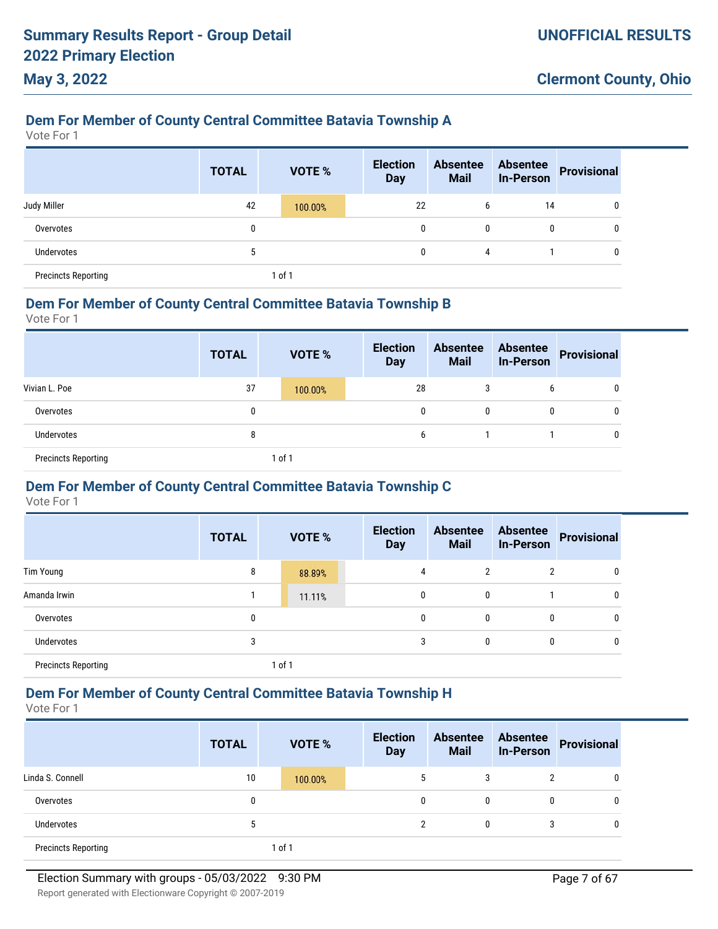### **Dem For Member of County Central Committee Batavia Township A**

Vote For 1

**May 3, 2022**

|                            | <b>TOTAL</b> |        | VOTE %  | <b>Election</b><br><b>Day</b> | <b>Absentee</b><br><b>Mail</b> | <b>Absentee</b><br><b>In-Person</b> | <b>Provisional</b> |
|----------------------------|--------------|--------|---------|-------------------------------|--------------------------------|-------------------------------------|--------------------|
| Judy Miller                | 42           |        | 100.00% | 22                            | 6                              | 14                                  | 0                  |
| Overvotes                  | 0            |        |         | 0                             | 0                              | 0                                   | $\mathbf 0$        |
| <b>Undervotes</b>          | b            |        |         | 0                             | 4                              |                                     | 0                  |
| <b>Precincts Reporting</b> |              | 1 of 1 |         |                               |                                |                                     |                    |

#### **Dem For Member of County Central Committee Batavia Township B**

Vote For 1

|                            | <b>TOTAL</b> | <b>VOTE %</b> | <b>Election</b><br><b>Day</b> | <b>Absentee</b><br><b>Mail</b> |   | Absentee<br>In-Person Provisional |
|----------------------------|--------------|---------------|-------------------------------|--------------------------------|---|-----------------------------------|
| Vivian L. Poe              | 37           | 100.00%       | 28                            | 3                              | 6 | 0                                 |
| Overvotes                  | 0            |               | 0                             | 0                              | 0 | 0                                 |
| Undervotes                 | 8            |               | 6                             |                                |   | 0                                 |
| <b>Precincts Reporting</b> |              | l of 1        |                               |                                |   |                                   |

### **Dem For Member of County Central Committee Batavia Township C**

Vote For 1

|                            | <b>TOTAL</b> | <b>VOTE %</b> | <b>Election</b><br><b>Day</b> | <b>Absentee</b><br><b>Mail</b> | <b>Absentee</b><br><b>In-Person</b> | <b>Provisional</b> |
|----------------------------|--------------|---------------|-------------------------------|--------------------------------|-------------------------------------|--------------------|
| Tim Young                  | 8            | 88.89%        | 4                             | 2                              | 2                                   |                    |
| Amanda Irwin               |              | 11.11%        | 0                             | 0                              |                                     |                    |
| Overvotes                  | 0            |               | 0                             | 0                              | 0                                   |                    |
| <b>Undervotes</b>          | 3            |               | 3                             | $\mathbf{0}$                   | 0                                   | 0                  |
| <b>Precincts Reporting</b> |              | 1 of 1        |                               |                                |                                     |                    |

### **Dem For Member of County Central Committee Batavia Township H**

Vote For 1

|                            | <b>TOTAL</b> | <b>VOTE %</b> | <b>Election</b><br><b>Day</b> | <b>Absentee</b><br><b>Mail</b> | <b>Absentee</b><br><b>In-Person</b> | Provisional |
|----------------------------|--------------|---------------|-------------------------------|--------------------------------|-------------------------------------|-------------|
| Linda S. Connell           | 10           | 100.00%       | 5                             |                                |                                     | 0           |
| Overvotes                  | 0            |               | 0                             | 0                              | 0                                   | 0           |
| Undervotes                 | C            |               | ŋ                             | 0                              | 3                                   | 0           |
| <b>Precincts Reporting</b> |              | 1 of 1        |                               |                                |                                     |             |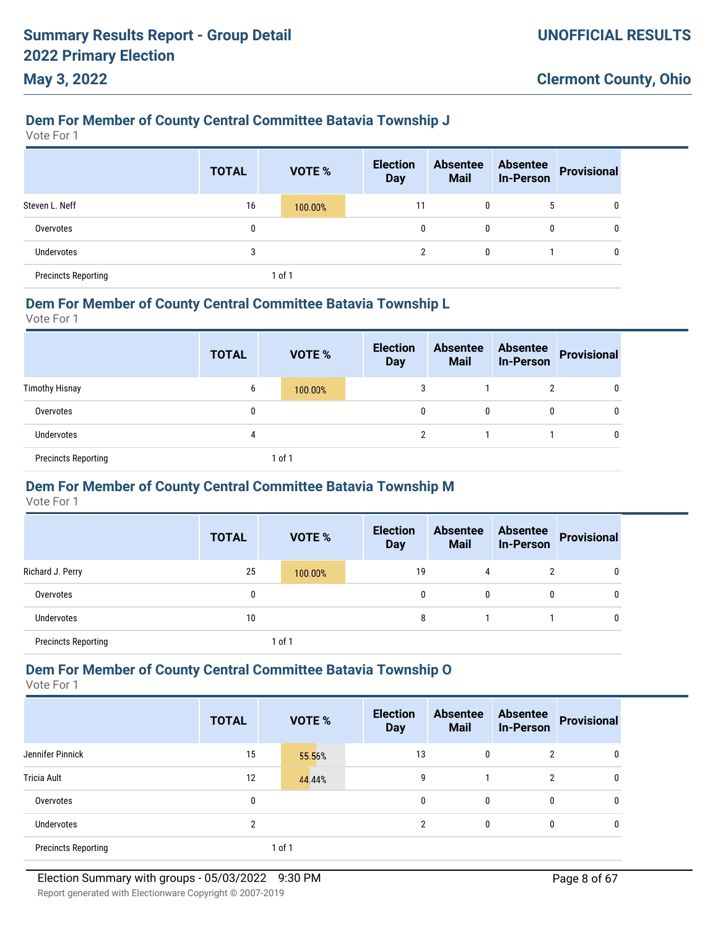### **Dem For Member of County Central Committee Batavia Township J**

Vote For 1

**May 3, 2022**

|                            | <b>TOTAL</b> | <b>VOTE %</b> | <b>Election</b><br><b>Day</b> | <b>Absentee</b><br><b>Mail</b> | <b>Absentee</b><br><b>In-Person</b> | <b>Provisional</b> |
|----------------------------|--------------|---------------|-------------------------------|--------------------------------|-------------------------------------|--------------------|
| Steven L. Neff             | 16           | 100.00%       | 11                            | 0                              | 5                                   | 0                  |
| Overvotes                  | 0            |               | 0                             | 0                              | 0                                   | 0                  |
| Undervotes                 | 3            |               | 2                             | 0                              |                                     | 0                  |
| <b>Precincts Reporting</b> |              | 1 of 1        |                               |                                |                                     |                    |

#### **Dem For Member of County Central Committee Batavia Township L**

Vote For 1

|                            | <b>TOTAL</b> |        | <b>VOTE %</b> | <b>Election</b><br><b>Day</b> | <b>Absentee</b><br><b>Mail</b> | <b>Absentee</b><br><b>In-Person</b> | Provisional |
|----------------------------|--------------|--------|---------------|-------------------------------|--------------------------------|-------------------------------------|-------------|
| <b>Timothy Hisnay</b>      | 6            |        | 100.00%       | 3                             |                                | $\overline{2}$                      | 0           |
| Overvotes                  | 0            |        |               | 0                             | 0                              | $\mathbf{0}$                        |             |
| <b>Undervotes</b>          | 4            |        |               | <sup>2</sup>                  |                                |                                     | U           |
| <b>Precincts Reporting</b> |              | 1 of 1 |               |                               |                                |                                     |             |

### **Dem For Member of County Central Committee Batavia Township M**

Vote For 1

|                            | <b>TOTAL</b> | <b>VOTE %</b> | <b>Election</b><br><b>Day</b> | <b>Absentee</b><br><b>Mail</b> | <b>Absentee</b><br><b>In-Person</b> | Provisional |
|----------------------------|--------------|---------------|-------------------------------|--------------------------------|-------------------------------------|-------------|
| Richard J. Perry           | 25           | 100.00%       | 19                            | 4                              |                                     | 0           |
| Overvotes                  | 0            |               | 0                             | 0                              | $\mathbf{0}$                        | 0           |
| Undervotes                 | 10           |               | 8                             |                                |                                     | 0           |
| <b>Precincts Reporting</b> |              | 1 of 1        |                               |                                |                                     |             |

#### **Dem For Member of County Central Committee Batavia Township O**

|                            | <b>TOTAL</b> | <b>VOTE %</b> | <b>Election</b><br><b>Day</b> | <b>Absentee</b><br><b>Mail</b> | <b>Absentee</b><br><b>In-Person</b> | <b>Provisional</b> |
|----------------------------|--------------|---------------|-------------------------------|--------------------------------|-------------------------------------|--------------------|
| Jennifer Pinnick           | 15           | 55.56%        | 13                            | 0                              | $\overline{2}$                      | 0                  |
| <b>Tricia Ault</b>         | 12           | 44.44%        | 9                             |                                | 2                                   | 0                  |
| Overvotes                  | 0            |               | 0                             | 0                              | $\mathbf{0}$                        | 0                  |
| Undervotes                 | 2            |               | $\overline{2}$                | 0                              | 0                                   | 0                  |
| <b>Precincts Reporting</b> |              | 1 of 1        |                               |                                |                                     |                    |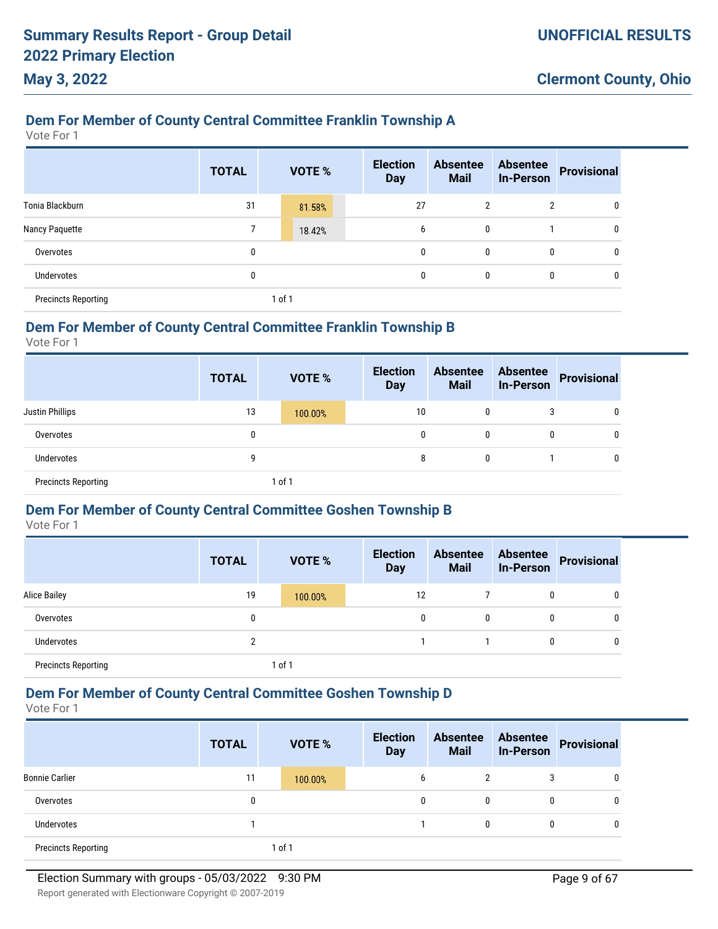## **Dem For Member of County Central Committee Franklin Township A**

Vote For 1

**May 3, 2022**

|                            | <b>TOTAL</b> |      | <b>VOTE %</b> | <b>Election</b><br><b>Day</b> | <b>Absentee</b><br><b>Mail</b> | <b>Absentee</b><br><b>In-Person</b> | <b>Provisional</b> |
|----------------------------|--------------|------|---------------|-------------------------------|--------------------------------|-------------------------------------|--------------------|
| Tonia Blackburn            | 31           |      | 81.58%        | 27                            | 2                              | 2                                   | 0                  |
| Nancy Paquette             |              |      | 18.42%        | 6                             | 0                              |                                     | 0                  |
| Overvotes                  | 0            |      |               | 0                             | 0                              | 0                                   | 0                  |
| <b>Undervotes</b>          | 0            |      |               | 0                             | 0                              | 0                                   | 0                  |
| <b>Precincts Reporting</b> |              | of 1 |               |                               |                                |                                     |                    |

### **Dem For Member of County Central Committee Franklin Township B**

Vote For 1

|                            | <b>TOTAL</b> | <b>VOTE %</b> | <b>Election</b><br><b>Day</b> | <b>Absentee</b><br><b>Mail</b> | <b>Absentee</b><br><b>In-Person</b> | <b>Provisional</b> |
|----------------------------|--------------|---------------|-------------------------------|--------------------------------|-------------------------------------|--------------------|
| <b>Justin Phillips</b>     | 13           | 100.00%       | 10                            | 0                              |                                     | 0                  |
| Overvotes                  | 0            |               | 0                             | 0                              | 0                                   | $\mathbf 0$        |
| Undervotes                 | 9            |               | 8                             | 0                              |                                     | 0                  |
| <b>Precincts Reporting</b> |              | 1 of 1        |                               |                                |                                     |                    |

### **Dem For Member of County Central Committee Goshen Township B**

Vote For 1

|                            | <b>TOTAL</b> | <b>VOTE %</b> | <b>Election</b><br><b>Day</b> | <b>Absentee</b><br><b>Mail</b> | <b>Absentee</b><br><b>In-Person</b> | <b>Provisional</b> |
|----------------------------|--------------|---------------|-------------------------------|--------------------------------|-------------------------------------|--------------------|
| <b>Alice Bailey</b>        | 19           | 100.00%       | 12                            |                                | 0                                   | 0                  |
| Overvotes                  | 0            |               | 0                             | $\mathbf{0}$                   | 0                                   | 0                  |
| <b>Undervotes</b>          | າ            |               |                               |                                | 0                                   | 0                  |
| <b>Precincts Reporting</b> |              | 1 of 1        |                               |                                |                                     |                    |

### **Dem For Member of County Central Committee Goshen Township D**

|                            | <b>TOTAL</b> | <b>VOTE %</b> | <b>Election</b><br><b>Day</b> | <b>Absentee</b><br><b>Mail</b> | <b>Absentee</b><br><b>In-Person</b> | Provisional |
|----------------------------|--------------|---------------|-------------------------------|--------------------------------|-------------------------------------|-------------|
| <b>Bonnie Carlier</b>      | 11           | 100.00%       | b                             | 2                              | 3                                   | 0           |
| Overvotes                  | 0            |               | 0                             | 0                              | 0                                   | 0           |
| <b>Undervotes</b>          |              |               |                               | 0                              | 0                                   | 0           |
| <b>Precincts Reporting</b> |              | of 1          |                               |                                |                                     |             |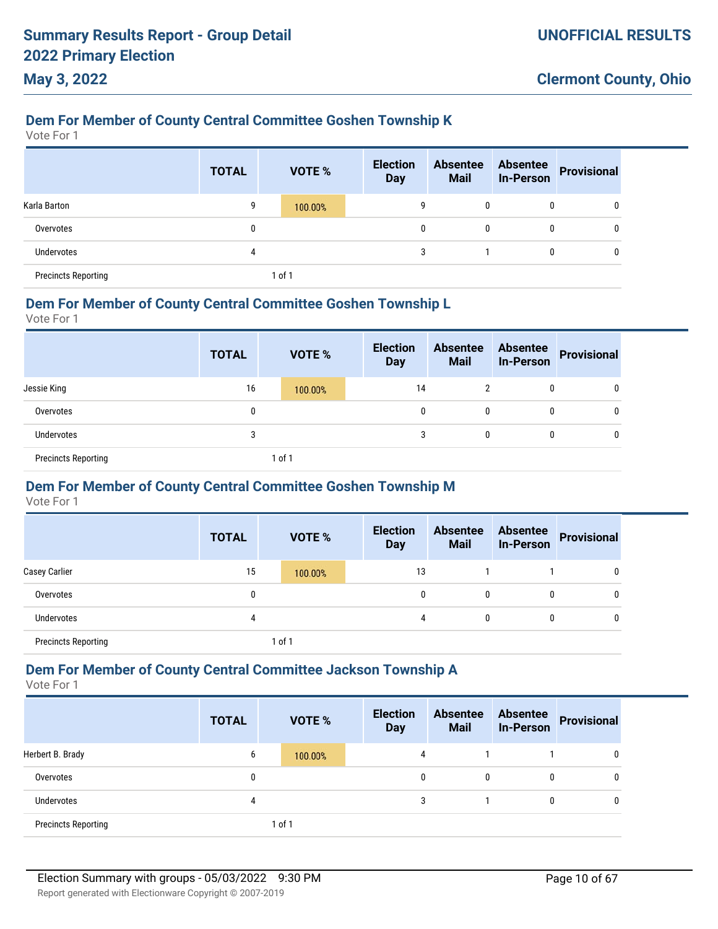### **Dem For Member of County Central Committee Goshen Township K**

Vote For 1

**May 3, 2022**

|                            | <b>TOTAL</b> |        | <b>VOTE %</b> | <b>Election</b><br><b>Day</b> | <b>Absentee</b><br><b>Mail</b> | <b>Absentee</b><br><b>In-Person</b> | Provisional |
|----------------------------|--------------|--------|---------------|-------------------------------|--------------------------------|-------------------------------------|-------------|
| Karla Barton               | 9            |        | 100.00%       | 9                             | 0                              | 0                                   |             |
| Overvotes                  | 0            |        |               | 0                             | 0                              | $\mathbf{0}$                        |             |
| <b>Undervotes</b>          | 4            |        |               | 3                             |                                | 0                                   |             |
| <b>Precincts Reporting</b> |              | 1 of 1 |               |                               |                                |                                     |             |

#### **Dem For Member of County Central Committee Goshen Township L**

Vote For 1

|                            | <b>TOTAL</b> | <b>VOTE %</b> | <b>Election</b><br><b>Day</b> | <b>Absentee</b><br><b>Mail</b> | <b>Absentee</b><br><b>In-Person</b> | Provisional |
|----------------------------|--------------|---------------|-------------------------------|--------------------------------|-------------------------------------|-------------|
| Jessie King                | 16           | 100.00%       | 14                            | 2                              | 0                                   | 0           |
| Overvotes                  | 0            |               | 0                             | 0                              | $\mathbf{0}$                        | 0           |
| <b>Undervotes</b>          | 3            |               | 3                             | 0                              | 0                                   | 0           |
| <b>Precincts Reporting</b> |              | 1 of 1        |                               |                                |                                     |             |

### **Dem For Member of County Central Committee Goshen Township M**

Vote For 1

|                            | <b>TOTAL</b> | <b>VOTE %</b> | <b>Election</b><br><b>Day</b> | <b>Absentee</b><br><b>Mail</b> | <b>Absentee</b><br><b>In-Person</b> | <b>Provisional</b> |
|----------------------------|--------------|---------------|-------------------------------|--------------------------------|-------------------------------------|--------------------|
| Casey Carlier              | 15           | 100.00%       | 13                            |                                |                                     | 0                  |
| Overvotes                  | 0            |               | 0                             | $\mathbf{0}$                   | 0                                   | 0                  |
| <b>Undervotes</b>          | 4            |               | 4                             | $\mathbf{0}$                   | 0                                   | 0                  |
| <b>Precincts Reporting</b> |              | $ $ of 1      |                               |                                |                                     |                    |

#### **Dem For Member of County Central Committee Jackson Township A**

|                            | <b>TOTAL</b> | <b>VOTE %</b> | <b>Election</b><br><b>Day</b> | <b>Absentee</b><br><b>Mail</b> | <b>Absentee</b><br><b>In-Person</b> | <b>Provisional</b> |
|----------------------------|--------------|---------------|-------------------------------|--------------------------------|-------------------------------------|--------------------|
| Herbert B. Brady           | 6            | 100.00%       | 4                             |                                |                                     | 0                  |
| Overvotes                  | 0            |               | 0                             | 0                              | 0                                   | 0                  |
| Undervotes                 | 4            |               | 3                             |                                | 0                                   | 0                  |
| <b>Precincts Reporting</b> |              | 1 of 1        |                               |                                |                                     |                    |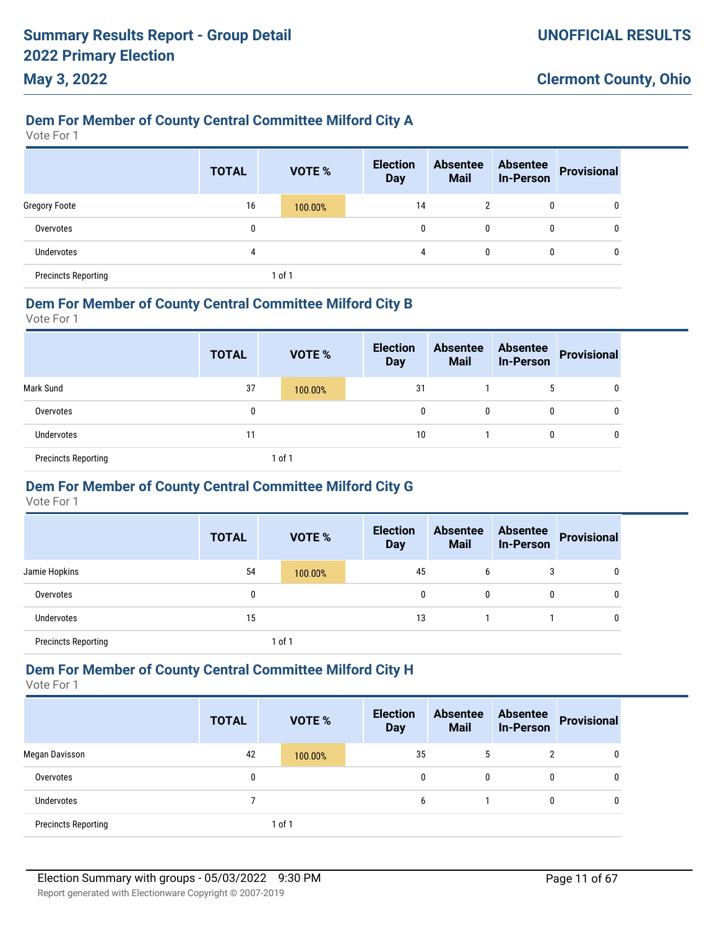# **Dem For Member of County Central Committee Milford City A**

Vote For 1

**May 3, 2022**

|                            | <b>TOTAL</b> | <b>VOTE %</b> | <b>Election</b><br><b>Day</b> | <b>Absentee</b><br><b>Mail</b> | <b>Absentee</b><br><b>In-Person</b> | <b>Provisional</b> |
|----------------------------|--------------|---------------|-------------------------------|--------------------------------|-------------------------------------|--------------------|
| <b>Gregory Foote</b>       | 16           | 100.00%       | 14                            |                                | 0                                   | 0                  |
| Overvotes                  | 0            |               | 0                             | 0                              | 0                                   | 0                  |
| Undervotes                 | 4            |               | 4                             | $\mathbf{0}$                   | 0                                   | 0                  |
| <b>Precincts Reporting</b> |              | of 1          |                               |                                |                                     |                    |

#### **Dem For Member of County Central Committee Milford City B**

Vote For 1

|                            | <b>TOTAL</b> |        | <b>VOTE %</b> | <b>Election</b><br><b>Day</b> | <b>Absentee</b><br><b>Mail</b> | Absentee<br>In-Person | Provisional |
|----------------------------|--------------|--------|---------------|-------------------------------|--------------------------------|-----------------------|-------------|
| Mark Sund                  | 37           |        | 100.00%       | 31                            |                                | 5                     | 0           |
| Overvotes                  | 0            |        |               | 0                             |                                | 0                     | 0           |
| Undervotes                 | 11           |        |               | 10                            |                                | 0                     | 0           |
| <b>Precincts Reporting</b> |              | 1 of 1 |               |                               |                                |                       |             |

### **Dem For Member of County Central Committee Milford City G**

Vote For 1

|                            | <b>TOTAL</b> |        | <b>VOTE %</b> | <b>Election</b><br><b>Day</b> | <b>Absentee</b><br><b>Mail</b> | <b>Absentee</b><br><b>In-Person</b> | <b>Provisional</b> |
|----------------------------|--------------|--------|---------------|-------------------------------|--------------------------------|-------------------------------------|--------------------|
| Jamie Hopkins              | 54           |        | 100.00%       | 45                            | b                              |                                     | 0                  |
| Overvotes                  | 0            |        |               | 0                             | 0                              |                                     | 0                  |
| <b>Undervotes</b>          | 15           |        |               | 13                            |                                |                                     | $\mathbf{0}$       |
| <b>Precincts Reporting</b> |              | 1 of 1 |               |                               |                                |                                     |                    |

### **Dem For Member of County Central Committee Milford City H**

|                            | <b>TOTAL</b> | <b>VOTE %</b> | <b>Election</b><br><b>Day</b> | <b>Absentee</b><br><b>Mail</b> | <b>Absentee</b><br><b>In-Person</b> | <b>Provisional</b> |
|----------------------------|--------------|---------------|-------------------------------|--------------------------------|-------------------------------------|--------------------|
| Megan Davisson             | 42           | 100.00%       | 35                            | $\mathbf b$                    | $\overline{2}$                      | 0                  |
| Overvotes                  | 0            |               | $\mathbf{0}$                  | 0                              | 0                                   | 0                  |
| Undervotes                 |              |               | 6                             |                                | 0                                   | 0                  |
| <b>Precincts Reporting</b> |              | 1 of 1        |                               |                                |                                     |                    |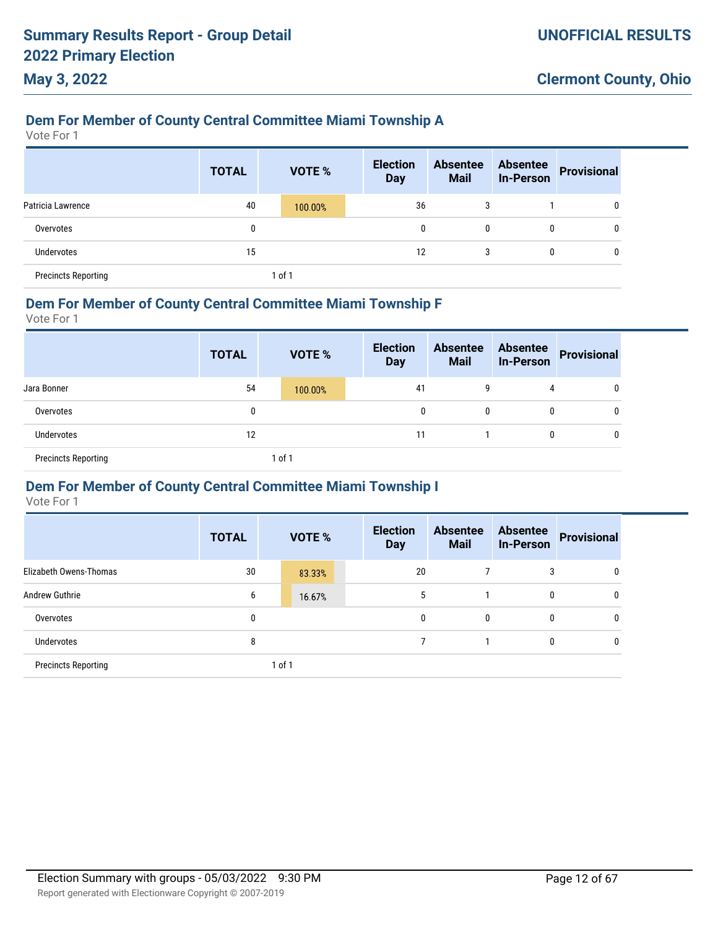### **Dem For Member of County Central Committee Miami Township A**

Vote For 1

**May 3, 2022**

|                            | <b>TOTAL</b> | VOTE %  | <b>Election</b><br><b>Day</b> | <b>Absentee</b><br><b>Mail</b> | <b>Absentee</b><br><b>In-Person</b> | <b>Provisional</b> |
|----------------------------|--------------|---------|-------------------------------|--------------------------------|-------------------------------------|--------------------|
| Patricia Lawrence          | 40           | 100.00% | 36                            | 3                              |                                     | 0                  |
| Overvotes                  | 0            |         | 0                             | 0                              | 0                                   | 0                  |
| Undervotes                 | 15           |         | 12                            | 3                              | 0                                   | 0                  |
| <b>Precincts Reporting</b> |              | of 1    |                               |                                |                                     |                    |

#### **Dem For Member of County Central Committee Miami Township F**

Vote For 1

|                            | <b>TOTAL</b> | <b>VOTE %</b> | <b>Election</b><br><b>Day</b> | <b>Absentee</b><br><b>Mail</b> | <b>Absentee</b><br>In-Person | Provisional |
|----------------------------|--------------|---------------|-------------------------------|--------------------------------|------------------------------|-------------|
| Jara Bonner                | 54           | 100.00%       | 41                            | 9                              | 4                            | 0           |
| Overvotes                  | 0            |               | 0                             | $\mathbf{0}$                   | 0                            | 0           |
| Undervotes                 | 12           |               | 11                            |                                | 0                            | 0           |
| <b>Precincts Reporting</b> |              | 1 of 1        |                               |                                |                              |             |

### **Dem For Member of County Central Committee Miami Township I**

|                            | <b>TOTAL</b> |            | <b>VOTE %</b> | <b>Election</b><br><b>Day</b> | <b>Absentee</b><br><b>Mail</b> | <b>Absentee</b><br><b>In-Person</b> | <b>Provisional</b> |
|----------------------------|--------------|------------|---------------|-------------------------------|--------------------------------|-------------------------------------|--------------------|
| Elizabeth Owens-Thomas     | 30           |            | 83.33%        | 20                            |                                | 3                                   | 0                  |
| <b>Andrew Guthrie</b>      | 6            |            | 16.67%        | 5                             |                                | 0                                   | 0                  |
| Overvotes                  | 0            |            |               | 0                             | 0                              | 0                                   | 0                  |
| Undervotes                 | 8            |            |               |                               |                                | 0                                   | 0                  |
| <b>Precincts Reporting</b> |              | $1$ of $1$ |               |                               |                                |                                     |                    |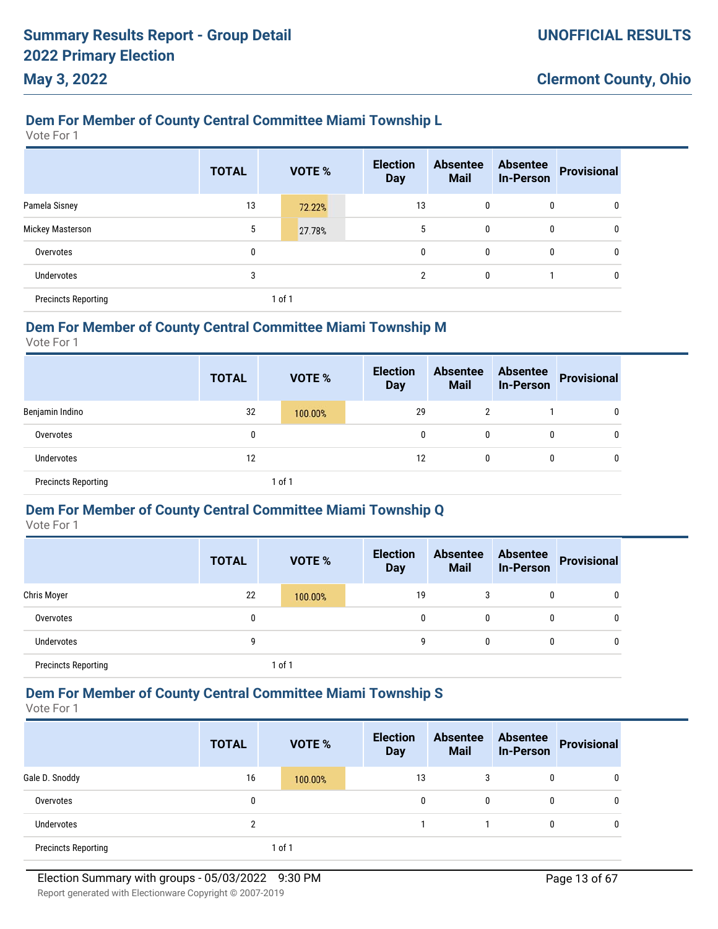# **Dem For Member of County Central Committee Miami Township L**

Vote For 1

**May 3, 2022**

|                            | <b>TOTAL</b> | <b>VOTE %</b> | <b>Election</b><br><b>Day</b> | <b>Absentee</b><br><b>Mail</b> | <b>Absentee</b><br><b>In-Person</b> | <b>Provisional</b> |
|----------------------------|--------------|---------------|-------------------------------|--------------------------------|-------------------------------------|--------------------|
| Pamela Sisney              | 13           | 72.22%        | 13                            | 0                              | 0                                   | 0                  |
| Mickey Masterson           | 5            | 27.78%        | 5                             | 0                              | 0                                   | 0                  |
| Overvotes                  | 0            |               | 0                             | 0                              | $\mathbf{0}$                        | 0                  |
| Undervotes                 | 3            |               | $\overline{2}$                | 0                              |                                     | 0                  |
| <b>Precincts Reporting</b> |              | 1 of 1        |                               |                                |                                     |                    |

### **Dem For Member of County Central Committee Miami Township M**

Vote For 1

|                            | <b>TOTAL</b> | <b>VOTE %</b> | <b>Election</b><br><b>Day</b> | <b>Absentee</b><br><b>Mail</b> | <b>Absentee</b><br><b>In-Person</b> | <b>Provisional</b> |
|----------------------------|--------------|---------------|-------------------------------|--------------------------------|-------------------------------------|--------------------|
| Benjamin Indino            | 32           | 100.00%       | 29                            | 2                              |                                     | 0                  |
| Overvotes                  | 0            |               |                               | 0<br>0                         | 0                                   | 0                  |
| Undervotes                 | 12           |               | 12                            | 0                              | 0                                   | $\mathbf 0$        |
| <b>Precincts Reporting</b> |              | 1 of 1        |                               |                                |                                     |                    |

### **Dem For Member of County Central Committee Miami Township Q**

Vote For 1

|                            | <b>TOTAL</b> | <b>VOTE %</b> | <b>Election</b><br><b>Day</b> | <b>Absentee</b><br><b>Mail</b> | <b>Absentee</b><br><b>In-Person</b> | <b>Provisional</b> |
|----------------------------|--------------|---------------|-------------------------------|--------------------------------|-------------------------------------|--------------------|
| <b>Chris Moyer</b>         | 22           | 100.00%       | 19                            |                                | $\mathbf{0}$                        | 0                  |
| Overvotes                  | 0            |               | 0                             | $\mathbf{0}$                   | 0                                   | 0                  |
| <b>Undervotes</b>          | 9            |               | 9                             | 0                              | $\mathbf{0}$                        | 0                  |
| <b>Precincts Reporting</b> |              | 1 of 1        |                               |                                |                                     |                    |

### **Dem For Member of County Central Committee Miami Township S**

Vote For 1

|                            | <b>TOTAL</b> | <b>VOTE %</b> | <b>Election</b><br><b>Day</b> | <b>Absentee</b><br><b>Mail</b> | <b>Absentee</b><br>In-Person | Provisional |
|----------------------------|--------------|---------------|-------------------------------|--------------------------------|------------------------------|-------------|
| Gale D. Snoddy             | 16           | 100.00%       | 13                            | 3                              | 0                            | 0           |
| Overvotes                  | 0            |               | 0                             | 0                              | 0                            | 0           |
| Undervotes                 | 2            |               |                               |                                | 0                            | 0           |
| <b>Precincts Reporting</b> |              | 1 of 1        |                               |                                |                              |             |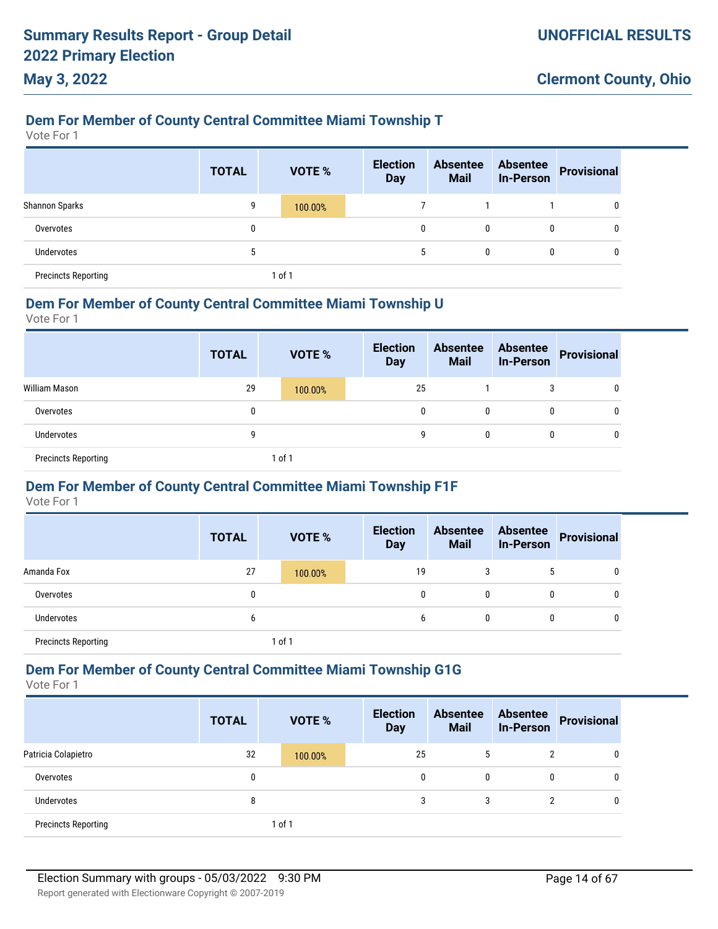### **Dem For Member of County Central Committee Miami Township T**

Vote For 1

**May 3, 2022**

|                            | <b>TOTAL</b> | <b>VOTE %</b> | <b>Election</b><br><b>Day</b> | <b>Absentee</b><br><b>Mail</b> | <b>Absentee</b><br><b>In-Person</b> | <b>Provisional</b> |
|----------------------------|--------------|---------------|-------------------------------|--------------------------------|-------------------------------------|--------------------|
| <b>Shannon Sparks</b>      | 9            | 100.00%       |                               |                                |                                     | 0                  |
| Overvotes                  | 0            |               | 0                             | 0                              | 0                                   | 0                  |
| Undervotes                 | 5            |               | 5                             | 0                              | 0                                   | $\mathbf{0}$       |
| <b>Precincts Reporting</b> |              | of 1          |                               |                                |                                     |                    |

#### **Dem For Member of County Central Committee Miami Township U**

Vote For 1

|                            | <b>TOTAL</b> | <b>VOTE %</b> | <b>Election</b><br><b>Day</b> | <b>Absentee</b><br><b>Mail</b> | <b>Absentee</b><br>In-Person | Provisional |
|----------------------------|--------------|---------------|-------------------------------|--------------------------------|------------------------------|-------------|
| William Mason              | 29           | 100.00%       | 25                            |                                | 3                            | 0           |
| Overvotes                  | 0            |               | 0                             | 0                              | $\mathbf{0}$                 | 0           |
| <b>Undervotes</b>          | 9            |               | 9                             | 0                              | $\mathbf{0}$                 | 0           |
| <b>Precincts Reporting</b> |              | 1 of 1        |                               |                                |                              |             |

### **Dem For Member of County Central Committee Miami Township F1F**

Vote For 1

|                            | <b>TOTAL</b> | <b>VOTE %</b> | <b>Election</b><br><b>Day</b> | <b>Absentee</b><br><b>Mail</b> | <b>Absentee</b><br><b>In-Person</b> | <b>Provisional</b> |
|----------------------------|--------------|---------------|-------------------------------|--------------------------------|-------------------------------------|--------------------|
| Amanda Fox                 | 27           | 100.00%       | 19                            | 3                              |                                     | 0                  |
| Overvotes                  | 0            |               | 0                             | 0                              | $\mathbf{0}$                        | 0                  |
| Undervotes                 | b            |               | 6                             | 0                              | $\mathbf{0}$                        | 0                  |
| <b>Precincts Reporting</b> |              | 1 of 1        |                               |                                |                                     |                    |

#### **Dem For Member of County Central Committee Miami Township G1G**

|                            | <b>TOTAL</b> | <b>VOTE %</b> | <b>Election</b><br><b>Day</b> | <b>Absentee</b><br><b>Mail</b> | <b>Absentee</b><br><b>In-Person</b> | <b>Provisional</b> |
|----------------------------|--------------|---------------|-------------------------------|--------------------------------|-------------------------------------|--------------------|
| Patricia Colapietro        | 32           | 100.00%       | 25                            | 5                              | $\overline{2}$                      | 0                  |
| Overvotes                  | 0            |               | 0                             | $\mathbf{0}$                   | 0                                   | 0                  |
| Undervotes                 | 8            |               | 3                             | 3                              | 2                                   | 0                  |
| <b>Precincts Reporting</b> |              | 1 of 1        |                               |                                |                                     |                    |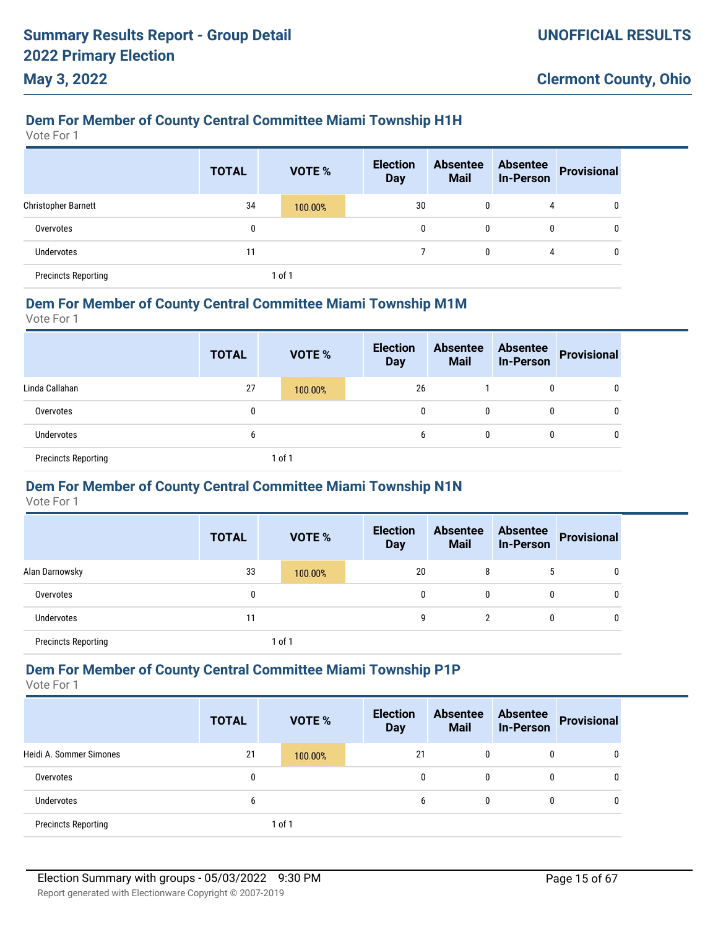### **Dem For Member of County Central Committee Miami Township H1H**

Vote For 1

**May 3, 2022**

|                            | <b>TOTAL</b> | VOTE %  | <b>Election</b><br><b>Day</b> | <b>Absentee</b><br><b>Mail</b> | <b>Absentee</b><br><b>In-Person</b> | <b>Provisional</b> |
|----------------------------|--------------|---------|-------------------------------|--------------------------------|-------------------------------------|--------------------|
| <b>Christopher Barnett</b> | 34           | 100.00% | 30                            | 0                              | 4                                   | 0                  |
| Overvotes                  | 0            |         | 0                             | 0                              | 0                                   | 0                  |
| <b>Undervotes</b>          | 11           |         |                               | 0                              | 4                                   | 0                  |
| <b>Precincts Reporting</b> |              | 1 of 1  |                               |                                |                                     |                    |

#### **Dem For Member of County Central Committee Miami Township M1M**

Vote For 1

|                            | <b>TOTAL</b> | <b>VOTE %</b> | <b>Election</b><br><b>Day</b> | <b>Absentee</b><br><b>Mail</b> | <b>Absentee</b><br><b>In-Person</b> | Provisional |
|----------------------------|--------------|---------------|-------------------------------|--------------------------------|-------------------------------------|-------------|
| Linda Callahan             | 27           | 100.00%       | 26                            |                                | 0                                   |             |
| Overvotes                  | 0            |               | 0                             | 0                              | $\mathbf{0}$                        |             |
| Undervotes                 | b            |               | b                             | 0                              | 0                                   |             |
| <b>Precincts Reporting</b> |              | 1 of 1        |                               |                                |                                     |             |

### **Dem For Member of County Central Committee Miami Township N1N**

Vote For 1

|                            | <b>TOTAL</b> | <b>VOTE %</b> | <b>Election</b><br><b>Day</b> | <b>Absentee</b><br><b>Mail</b> | <b>Absentee</b><br><b>In-Person</b> | <b>Provisional</b> |
|----------------------------|--------------|---------------|-------------------------------|--------------------------------|-------------------------------------|--------------------|
| Alan Darnowsky             | 33           | 100.00%       | 20                            |                                |                                     | 0                  |
| Overvotes                  | 0            |               | 0                             | 0                              | 0                                   | 0                  |
| Undervotes                 | 11           |               | 9                             | 2                              | 0                                   | 0                  |
| <b>Precincts Reporting</b> |              | $1$ of $1$    |                               |                                |                                     |                    |

### **Dem For Member of County Central Committee Miami Township P1P**

|                            | <b>TOTAL</b> | <b>VOTE %</b> | <b>Election</b><br><b>Day</b> | <b>Absentee</b><br><b>Mail</b> | <b>Absentee</b><br><b>In-Person</b> | <b>Provisional</b> |
|----------------------------|--------------|---------------|-------------------------------|--------------------------------|-------------------------------------|--------------------|
| Heidi A. Sommer Simones    | 21           | 100.00%       | 21                            | 0                              | 0                                   | 0                  |
| Overvotes                  | 0            |               | 0                             | $\mathbf{0}$                   | 0                                   | 0                  |
| Undervotes                 | b            |               | 6                             | 0                              | 0                                   | 0                  |
| <b>Precincts Reporting</b> |              | 1 of 1        |                               |                                |                                     |                    |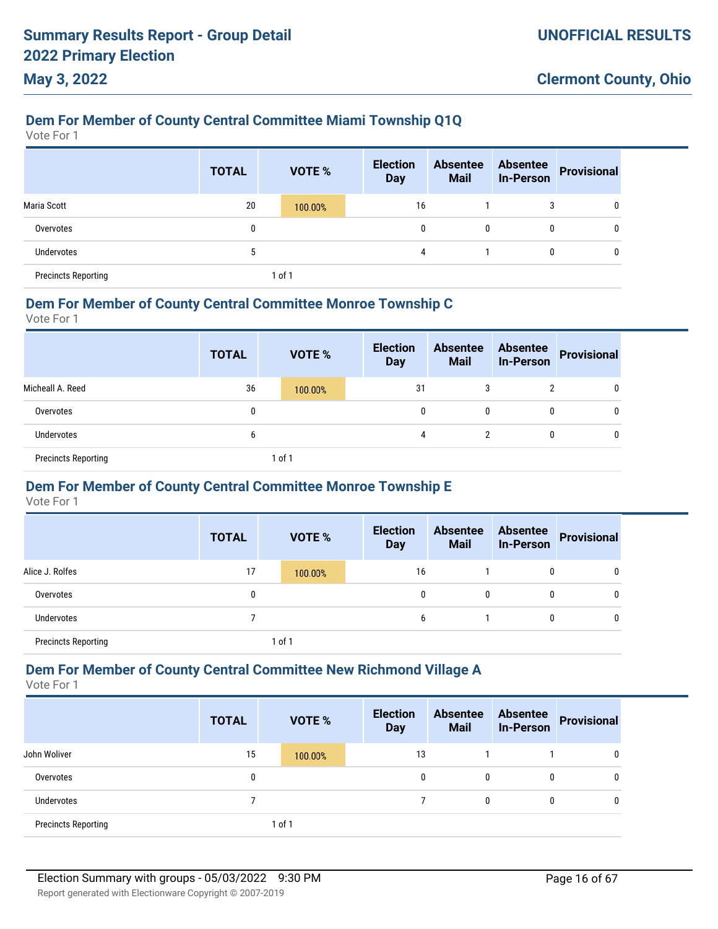### **Dem For Member of County Central Committee Miami Township Q1Q**

Vote For 1

**May 3, 2022**

|                            | <b>TOTAL</b> |        | <b>VOTE %</b> | <b>Election</b><br><b>Day</b> | <b>Absentee</b><br><b>Mail</b> | <b>Absentee</b><br><b>In-Person</b> | Provisional  |
|----------------------------|--------------|--------|---------------|-------------------------------|--------------------------------|-------------------------------------|--------------|
| Maria Scott                | 20           |        | 100.00%       | 16                            |                                |                                     | $\mathbf{0}$ |
| Overvotes                  | 0            |        |               | 0                             | $\mathbf{0}$                   |                                     | $\mathbf{0}$ |
| <b>Undervotes</b>          | 5            |        |               | 4                             |                                |                                     | $\mathbf{0}$ |
| <b>Precincts Reporting</b> |              | 1 of 1 |               |                               |                                |                                     |              |

#### **Dem For Member of County Central Committee Monroe Township C**

Vote For 1

|                            | <b>TOTAL</b> | <b>VOTE %</b> | <b>Election</b><br><b>Day</b> | <b>Absentee</b><br><b>Mail</b> | <b>In-Person</b> | Absentee Provisional |
|----------------------------|--------------|---------------|-------------------------------|--------------------------------|------------------|----------------------|
| Micheall A. Reed           | 36           | 100.00%       | 31                            | 3                              | າ                | 0                    |
| Overvotes                  | 0            |               | 0                             | 0                              | $\mathbf{0}$     | 0                    |
| <b>Undervotes</b>          | b            |               | 4                             | 2                              | $\mathbf{0}$     | 0                    |
| <b>Precincts Reporting</b> |              | of 1          |                               |                                |                  |                      |

#### **Dem For Member of County Central Committee Monroe Township E**

Vote For 1

|                            | <b>TOTAL</b> | VOTE %     | <b>Election</b><br><b>Day</b> | <b>Absentee</b><br><b>Mail</b> | <b>Absentee</b><br><b>In-Person</b> | <b>Provisional</b> |
|----------------------------|--------------|------------|-------------------------------|--------------------------------|-------------------------------------|--------------------|
| Alice J. Rolfes            | 17           | 100.00%    | 16                            |                                | 0                                   | 0                  |
| Overvotes                  |              |            | 0                             | 0                              | 0                                   | 0                  |
| Undervotes                 |              |            | 6                             |                                | 0                                   | 0                  |
| <b>Precincts Reporting</b> |              | $1$ of $1$ |                               |                                |                                     |                    |

#### **Dem For Member of County Central Committee New Richmond Village A**

|                            | <b>TOTAL</b> | <b>VOTE %</b> | <b>Election</b><br><b>Day</b> | <b>Absentee</b><br><b>Mail</b> | <b>Absentee</b><br><b>In-Person</b> | <b>Provisional</b> |
|----------------------------|--------------|---------------|-------------------------------|--------------------------------|-------------------------------------|--------------------|
| John Woliver               | 15           | 100.00%       | 13                            |                                |                                     | 0                  |
| Overvotes                  | 0            |               | $\mathbf{0}$                  | 0                              | 0                                   | 0                  |
| Undervotes                 |              |               |                               | 0                              | $\mathbf{0}$                        | $\mathbf{0}$       |
| <b>Precincts Reporting</b> |              | 1 of 1        |                               |                                |                                     |                    |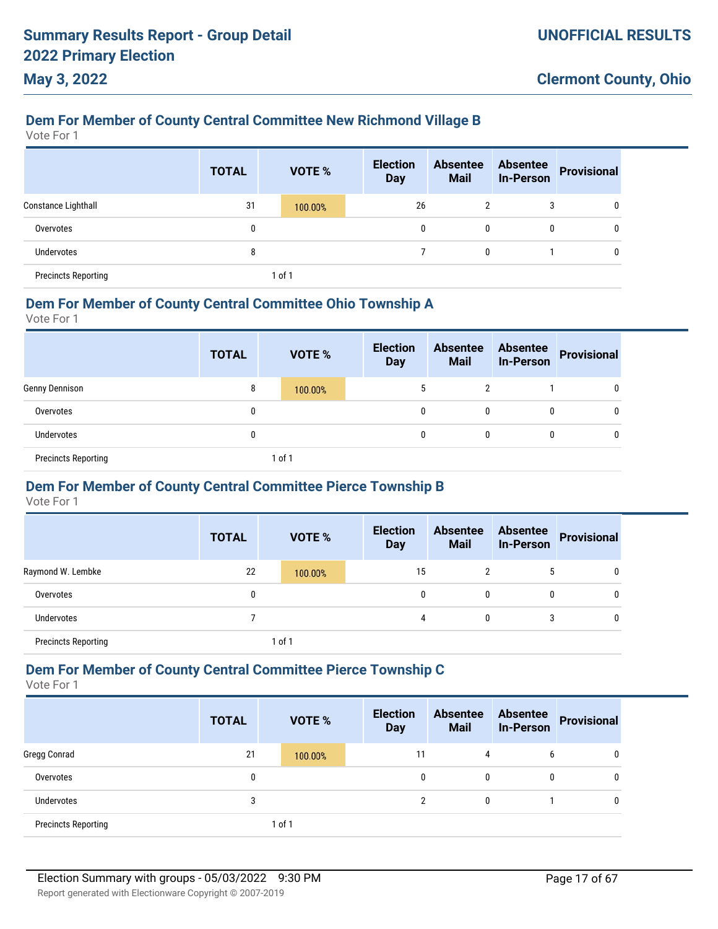# **Dem For Member of County Central Committee New Richmond Village B**

Vote For 1

**May 3, 2022**

|                            | <b>TOTAL</b> |        | <b>VOTE %</b> | <b>Election</b><br><b>Day</b> | <b>Absentee</b><br><b>Mail</b> |              | <b>Absentee</b><br><b>In-Person</b> | <b>Provisional</b> |
|----------------------------|--------------|--------|---------------|-------------------------------|--------------------------------|--------------|-------------------------------------|--------------------|
| Constance Lighthall        | 31           |        | 100.00%       | 26                            |                                | 2            | 3                                   | 0                  |
| Overvotes                  | 0            |        |               |                               | 0                              | $\mathbf{0}$ | 0                                   | 0                  |
| Undervotes                 | 8            |        |               |                               |                                | 0            |                                     | 0                  |
| <b>Precincts Reporting</b> |              | 1 of 1 |               |                               |                                |              |                                     |                    |

#### **Dem For Member of County Central Committee Ohio Township A**

Vote For 1

|                            | <b>TOTAL</b> |        | <b>VOTE %</b> | <b>Election</b><br><b>Day</b> | <b>Absentee</b><br><b>Mail</b> |   | Absentee<br>In-Person Provisional |
|----------------------------|--------------|--------|---------------|-------------------------------|--------------------------------|---|-----------------------------------|
| Genny Dennison             | 8            |        | 100.00%       | 5                             | $\overline{2}$                 |   | 0                                 |
| Overvotes                  | 0            |        |               | 0                             | 0                              | 0 | 0                                 |
| <b>Undervotes</b>          | 0            |        |               | 0                             | 0                              | 0 | 0                                 |
| <b>Precincts Reporting</b> |              | 1 of 1 |               |                               |                                |   |                                   |

### **Dem For Member of County Central Committee Pierce Township B**

Vote For 1

|                            | <b>TOTAL</b> | <b>VOTE %</b> | <b>Election</b><br><b>Day</b> |    | <b>Absentee</b><br><b>Mail</b> | <b>Absentee</b><br><b>In-Person</b> | Provisional |
|----------------------------|--------------|---------------|-------------------------------|----|--------------------------------|-------------------------------------|-------------|
| Raymond W. Lembke          | 22           | 100.00%       |                               | 15 |                                | ა                                   | 0           |
| Overvotes                  |              |               |                               | 0  | 0                              | 0                                   | 0           |
| Undervotes                 |              |               |                               | 4  | 0                              | 3                                   |             |
| <b>Precincts Reporting</b> |              | 1 of 1        |                               |    |                                |                                     |             |

#### **Dem For Member of County Central Committee Pierce Township C**

|                            | <b>TOTAL</b> | <b>VOTE %</b> | <b>Election</b><br><b>Day</b> | <b>Absentee</b><br><b>Mail</b> | <b>Absentee</b><br><b>In-Person</b> | <b>Provisional</b> |
|----------------------------|--------------|---------------|-------------------------------|--------------------------------|-------------------------------------|--------------------|
| Gregg Conrad               | 21           | 100.00%       | 11                            | 4                              | b                                   | 0                  |
| Overvotes                  | 0            |               | 0                             | $\mathbf{0}$                   | 0                                   | 0                  |
| <b>Undervotes</b>          | 3            |               | 2                             | 0                              |                                     | 0                  |
| <b>Precincts Reporting</b> |              | of 1          |                               |                                |                                     |                    |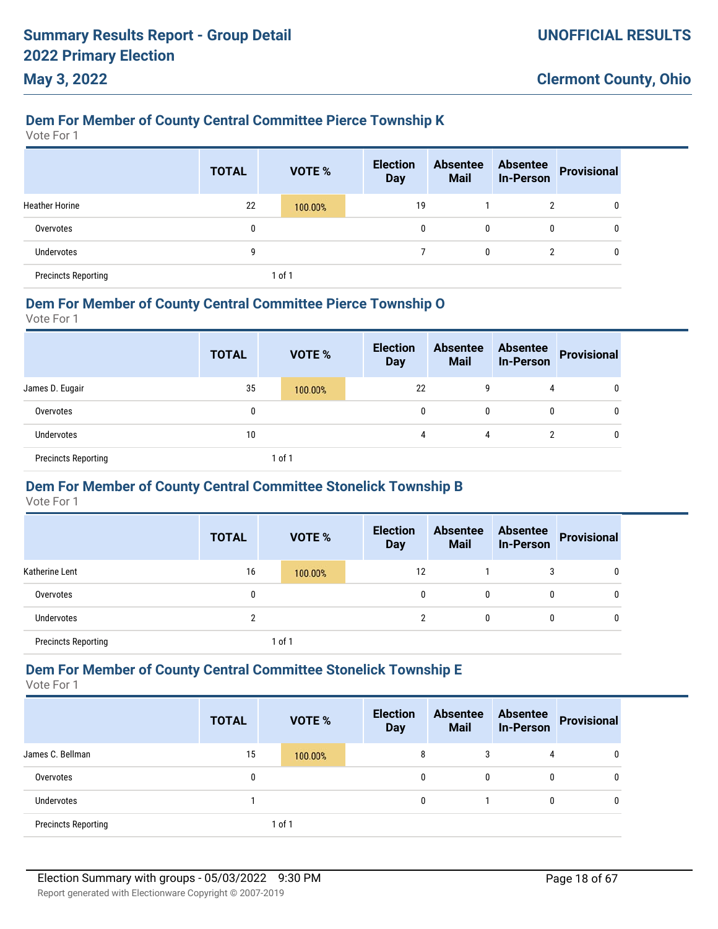### **Dem For Member of County Central Committee Pierce Township K**

Vote For 1

**May 3, 2022**

|                            | <b>TOTAL</b> |        | <b>VOTE %</b> | <b>Election</b><br><b>Day</b> | <b>Absentee</b><br><b>Mail</b> | <b>Absentee</b><br><b>In-Person</b> | Provisional  |
|----------------------------|--------------|--------|---------------|-------------------------------|--------------------------------|-------------------------------------|--------------|
| <b>Heather Horine</b>      | 22           |        | 100.00%       | 19                            |                                | <sup>2</sup>                        | 0            |
| Overvotes                  | 0            |        |               | 0                             | 0                              | 0                                   | $\mathbf{0}$ |
| Undervotes                 | 9            |        |               |                               | 0                              | $\overline{2}$                      | 0            |
| <b>Precincts Reporting</b> |              | 1 of 1 |               |                               |                                |                                     |              |

#### **Dem For Member of County Central Committee Pierce Township O**

Vote For 1

|                            | <b>TOTAL</b> | <b>VOTE %</b> | <b>Election</b><br><b>Day</b> | <b>Absentee</b><br><b>Mail</b> | <b>Absentee</b><br><b>In-Person</b> | Provisional |
|----------------------------|--------------|---------------|-------------------------------|--------------------------------|-------------------------------------|-------------|
| James D. Eugair            | 35           | 100.00%       | 22                            | 9                              | 4                                   | 0           |
| Overvotes                  | 0            |               | 0                             | 0                              | 0                                   |             |
| <b>Undervotes</b>          | 10           |               | 4                             | 4                              | 2                                   | 0           |
| <b>Precincts Reporting</b> |              | 1 of 1        |                               |                                |                                     |             |

### **Dem For Member of County Central Committee Stonelick Township B**

Vote For 1

|                            | <b>TOTAL</b> | <b>VOTE %</b> | <b>Election</b><br><b>Day</b> | <b>Absentee</b><br><b>Mail</b> | <b>Absentee</b><br><b>In-Person</b> | Provisional |
|----------------------------|--------------|---------------|-------------------------------|--------------------------------|-------------------------------------|-------------|
| Katherine Lent             | 16           | 100.00%       | 12                            |                                |                                     | 0           |
| Overvotes                  | 0            |               | 0                             | 0                              |                                     | 0           |
| Undervotes                 | ∩            |               | ŋ                             | 0                              |                                     | 0           |
| <b>Precincts Reporting</b> |              | l of 1        |                               |                                |                                     |             |

#### **Dem For Member of County Central Committee Stonelick Township E**

|                            | <b>TOTAL</b> | VOTE %  | <b>Election</b><br><b>Day</b> | <b>Absentee</b><br><b>Mail</b> | <b>Absentee</b><br><b>In-Person</b> | <b>Provisional</b> |
|----------------------------|--------------|---------|-------------------------------|--------------------------------|-------------------------------------|--------------------|
| James C. Bellman           | 15           | 100.00% | 8                             | 3                              | 4                                   | 0                  |
| Overvotes                  | 0            |         | 0                             | 0                              | 0                                   | 0                  |
| <b>Undervotes</b>          |              |         | 0                             |                                | 0                                   | 0                  |
| <b>Precincts Reporting</b> |              | of 1    |                               |                                |                                     |                    |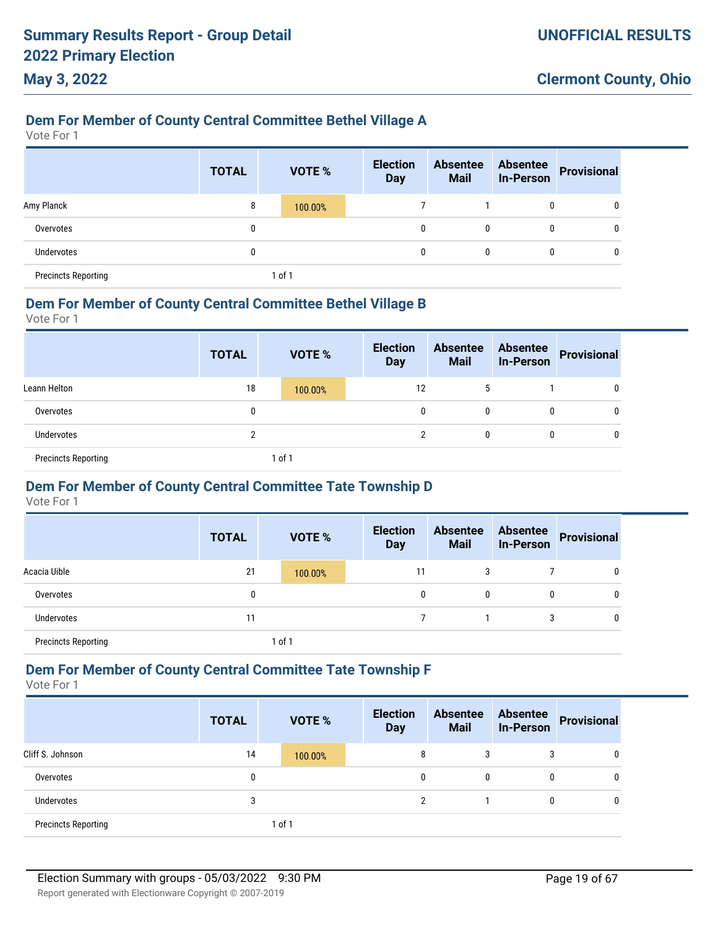# **Dem For Member of County Central Committee Bethel Village A**

Vote For 1

**May 3, 2022**

|                            | <b>TOTAL</b> | VOTE %  | <b>Election</b><br><b>Day</b> | <b>Absentee</b><br><b>Mail</b> | <b>Absentee</b><br><b>In-Person</b> | <b>Provisional</b> |
|----------------------------|--------------|---------|-------------------------------|--------------------------------|-------------------------------------|--------------------|
| Amy Planck                 | 8            | 100.00% |                               |                                | 0                                   | 0                  |
| Overvotes                  | 0            |         | $\mathbf{0}$                  | 0                              | 0                                   | 0                  |
| Undervotes                 | 0            |         | $\mathbf{0}$                  | 0                              | 0                                   | 0                  |
| <b>Precincts Reporting</b> |              | 1 of 1  |                               |                                |                                     |                    |

#### **Dem For Member of County Central Committee Bethel Village B**

Vote For 1

|                            | <b>TOTAL</b> | <b>VOTE %</b> | <b>Election</b><br><b>Day</b> | <b>Absentee</b><br><b>Mail</b> | <b>Absentee</b><br>In-Person | Provisional  |
|----------------------------|--------------|---------------|-------------------------------|--------------------------------|------------------------------|--------------|
| Leann Helton               | 18           | 100.00%       | 12                            | <sup>5</sup>                   |                              | 0            |
| Overvotes                  | 0            |               | 0                             |                                | 0                            | $\mathbf{0}$ |
| Undervotes                 | າ            |               |                               | 0                              | 0                            | 0            |
| <b>Precincts Reporting</b> |              | 1 of 1        |                               |                                |                              |              |

### **Dem For Member of County Central Committee Tate Township D**

Vote For 1

|                            | <b>TOTAL</b> | <b>VOTE %</b> | <b>Election</b><br><b>Day</b> | <b>Absentee</b><br><b>Mail</b> | <b>Absentee</b><br><b>In-Person</b> | <b>Provisional</b> |
|----------------------------|--------------|---------------|-------------------------------|--------------------------------|-------------------------------------|--------------------|
| Acacia Uible               | 21           | 100.00%       | 11                            | 3                              |                                     | 0                  |
| Overvotes                  | 0            |               | 0                             | 0                              | 0                                   | 0                  |
| <b>Undervotes</b>          | 11           |               |                               |                                | 3                                   | 0                  |
| <b>Precincts Reporting</b> |              | 1 of 1        |                               |                                |                                     |                    |

#### **Dem For Member of County Central Committee Tate Township F**

|                            | <b>TOTAL</b> | VOTE %  | <b>Election</b><br><b>Day</b> | <b>Absentee</b><br><b>Mail</b> | <b>Absentee</b><br><b>In-Person</b> | <b>Provisional</b> |
|----------------------------|--------------|---------|-------------------------------|--------------------------------|-------------------------------------|--------------------|
| Cliff S. Johnson           | 14           | 100.00% | 8                             | 3                              | 3                                   | 0                  |
| Overvotes                  | 0            |         | 0                             | 0                              | 0                                   | 0                  |
| Undervotes                 | 3            |         | ≘                             |                                | 0                                   | 0                  |
| <b>Precincts Reporting</b> |              | 1 of 1  |                               |                                |                                     |                    |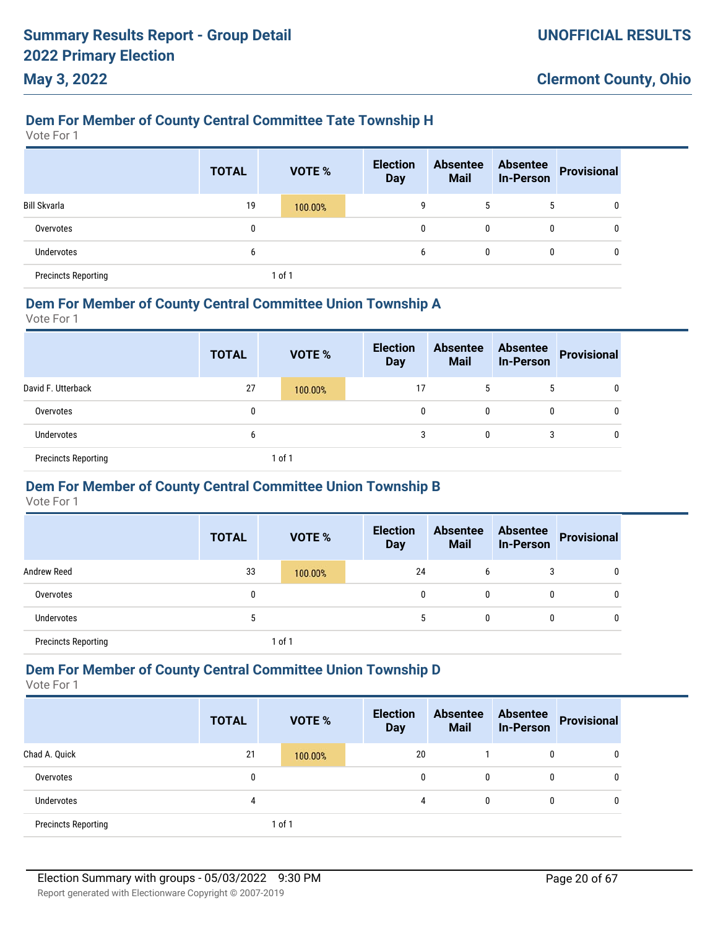# **Dem For Member of County Central Committee Tate Township H**

Vote For 1

**May 3, 2022**

|                            | <b>TOTAL</b> | <b>VOTE %</b> | <b>Election</b><br><b>Day</b> | <b>Absentee</b><br><b>Mail</b> | <b>Absentee</b><br><b>In-Person</b> | <b>Provisional</b> |
|----------------------------|--------------|---------------|-------------------------------|--------------------------------|-------------------------------------|--------------------|
| <b>Bill Skvarla</b>        | 19           | 100.00%       | 9                             | 5                              | 5                                   | 0                  |
| Overvotes                  | 0            |               | 0                             | 0                              | 0                                   | 0                  |
| <b>Undervotes</b>          | b            |               | 6                             | 0                              | 0                                   | $\mathbf{0}$       |
| <b>Precincts Reporting</b> |              | 1 of 1        |                               |                                |                                     |                    |

#### **Dem For Member of County Central Committee Union Township A**

Vote For 1

|                            | <b>TOTAL</b> | <b>VOTE %</b> | <b>Election</b><br><b>Day</b> | <b>Absentee</b><br><b>Mail</b> | <b>Absentee</b><br><b>In-Person</b> | Provisional |
|----------------------------|--------------|---------------|-------------------------------|--------------------------------|-------------------------------------|-------------|
| David F. Utterback         | 27           | 100.00%       | 17                            | J.                             | 5                                   | 0           |
| Overvotes                  | 0            |               | 0                             | 0                              | 0                                   |             |
| <b>Undervotes</b>          | 6            |               | 3                             | 0                              | 3                                   | U           |
| <b>Precincts Reporting</b> |              | 1 of 1        |                               |                                |                                     |             |

### **Dem For Member of County Central Committee Union Township B**

Vote For 1

|                            | <b>TOTAL</b> | <b>VOTE %</b> | <b>Election</b><br><b>Day</b> | <b>Absentee</b><br><b>Mail</b> | <b>Absentee</b><br><b>In-Person</b> | <b>Provisional</b> |
|----------------------------|--------------|---------------|-------------------------------|--------------------------------|-------------------------------------|--------------------|
| <b>Andrew Reed</b>         | 33           | 100.00%       | 24                            | 6                              | 3                                   | 0                  |
| Overvotes                  | 0            |               | 0                             | $\mathbf{0}$                   | 0                                   | 0                  |
| <b>Undervotes</b>          | b.           |               | 5                             | 0                              | 0                                   | 0                  |
| <b>Precincts Reporting</b> |              | of 1          |                               |                                |                                     |                    |

### **Dem For Member of County Central Committee Union Township D**

|                            | <b>TOTAL</b> | <b>VOTE %</b> | <b>Election</b><br><b>Day</b> | <b>Absentee</b><br><b>Mail</b> | <b>Absentee</b><br><b>In-Person</b> | Provisional  |
|----------------------------|--------------|---------------|-------------------------------|--------------------------------|-------------------------------------|--------------|
| Chad A. Quick              | 21           | 100.00%       | 20                            |                                | 0                                   | 0            |
| Overvotes                  | 0            |               | 0                             | $\mathbf{0}$                   | 0                                   | 0            |
| Undervotes                 | 4            |               | 4                             | $\mathbf{0}$                   | 0                                   | $\mathbf{0}$ |
| <b>Precincts Reporting</b> |              | 1 of 1        |                               |                                |                                     |              |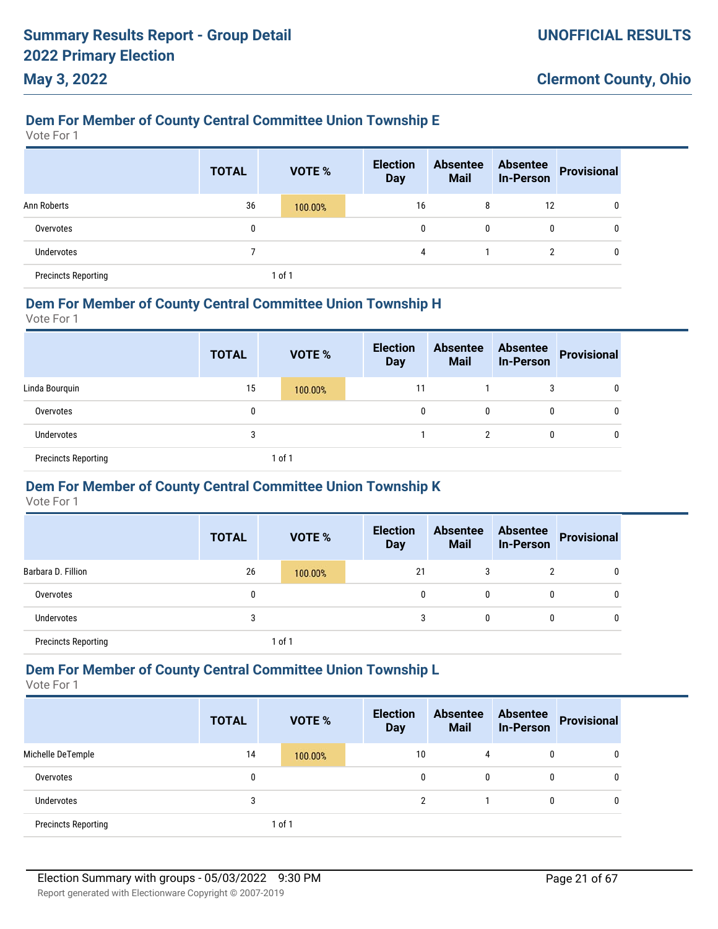# **Dem For Member of County Central Committee Union Township E**

Vote For 1

**May 3, 2022**

|                            | <b>TOTAL</b> | <b>VOTE %</b> | <b>Election</b><br><b>Day</b> | <b>Absentee</b><br><b>Mail</b> | <b>Absentee</b><br><b>In-Person</b> | <b>Provisional</b> |
|----------------------------|--------------|---------------|-------------------------------|--------------------------------|-------------------------------------|--------------------|
| Ann Roberts                | 36           | 100.00%       | 16                            | 8                              | 12                                  | 0                  |
| Overvotes                  | 0            |               | $\mathbf{0}$                  | $\mathbf{0}$                   | 0                                   | 0                  |
| Undervotes                 |              |               | 4                             |                                |                                     | 0                  |
| <b>Precincts Reporting</b> |              | 1 of 1        |                               |                                |                                     |                    |

#### **Dem For Member of County Central Committee Union Township H**

Vote For 1

|                            | <b>TOTAL</b> |        | <b>VOTE %</b> | <b>Election</b><br><b>Day</b> | <b>Absentee</b><br><b>Mail</b> | <b>Absentee</b><br><b>In-Person</b> | Provisional |
|----------------------------|--------------|--------|---------------|-------------------------------|--------------------------------|-------------------------------------|-------------|
| Linda Bourguin             | 15           |        | 100.00%       | 11                            |                                | 3                                   | 0           |
| Overvotes                  | 0            |        |               | 0                             | 0                              | $\mathbf{0}$                        | 0           |
| Undervotes                 | 3            |        |               |                               | 2                              | $\mathbf{0}$                        | U           |
| <b>Precincts Reporting</b> |              | 1 of 1 |               |                               |                                |                                     |             |

### **Dem For Member of County Central Committee Union Township K**

Vote For 1

|                            | <b>TOTAL</b> | <b>VOTE %</b> | <b>Election</b><br><b>Day</b> | <b>Absentee</b><br><b>Mail</b> | <b>Absentee</b><br><b>In-Person</b> | <b>Provisional</b> |
|----------------------------|--------------|---------------|-------------------------------|--------------------------------|-------------------------------------|--------------------|
| Barbara D. Fillion         | 26           | 100.00%       | 21                            | 3                              | 2                                   | 0                  |
| Overvotes                  | 0            |               | 0                             | 0                              | 0                                   | 0                  |
| <b>Undervotes</b>          | 3            |               |                               | 0                              | 0                                   | 0                  |
| <b>Precincts Reporting</b> |              | of 1          |                               |                                |                                     |                    |

### **Dem For Member of County Central Committee Union Township L**

|                            | <b>TOTAL</b> | <b>VOTE %</b> | <b>Election</b><br><b>Day</b> | <b>Absentee</b><br><b>Mail</b> | <b>Absentee</b><br><b>In-Person</b> | <b>Provisional</b> |
|----------------------------|--------------|---------------|-------------------------------|--------------------------------|-------------------------------------|--------------------|
| Michelle DeTemple          | 14           | 100.00%       | 10                            | 4                              | 0                                   | 0                  |
| Overvotes                  |              |               | $\mathbf{0}$                  | 0                              | 0                                   | 0                  |
| <b>Undervotes</b>          | 3            |               | C                             |                                | 0                                   | 0                  |
| <b>Precincts Reporting</b> |              | 1 of 1        |                               |                                |                                     |                    |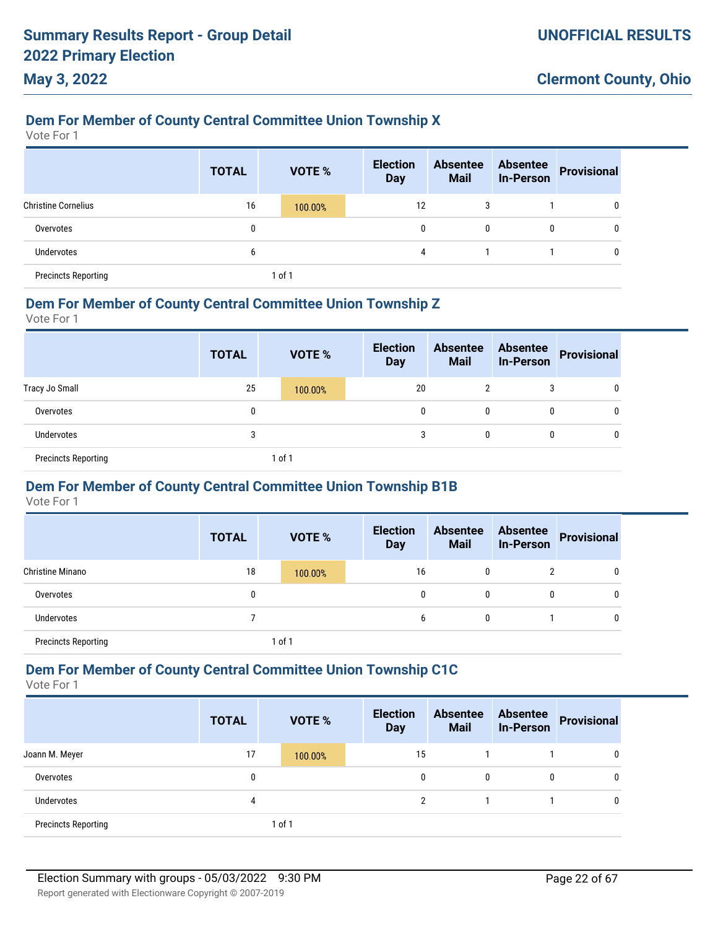### **Dem For Member of County Central Committee Union Township X**

Vote For 1

**May 3, 2022**

|                            | <b>TOTAL</b> |        | VOTE %  | <b>Election</b><br><b>Day</b> | <b>Absentee</b><br><b>Mail</b> | <b>Absentee</b><br><b>In-Person</b> | <b>Provisional</b> |
|----------------------------|--------------|--------|---------|-------------------------------|--------------------------------|-------------------------------------|--------------------|
| <b>Christine Cornelius</b> | 16           |        | 100.00% | 12                            | 3                              |                                     | 0                  |
| Overvotes                  | 0            |        |         | 0                             | 0                              | 0                                   | 0                  |
| Undervotes                 | 6            |        |         | 4                             |                                |                                     | 0                  |
| <b>Precincts Reporting</b> |              | 1 of 1 |         |                               |                                |                                     |                    |

#### **Dem For Member of County Central Committee Union Township Z**

Vote For 1

|                            | <b>TOTAL</b> | <b>VOTE %</b> | <b>Election</b><br><b>Day</b> | <b>Absentee</b><br><b>Mail</b> | <b>Absentee</b><br><b>In-Person</b> | Provisional |
|----------------------------|--------------|---------------|-------------------------------|--------------------------------|-------------------------------------|-------------|
| Tracy Jo Small             | 25           | 100.00%       | 20                            | 2                              | 3                                   | 0           |
| Overvotes                  | 0            |               | 0                             | 0                              | $\mathbf{0}$                        | U           |
| <b>Undervotes</b>          | 3            |               | 3                             | 0                              | 0                                   | 0           |
| <b>Precincts Reporting</b> |              | 1 of 1        |                               |                                |                                     |             |

### **Dem For Member of County Central Committee Union Township B1B**

Vote For 1

|                            | <b>TOTAL</b> |        | <b>VOTE %</b> | <b>Election</b><br><b>Day</b> | <b>Absentee</b><br><b>Mail</b> | <b>Absentee</b><br><b>In-Person</b> | Provisional |
|----------------------------|--------------|--------|---------------|-------------------------------|--------------------------------|-------------------------------------|-------------|
| <b>Christine Minano</b>    | 18           |        | 100.00%       | 16                            | 0                              |                                     | 0           |
| Overvotes                  |              |        |               | 0                             | 0                              |                                     | 0           |
| Undervotes                 |              |        |               | b                             | 0                              |                                     | 0           |
| <b>Precincts Reporting</b> |              | 1 of 1 |               |                               |                                |                                     |             |

### **Dem For Member of County Central Committee Union Township C1C**

|                            | <b>TOTAL</b> | <b>VOTE %</b> | <b>Election</b><br><b>Day</b> | <b>Absentee</b><br><b>Mail</b> | <b>Absentee</b><br><b>In-Person</b> | <b>Provisional</b> |
|----------------------------|--------------|---------------|-------------------------------|--------------------------------|-------------------------------------|--------------------|
| Joann M. Meyer             | 17           | 100.00%       | 15                            |                                |                                     | 0                  |
| Overvotes                  | 0            |               | 0                             | 0                              | 0                                   | 0                  |
| Undervotes                 | 4            |               | ŋ                             |                                |                                     | 0                  |
| <b>Precincts Reporting</b> |              | 1 of 1        |                               |                                |                                     |                    |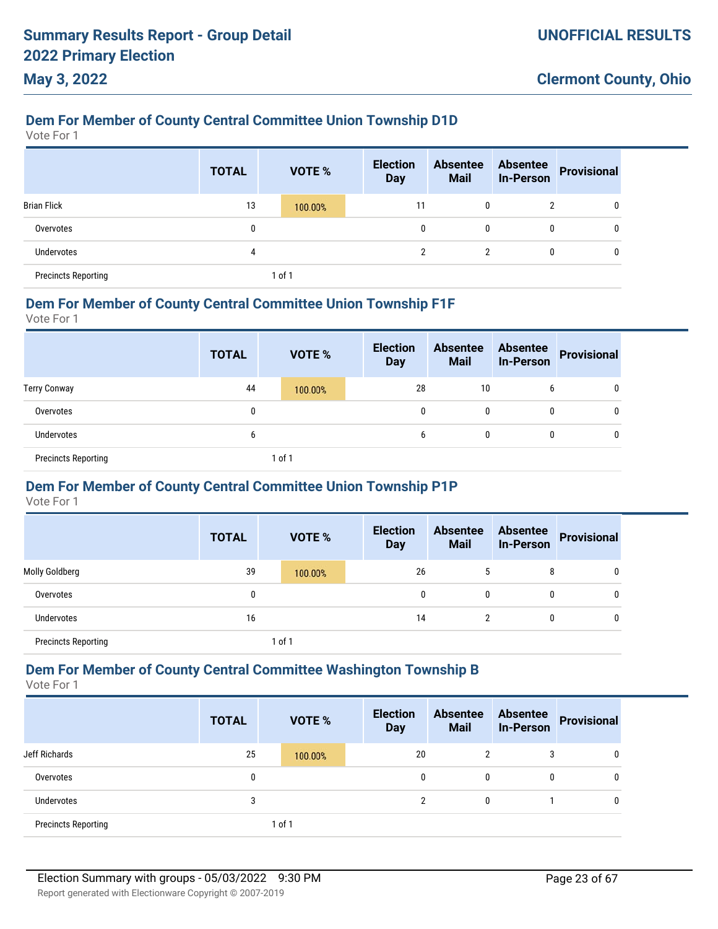### **Dem For Member of County Central Committee Union Township D1D**

Vote For 1

**May 3, 2022**

|                            | <b>TOTAL</b> | <b>VOTE %</b> | <b>Election</b><br><b>Day</b> | <b>Absentee</b><br><b>Mail</b> | <b>Absentee</b><br><b>In-Person</b> | Provisional |
|----------------------------|--------------|---------------|-------------------------------|--------------------------------|-------------------------------------|-------------|
| <b>Brian Flick</b>         | 13           | 100.00%       | 11                            | 0                              | 2                                   | 0           |
| Overvotes                  | 0            |               | 0                             | 0                              | 0                                   | 0           |
| Undervotes                 | 4            |               | $\overline{2}$                | 2                              | 0                                   | 0           |
| <b>Precincts Reporting</b> |              | 1 of 1        |                               |                                |                                     |             |

#### **Dem For Member of County Central Committee Union Township F1F**

Vote For 1

|                            | <b>TOTAL</b> | <b>VOTE %</b> | <b>Election</b><br><b>Day</b> | <b>Absentee</b><br><b>Mail</b> | <b>Absentee</b><br>In-Person | Provisional |
|----------------------------|--------------|---------------|-------------------------------|--------------------------------|------------------------------|-------------|
| <b>Terry Conway</b>        | 44           | 100.00%       | 28                            | 10                             | 6                            | 0           |
| Overvotes                  | 0            |               | 0                             | 0                              | $\mathbf{0}$                 | 0           |
| <b>Undervotes</b>          | b            |               | b                             | 0                              | 0                            | 0           |
| <b>Precincts Reporting</b> |              | 1 of 1        |                               |                                |                              |             |

### **Dem For Member of County Central Committee Union Township P1P**

Vote For 1

|                            | <b>TOTAL</b> | <b>VOTE %</b> | <b>Election</b><br><b>Day</b> | <b>Absentee</b><br><b>Mail</b> | <b>Absentee</b><br><b>In-Person</b> | <b>Provisional</b> |
|----------------------------|--------------|---------------|-------------------------------|--------------------------------|-------------------------------------|--------------------|
| Molly Goldberg             | 39           | 100.00%       | 26                            |                                | 8                                   | 0                  |
| Overvotes                  |              |               | 0                             | 0                              | 0                                   | 0                  |
| Undervotes                 | 16           |               | 14                            | 2                              | 0                                   | 0                  |
| <b>Precincts Reporting</b> |              | 1 of 1        |                               |                                |                                     |                    |

#### **Dem For Member of County Central Committee Washington Township B**

|                            | <b>TOTAL</b> | <b>VOTE %</b> | <b>Election</b><br><b>Day</b> | <b>Absentee</b><br><b>Mail</b> | <b>Absentee</b><br><b>In-Person</b> | Provisional |
|----------------------------|--------------|---------------|-------------------------------|--------------------------------|-------------------------------------|-------------|
| Jeff Richards              | 25           | 100.00%       | 20                            | 2                              | 3                                   | 0           |
| Overvotes                  | 0            |               | 0                             | $\mathbf{0}$                   | 0                                   | 0           |
| <b>Undervotes</b>          | 3            |               | າ                             | $\mathbf{0}$                   |                                     |             |
| <b>Precincts Reporting</b> |              | 1 of 1        |                               |                                |                                     |             |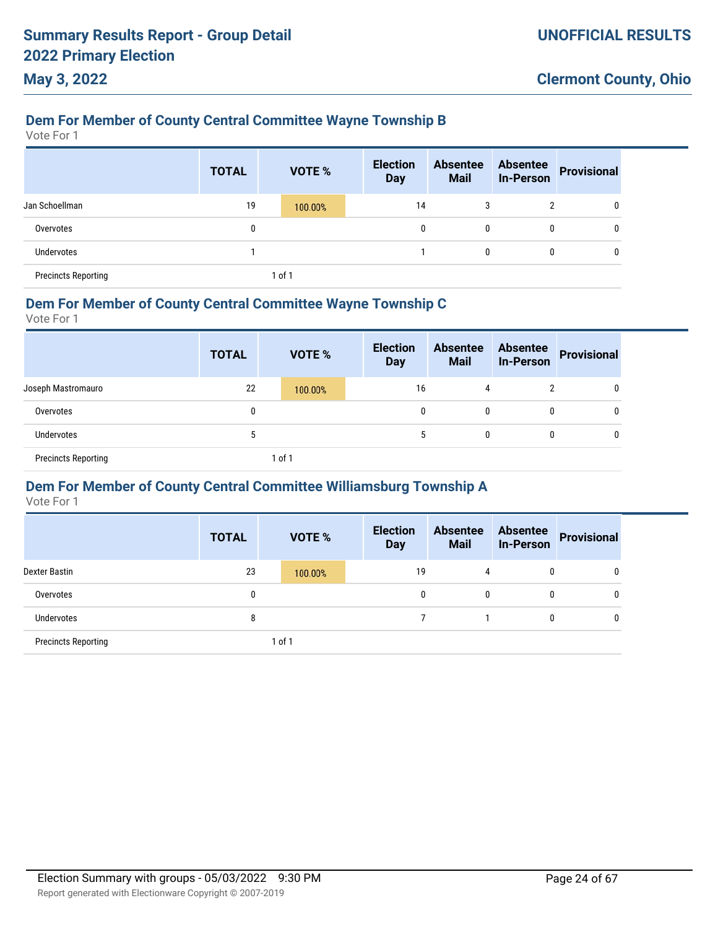### **Dem For Member of County Central Committee Wayne Township B**

Vote For 1

**May 3, 2022**

|                            | <b>TOTAL</b> | VOTE %  | <b>Election</b><br><b>Day</b> | <b>Absentee</b><br><b>Mail</b> | <b>Absentee</b><br><b>In-Person</b> | <b>Provisional</b> |
|----------------------------|--------------|---------|-------------------------------|--------------------------------|-------------------------------------|--------------------|
| Jan Schoellman             | 19           | 100.00% | 14                            | 3                              | 2                                   | 0                  |
| Overvotes                  | 0            |         | 0                             | 0                              | 0                                   | 0                  |
| <b>Undervotes</b>          |              |         |                               | $\mathbf{0}$                   | 0                                   | 0                  |
| <b>Precincts Reporting</b> |              | 1 of 1  |                               |                                |                                     |                    |

#### **Dem For Member of County Central Committee Wayne Township C**

Vote For 1

|                            | <b>TOTAL</b> |        | <b>VOTE %</b> | <b>Election</b><br><b>Day</b> | <b>Absentee</b><br><b>Mail</b> | <b>Absentee</b><br><b>In-Person</b> | Provisional |
|----------------------------|--------------|--------|---------------|-------------------------------|--------------------------------|-------------------------------------|-------------|
| Joseph Mastromauro         | 22           |        | 100.00%       | 16                            | 4                              | າ                                   | 0           |
| Overvotes                  | 0            |        |               | 0                             | 0                              | $\mathbf{0}$                        | U           |
| <b>Undervotes</b>          | 5            |        |               | 5                             | 0                              | $\mathbf{0}$                        | U           |
| <b>Precincts Reporting</b> |              | 1 of 1 |               |                               |                                |                                     |             |

### **Dem For Member of County Central Committee Williamsburg Township A**

|                            | <b>TOTAL</b> | <b>VOTE %</b> | <b>Election</b><br><b>Day</b> | <b>Absentee</b><br><b>Mail</b> | <b>Absentee</b><br><b>In-Person</b> | <b>Provisional</b> |
|----------------------------|--------------|---------------|-------------------------------|--------------------------------|-------------------------------------|--------------------|
| Dexter Bastin              | 23           | 100.00%       | 19                            | 4                              | 0                                   | 0                  |
| Overvotes                  | 0            |               | 0                             | 0                              | 0                                   | 0                  |
| Undervotes                 | 8            |               |                               |                                | 0                                   | 0                  |
| <b>Precincts Reporting</b> |              | 1 of 1        |                               |                                |                                     |                    |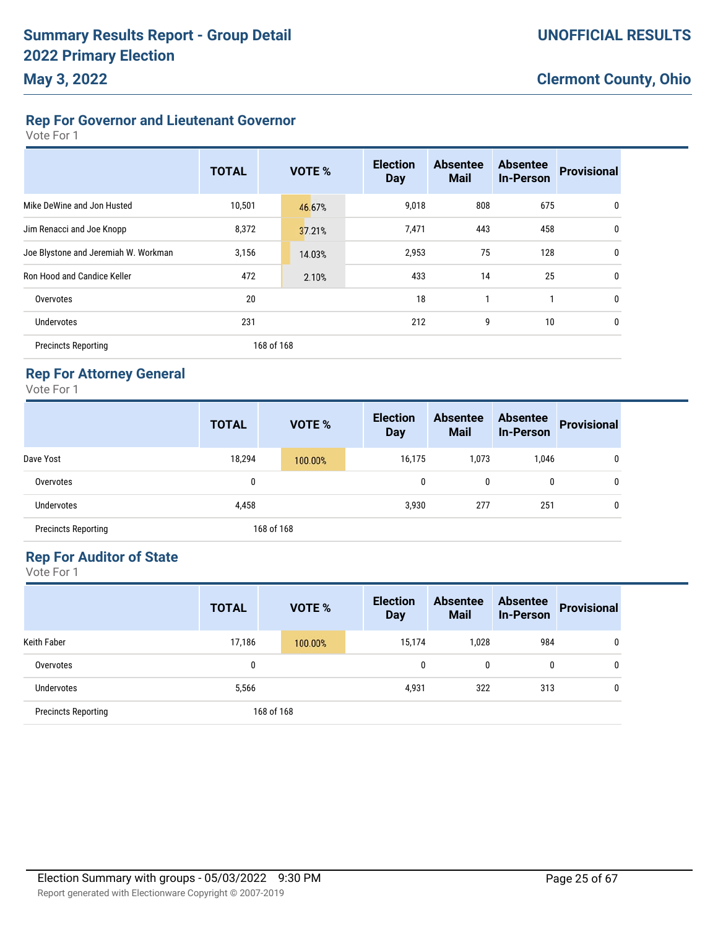## **Rep For Governor and Lieutenant Governor**

Vote For 1

|                                      | <b>TOTAL</b> | <b>VOTE %</b> | <b>Election</b><br><b>Day</b> | <b>Absentee</b><br><b>Mail</b> | <b>Absentee</b><br><b>In-Person</b> | <b>Provisional</b> |
|--------------------------------------|--------------|---------------|-------------------------------|--------------------------------|-------------------------------------|--------------------|
| Mike DeWine and Jon Husted           | 10,501       | 46.67%        | 9,018                         | 808                            | 675                                 | 0                  |
| Jim Renacci and Joe Knopp            | 8,372        | 37.21%        | 7,471                         | 443                            | 458                                 | 0                  |
| Joe Blystone and Jeremiah W. Workman | 3,156        | 14.03%        | 2,953                         | 75                             | 128                                 | 0                  |
| Ron Hood and Candice Keller          | 472          | 2.10%         | 433                           | 14                             | 25                                  | 0                  |
| Overvotes                            | 20           |               | 18                            |                                | 1                                   | 0                  |
| Undervotes                           | 231          |               | 212                           | 9                              | 10                                  | 0                  |
| <b>Precincts Reporting</b>           |              | 168 of 168    |                               |                                |                                     |                    |

### **Rep For Attorney General**

Vote For 1

|                            | <b>TOTAL</b> | <b>VOTE %</b> | <b>Election</b><br><b>Day</b> | <b>Absentee</b><br><b>Mail</b> | <b>Absentee</b><br><b>In-Person</b> | <b>Provisional</b> |
|----------------------------|--------------|---------------|-------------------------------|--------------------------------|-------------------------------------|--------------------|
| Dave Yost                  | 18,294       | 100.00%       | 16,175                        | 1,073                          | 1,046                               | 0                  |
| Overvotes                  | 0            |               | 0                             | 0                              | 0                                   | 0                  |
| <b>Undervotes</b>          | 4,458        |               | 3,930                         | 277                            | 251                                 | 0                  |
| <b>Precincts Reporting</b> |              | 168 of 168    |                               |                                |                                     |                    |

### **Rep For Auditor of State**

|                            | <b>TOTAL</b> | <b>VOTE %</b> |  | <b>Election</b><br><b>Day</b> | <b>Absentee</b><br><b>Mail</b> | <b>Absentee</b><br><b>In-Person</b> | <b>Provisional</b> |
|----------------------------|--------------|---------------|--|-------------------------------|--------------------------------|-------------------------------------|--------------------|
| <b>Keith Faber</b>         | 17,186       | 100.00%       |  | 15,174                        | 1,028                          | 984                                 | 0                  |
| Overvotes                  | 0            |               |  |                               | 0                              | 0                                   | 0                  |
| <b>Undervotes</b>          | 5,566        |               |  |                               | 322                            | 313                                 | 0                  |
| <b>Precincts Reporting</b> |              | 168 of 168    |  |                               |                                |                                     |                    |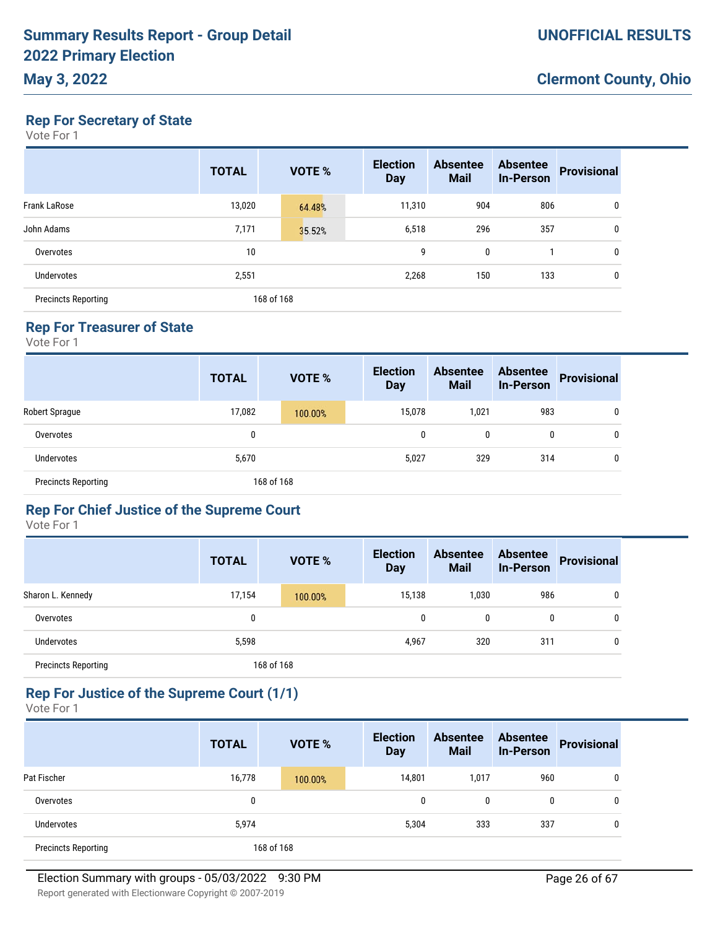### **May 3, 2022**

**Rep For Secretary of State**

Vote For 1

|                            | <b>TOTAL</b> | <b>VOTE %</b> | <b>Election</b><br><b>Day</b> | <b>Absentee</b><br><b>Mail</b> | <b>Absentee</b><br><b>In-Person</b> | <b>Provisional</b> |
|----------------------------|--------------|---------------|-------------------------------|--------------------------------|-------------------------------------|--------------------|
| <b>Frank LaRose</b>        | 13,020       | 64.48%        | 11,310                        | 904                            | 806                                 | 0                  |
| John Adams                 | 7,171        | 35.52%        | 6,518                         | 296                            | 357                                 | 0                  |
| Overvotes                  | 10           |               | 9                             | $\mathbf 0$                    |                                     | 0                  |
| <b>Undervotes</b>          | 2,551        |               | 2,268                         | 150                            | 133                                 | 0                  |
| <b>Precincts Reporting</b> |              | 168 of 168    |                               |                                |                                     |                    |

### **Rep For Treasurer of State**

Vote For 1

|                            | <b>TOTAL</b> | <b>VOTE %</b> | <b>Election</b><br><b>Day</b> | <b>Absentee</b><br><b>Mail</b> | <b>Absentee</b><br><b>In-Person</b> | <b>Provisional</b> |
|----------------------------|--------------|---------------|-------------------------------|--------------------------------|-------------------------------------|--------------------|
| Robert Sprague             | 17,082       | 100.00%       | 15,078                        | 1,021                          | 983                                 | 0                  |
| Overvotes                  | 0            |               | 0                             | 0                              | 0                                   | 0                  |
| <b>Undervotes</b>          | 5,670        |               | 5,027                         | 329                            | 314                                 | 0                  |
| <b>Precincts Reporting</b> |              | 168 of 168    |                               |                                |                                     |                    |

### **Rep For Chief Justice of the Supreme Court**

Vote For 1

|                            | <b>TOTAL</b> | <b>VOTE %</b> | <b>Election</b><br><b>Day</b> | <b>Absentee</b><br><b>Mail</b> | <b>Absentee</b><br><b>In-Person</b> | <b>Provisional</b> |
|----------------------------|--------------|---------------|-------------------------------|--------------------------------|-------------------------------------|--------------------|
| Sharon L. Kennedy          | 17,154       | 100.00%       | 15,138                        | 1,030                          | 986                                 | 0                  |
| Overvotes                  | 0            |               | 0                             | 0                              | 0                                   | 0                  |
| <b>Undervotes</b>          | 5,598        |               | 4,967                         | 320                            | 311                                 | 0                  |
| <b>Precincts Reporting</b> |              | 168 of 168    |                               |                                |                                     |                    |

### **Rep For Justice of the Supreme Court (1/1)**

|                            | <b>TOTAL</b> | <b>VOTE %</b> | <b>Election</b><br><b>Day</b> | <b>Absentee</b><br><b>Mail</b> | <b>Absentee</b><br><b>In-Person</b> | <b>Provisional</b> |
|----------------------------|--------------|---------------|-------------------------------|--------------------------------|-------------------------------------|--------------------|
| Pat Fischer                | 16,778       | 100.00%       | 14,801                        | 1,017                          | 960                                 | 0                  |
| Overvotes                  | 0            |               |                               | 0                              | 0                                   | 0                  |
| <b>Undervotes</b>          | 5,974        |               | 5,304                         | 333                            | 337                                 | 0                  |
| <b>Precincts Reporting</b> |              | 168 of 168    |                               |                                |                                     |                    |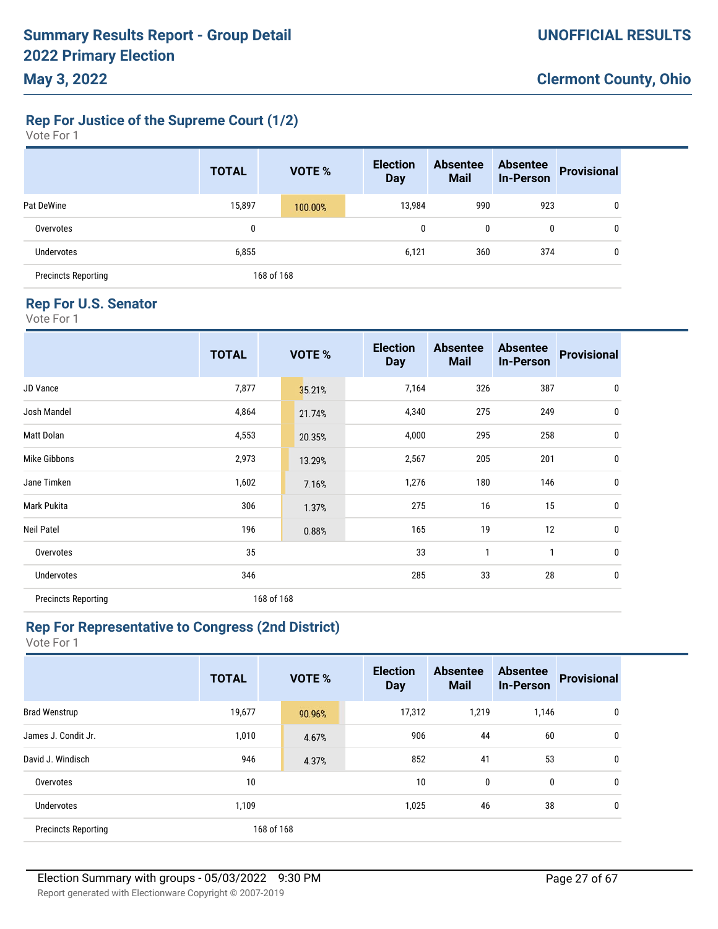**Rep For Justice of the Supreme Court (1/2)**

| Vote For 1 |  |  |
|------------|--|--|
|------------|--|--|

|                            | <b>TOTAL</b> | <b>VOTE %</b> | <b>Election</b><br><b>Day</b> | <b>Absentee</b><br><b>Mail</b> | <b>Absentee</b><br><b>In-Person</b> | <b>Provisional</b> |
|----------------------------|--------------|---------------|-------------------------------|--------------------------------|-------------------------------------|--------------------|
| Pat DeWine                 | 15,897       | 100.00%       | 13,984                        | 990                            | 923                                 | 0                  |
| Overvotes                  | 0            |               | 0                             | 0                              | 0                                   | 0                  |
| Undervotes                 | 6,855        |               | 6,121                         | 360                            | 374                                 | 0                  |
| <b>Precincts Reporting</b> |              | 168 of 168    |                               |                                |                                     |                    |

#### **Rep For U.S. Senator**

Vote For 1

|                            | <b>TOTAL</b> |            | VOTE % | <b>Election</b><br><b>Day</b> | <b>Absentee</b><br><b>Mail</b> | <b>Absentee</b><br><b>In-Person</b> | <b>Provisional</b> |
|----------------------------|--------------|------------|--------|-------------------------------|--------------------------------|-------------------------------------|--------------------|
| JD Vance                   | 7,877        |            | 35.21% | 7,164                         | 326                            | 387                                 | $\mathbf 0$        |
| Josh Mandel                | 4,864        |            | 21.74% | 4,340                         | 275                            | 249                                 | 0                  |
| Matt Dolan                 | 4,553        |            | 20.35% | 4,000                         | 295                            | 258                                 | 0                  |
| Mike Gibbons               | 2,973        |            | 13.29% | 2,567                         | 205                            | 201                                 | 0                  |
| Jane Timken                | 1,602        |            | 7.16%  | 1,276                         | 180                            | 146                                 | 0                  |
| Mark Pukita                | 306          |            | 1.37%  | 275                           | 16                             | 15                                  | 0                  |
| Neil Patel                 | 196          |            | 0.88%  | 165                           | 19                             | 12                                  | 0                  |
| Overvotes                  | 35           |            |        | 33                            | $\mathbf{1}$                   | 1                                   | 0                  |
| Undervotes                 | 346          |            |        | 285                           | 33                             | 28                                  | 0                  |
| <b>Precincts Reporting</b> |              | 168 of 168 |        |                               |                                |                                     |                    |

### **Rep For Representative to Congress (2nd District)**

|                            | <b>TOTAL</b> | <b>VOTE %</b> | <b>Election</b><br><b>Day</b> | <b>Absentee</b><br><b>Mail</b> | <b>Absentee</b><br><b>In-Person</b> | <b>Provisional</b> |
|----------------------------|--------------|---------------|-------------------------------|--------------------------------|-------------------------------------|--------------------|
| <b>Brad Wenstrup</b>       | 19,677       | 90.96%        | 17,312                        | 1,219                          | 1,146                               | 0                  |
| James J. Condit Jr.        | 1,010        | 4.67%         | 906                           | 44                             | 60                                  | 0                  |
| David J. Windisch          | 946          | 4.37%         | 852                           | 41                             | 53                                  | 0                  |
| Overvotes                  | 10           |               | 10                            | 0                              | 0                                   | 0                  |
| <b>Undervotes</b>          | 1,109        |               | 1,025                         | 46                             | 38                                  | 0                  |
| <b>Precincts Reporting</b> |              | 168 of 168    |                               |                                |                                     |                    |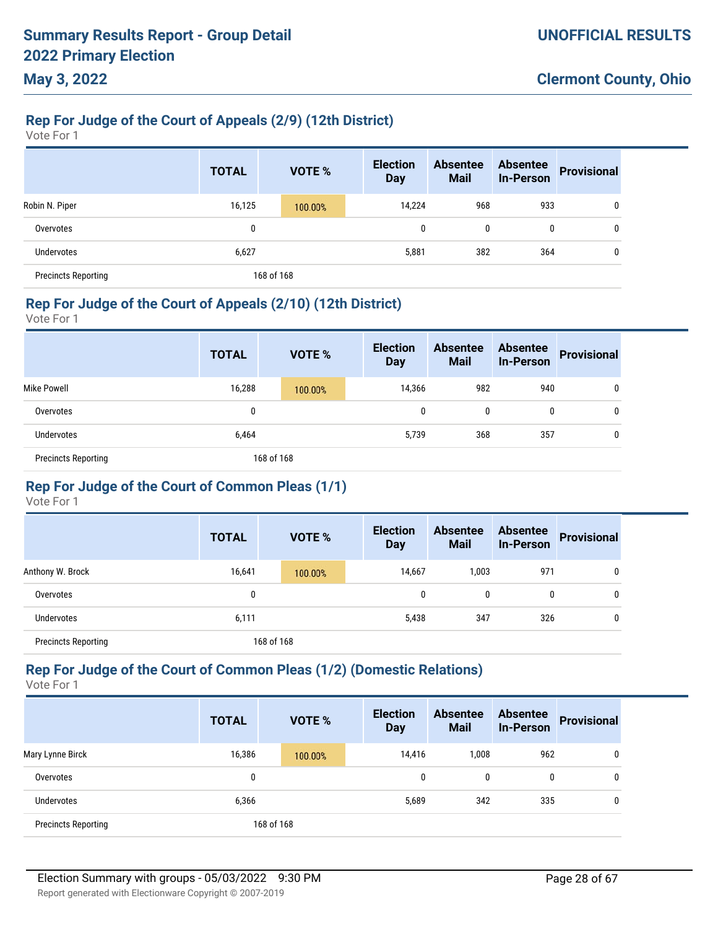# **Rep For Judge of the Court of Appeals (2/9) (12th District)**

Vote For 1

**May 3, 2022**

|                            | <b>TOTAL</b> | <b>VOTE %</b> | <b>Election</b><br><b>Day</b> | <b>Absentee</b><br><b>Mail</b> | <b>Absentee</b><br><b>In-Person</b> | <b>Provisional</b> |
|----------------------------|--------------|---------------|-------------------------------|--------------------------------|-------------------------------------|--------------------|
| Robin N. Piper             | 16,125       | 100.00%       | 14,224                        | 968                            | 933                                 | 0                  |
| Overvotes                  | 0            |               | 0                             | 0                              | 0                                   | 0                  |
| Undervotes                 | 6,627        |               | 5,881                         | 382                            | 364                                 | 0                  |
| <b>Precincts Reporting</b> |              | 168 of 168    |                               |                                |                                     |                    |

### **Rep For Judge of the Court of Appeals (2/10) (12th District)**

Vote For 1

|                            | <b>TOTAL</b> | <b>VOTE %</b> | <b>Election</b><br><b>Day</b> | <b>Absentee</b><br><b>Mail</b> | <b>Absentee</b><br><b>In-Person</b> | <b>Provisional</b> |
|----------------------------|--------------|---------------|-------------------------------|--------------------------------|-------------------------------------|--------------------|
| Mike Powell                | 16,288       | 100.00%       | 14,366                        | 982                            | 940                                 | 0                  |
| Overvotes                  | 0            |               | 0                             | 0                              | $\mathbf{0}$                        | 0                  |
| <b>Undervotes</b>          | 6,464        |               | 5,739                         | 368                            | 357                                 | 0                  |
| <b>Precincts Reporting</b> |              | 168 of 168    |                               |                                |                                     |                    |

### **Rep For Judge of the Court of Common Pleas (1/1)**

Vote For 1

|                            | <b>TOTAL</b> |            | <b>VOTE %</b> | <b>Election</b><br><b>Day</b> | <b>Absentee</b><br><b>Mail</b> | <b>Absentee</b><br><b>In-Person</b> | <b>Provisional</b> |
|----------------------------|--------------|------------|---------------|-------------------------------|--------------------------------|-------------------------------------|--------------------|
| Anthony W. Brock           | 16,641       |            | 100.00%       | 14,667                        | 1,003                          | 971                                 | 0                  |
| Overvotes                  |              |            |               | 0                             | 0                              | 0                                   | 0                  |
| <b>Undervotes</b>          | 6,111        |            |               | 5,438                         | 347                            | 326                                 | 0                  |
| <b>Precincts Reporting</b> |              | 168 of 168 |               |                               |                                |                                     |                    |

### **Rep For Judge of the Court of Common Pleas (1/2) (Domestic Relations)**

|                            | <b>TOTAL</b> | VOTE %     | <b>Election</b><br><b>Day</b> | <b>Absentee</b><br><b>Mail</b> | <b>Absentee</b><br><b>In-Person</b> | <b>Provisional</b> |
|----------------------------|--------------|------------|-------------------------------|--------------------------------|-------------------------------------|--------------------|
| Mary Lynne Birck           | 16,386       | 100.00%    | 14,416                        | 1,008                          | 962                                 | 0                  |
| Overvotes                  | 0            |            | 0                             | 0                              | 0                                   | 0                  |
| Undervotes                 | 6,366        |            | 5,689                         | 342                            | 335                                 | 0                  |
| <b>Precincts Reporting</b> |              | 168 of 168 |                               |                                |                                     |                    |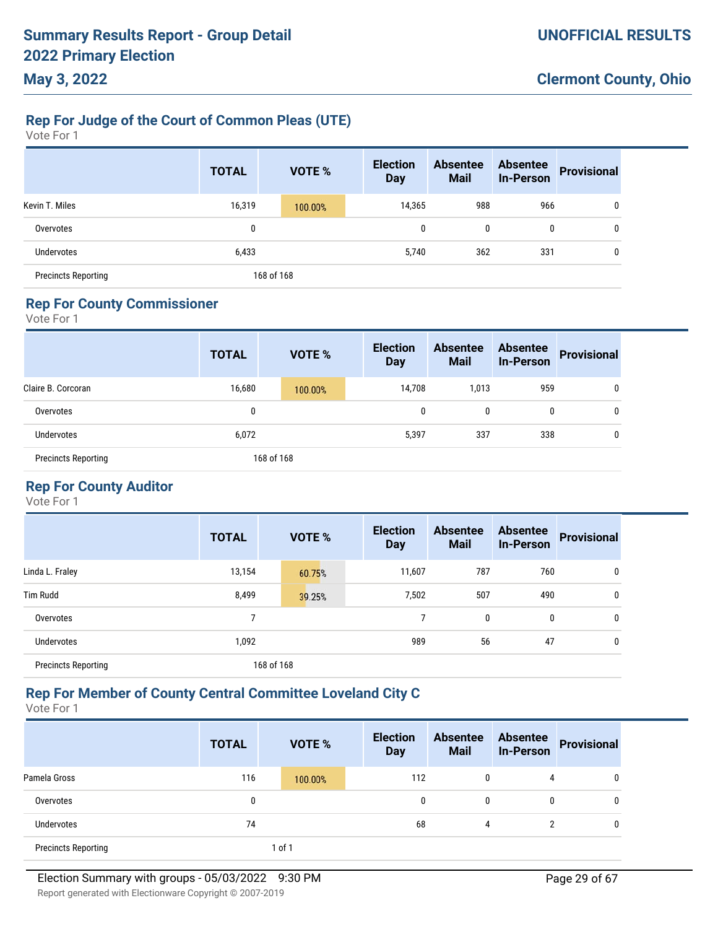### **Rep For Judge of the Court of Common Pleas (UTE)**

Vote For 1

|                            | <b>TOTAL</b> | VOTE %     | <b>Election</b><br><b>Day</b> | <b>Absentee</b><br><b>Mail</b> | <b>Absentee</b><br><b>In-Person</b> | <b>Provisional</b> |
|----------------------------|--------------|------------|-------------------------------|--------------------------------|-------------------------------------|--------------------|
| Kevin T. Miles             | 16,319       | 100.00%    | 14,365                        | 988                            | 966                                 | 0                  |
| Overvotes                  | 0            |            | 0                             | 0                              | 0                                   | 0                  |
| Undervotes                 | 6,433        |            | 5,740                         | 362                            | 331                                 | 0                  |
| <b>Precincts Reporting</b> |              | 168 of 168 |                               |                                |                                     |                    |

### **Rep For County Commissioner**

Vote For 1

|                            | <b>TOTAL</b> | <b>VOTE %</b> | <b>Election</b><br><b>Day</b> | <b>Absentee</b><br><b>Mail</b> | <b>Absentee</b><br><b>In-Person</b> | <b>Provisional</b> |
|----------------------------|--------------|---------------|-------------------------------|--------------------------------|-------------------------------------|--------------------|
| Claire B. Corcoran         | 16,680       | 100.00%       | 14,708                        | 1,013                          | 959                                 | 0                  |
| Overvotes                  | 0            |               | 0                             | 0                              | 0                                   | 0                  |
| <b>Undervotes</b>          | 6,072        |               | 5,397                         | 337                            | 338                                 | 0                  |
| <b>Precincts Reporting</b> |              | 168 of 168    |                               |                                |                                     |                    |

### **Rep For County Auditor**

Vote For 1

|                            | <b>TOTAL</b> | <b>VOTE %</b> | <b>Election</b><br><b>Day</b> | <b>Absentee</b><br><b>Mail</b> | <b>Absentee</b><br><b>In-Person</b> | <b>Provisional</b> |
|----------------------------|--------------|---------------|-------------------------------|--------------------------------|-------------------------------------|--------------------|
| Linda L. Fraley            | 13,154       | 60.75%        | 11,607                        | 787                            | 760                                 | 0                  |
| <b>Tim Rudd</b>            | 8,499        | 39.25%        | 7,502                         | 507                            | 490                                 | 0                  |
| Overvotes                  | ⇁            |               |                               | 0                              | 0                                   | 0                  |
| Undervotes                 | 1,092        |               | 989                           | 56                             | 47                                  | 0                  |
| <b>Precincts Reporting</b> |              | 168 of 168    |                               |                                |                                     |                    |

### **Rep For Member of County Central Committee Loveland City C**

|                            | <b>TOTAL</b> | <b>VOTE %</b> | <b>Election</b><br><b>Day</b> | <b>Absentee</b><br><b>Mail</b> | <b>Absentee</b><br>In-Person | <b>Provisional</b> |
|----------------------------|--------------|---------------|-------------------------------|--------------------------------|------------------------------|--------------------|
| Pamela Gross               | 116          | 100.00%       | 112                           | 0                              | 4                            | 0                  |
| Overvotes                  | 0            |               | 0                             | 0                              | 0                            | 0                  |
| Undervotes                 | 74           |               | 68                            | 4                              | າ                            | 0                  |
| <b>Precincts Reporting</b> |              | 1 of 1        |                               |                                |                              |                    |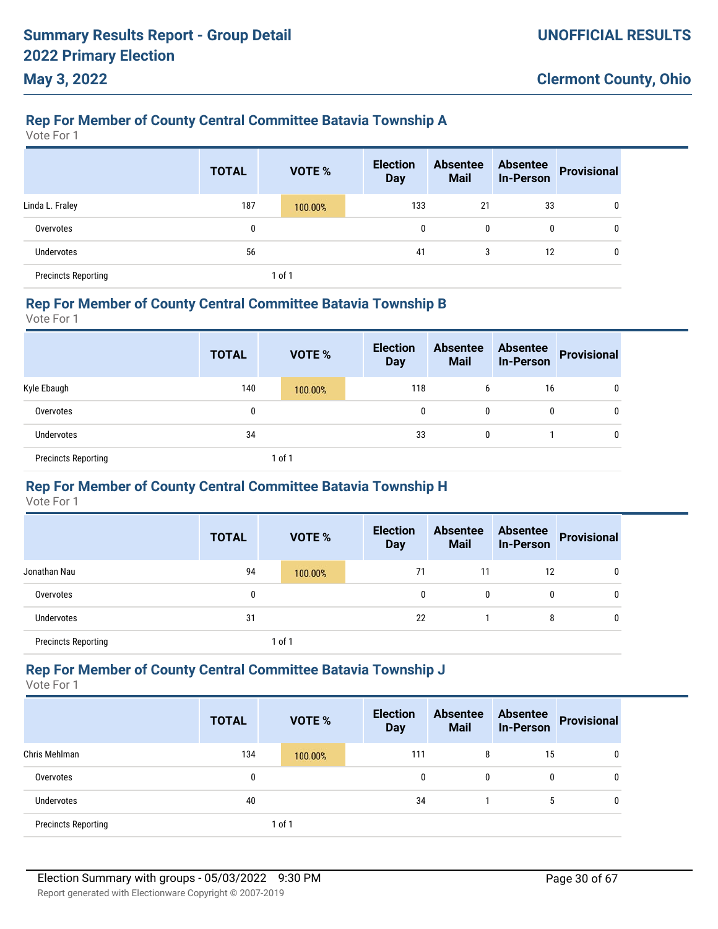# **Rep For Member of County Central Committee Batavia Township A**

Vote For 1

**May 3, 2022**

|                            | <b>TOTAL</b> | <b>VOTE %</b> | <b>Election</b><br><b>Day</b> | <b>Absentee</b><br><b>Mail</b> | <b>Absentee</b><br><b>In-Person</b> | <b>Provisional</b> |
|----------------------------|--------------|---------------|-------------------------------|--------------------------------|-------------------------------------|--------------------|
| Linda L. Fraley            | 187          | 100.00%       | 133                           | 21                             | 33                                  | 0                  |
| Overvotes                  | 0            |               | 0                             | $\mathbf{0}$                   | 0                                   | 0                  |
| Undervotes                 | 56           |               | 41                            | 3                              | 12                                  | 0                  |
| <b>Precincts Reporting</b> |              | 1 of 1        |                               |                                |                                     |                    |

#### **Rep For Member of County Central Committee Batavia Township B**

Vote For 1

|                            | <b>TOTAL</b> | <b>VOTE %</b> | <b>Election</b><br><b>Day</b> | <b>Absentee</b><br><b>Mail</b> | <b>Absentee</b><br><b>In-Person</b> | Provisional |
|----------------------------|--------------|---------------|-------------------------------|--------------------------------|-------------------------------------|-------------|
| Kyle Ebaugh                | 140          | 100.00%       | 118                           | b                              | 16                                  | 0           |
| Overvotes                  | 0            |               | $\mathbf 0$                   | 0                              | $\mathbf{0}$                        | 0           |
| <b>Undervotes</b>          | 34           |               | 33                            | 0                              |                                     | 0           |
| <b>Precincts Reporting</b> |              | 1 of 1        |                               |                                |                                     |             |

### **Rep For Member of County Central Committee Batavia Township H**

Vote For 1

|                            | <b>TOTAL</b> |        | <b>VOTE %</b> | <b>Election</b><br><b>Day</b> | <b>Absentee</b><br><b>Mail</b> | <b>Absentee</b><br><b>In-Person</b> | <b>Provisional</b> |
|----------------------------|--------------|--------|---------------|-------------------------------|--------------------------------|-------------------------------------|--------------------|
| Jonathan Nau               | 94           |        | 100.00%       | 71                            | 11                             | 12                                  | 0                  |
| Overvotes                  | 0            |        |               | 0                             | 0                              | 0                                   | 0                  |
| <b>Undervotes</b>          | 31           |        |               | 22                            |                                | 8                                   | 0                  |
| <b>Precincts Reporting</b> |              | 1 of 1 |               |                               |                                |                                     |                    |

### **Rep For Member of County Central Committee Batavia Township J**

|                            | <b>TOTAL</b> | <b>VOTE %</b> | <b>Election</b><br><b>Day</b> | <b>Absentee</b><br><b>Mail</b> | <b>Absentee</b><br><b>In-Person</b> | Provisional |
|----------------------------|--------------|---------------|-------------------------------|--------------------------------|-------------------------------------|-------------|
| Chris Mehlman              | 134          | 100.00%       | 111                           | 8                              | 15                                  | 0           |
| Overvotes                  |              |               | 0                             | 0                              | 0                                   | 0           |
| <b>Undervotes</b>          | 40           |               | 34                            |                                |                                     | 0           |
| <b>Precincts Reporting</b> |              | 1 of 1        |                               |                                |                                     |             |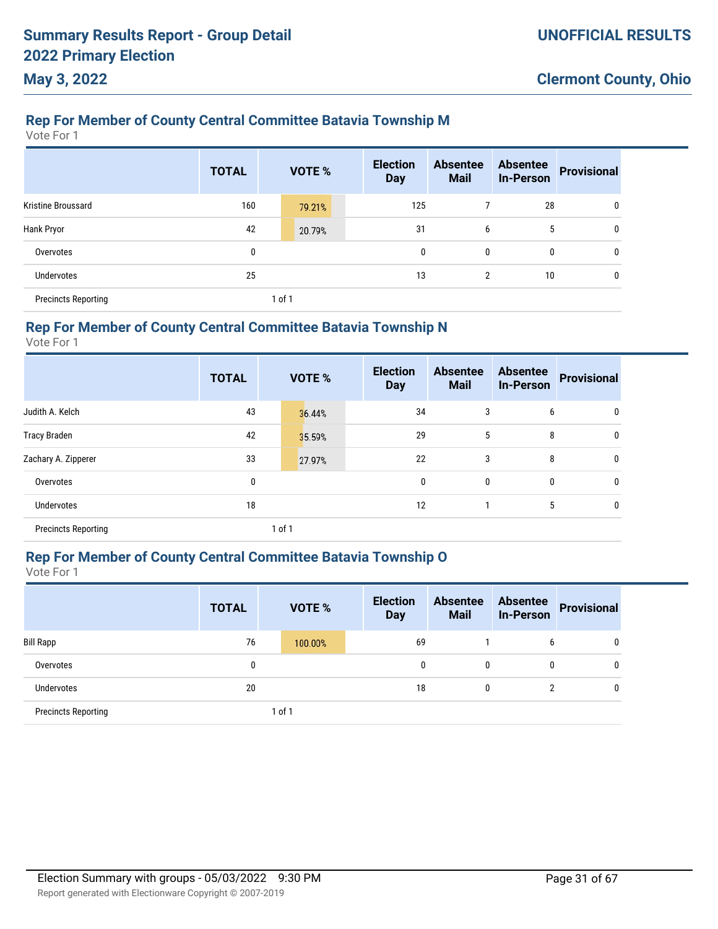### **Rep For Member of County Central Committee Batavia Township M**

Vote For 1

|                            | <b>TOTAL</b> | VOTE % | <b>Election</b><br><b>Day</b> | <b>Absentee</b><br><b>Mail</b> | <b>Absentee</b><br><b>In-Person</b> | <b>Provisional</b> |
|----------------------------|--------------|--------|-------------------------------|--------------------------------|-------------------------------------|--------------------|
| <b>Kristine Broussard</b>  | 160          | 79.21% | 125                           |                                | 28                                  | 0                  |
| Hank Pryor                 | 42           | 20.79% | 31                            | 6                              | 5                                   | 0                  |
| Overvotes                  | 0            |        | $\mathbf{0}$                  | 0                              | 0                                   | 0                  |
| <b>Undervotes</b>          | 25           |        | 13                            | 2                              | 10                                  | 0                  |
| <b>Precincts Reporting</b> |              | 1 of 1 |                               |                                |                                     |                    |

#### **Rep For Member of County Central Committee Batavia Township N**

Vote For 1

|                            | <b>TOTAL</b> |        | VOTE % | <b>Election</b><br><b>Day</b> | <b>Absentee</b><br><b>Mail</b> | <b>Absentee</b><br>In-Person | <b>Provisional</b> |
|----------------------------|--------------|--------|--------|-------------------------------|--------------------------------|------------------------------|--------------------|
| Judith A. Kelch            | 43           |        | 36.44% | 34                            | 3                              | 6                            | 0                  |
| <b>Tracy Braden</b>        | 42           |        | 35.59% | 29                            | 5                              | 8                            | 0                  |
| Zachary A. Zipperer        | 33           |        | 27.97% | 22                            | 3                              | 8                            | $\mathbf 0$        |
| Overvotes                  | 0            |        |        | $\mathbf 0$                   | 0                              | 0                            | $\mathbf 0$        |
| <b>Undervotes</b>          | 18           |        |        | 12                            |                                | 5                            | $\mathbf 0$        |
| <b>Precincts Reporting</b> |              | 1 of 1 |        |                               |                                |                              |                    |

### **Rep For Member of County Central Committee Batavia Township O**

|                            | <b>TOTAL</b> |        | <b>VOTE %</b> | <b>Election</b><br><b>Day</b> | <b>Absentee</b><br><b>Mail</b> | <b>Absentee</b><br><b>In-Person</b> | <b>Provisional</b> |
|----------------------------|--------------|--------|---------------|-------------------------------|--------------------------------|-------------------------------------|--------------------|
| <b>Bill Rapp</b>           | 76           |        | 100.00%       | 69                            |                                | 6                                   | 0                  |
| Overvotes                  | 0            |        |               | 0                             | 0                              | 0                                   | 0                  |
| <b>Undervotes</b>          | 20           |        |               | 18                            | 0                              | っ                                   | $\mathbf{0}$       |
| <b>Precincts Reporting</b> |              | 1 of 1 |               |                               |                                |                                     |                    |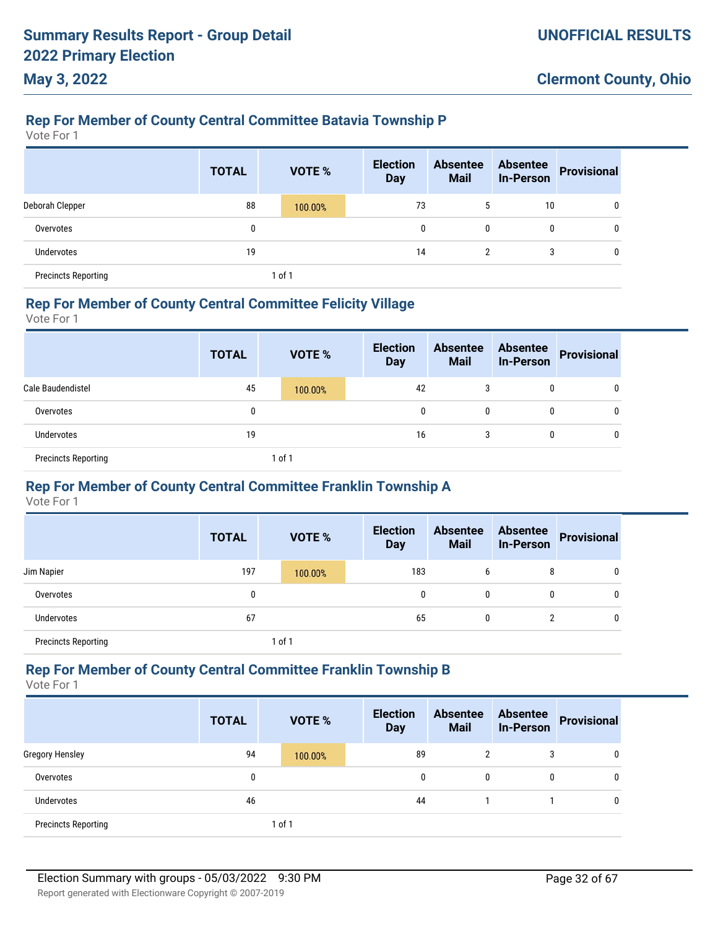# **Rep For Member of County Central Committee Batavia Township P**

Vote For 1

**May 3, 2022**

|                            | <b>TOTAL</b> | VOTE %  | <b>Election</b><br><b>Day</b> | <b>Absentee</b><br><b>Mail</b> | <b>Absentee</b><br><b>In-Person</b> | <b>Provisional</b> |
|----------------------------|--------------|---------|-------------------------------|--------------------------------|-------------------------------------|--------------------|
| Deborah Clepper            | 88           | 100.00% | 73                            | 5                              | 10                                  | 0                  |
| Overvotes                  | 0            |         | $\mathbf{0}$                  | 0                              | 0                                   | 0                  |
| Undervotes                 | 19           |         | 14                            | $\overline{2}$                 | 3                                   | 0                  |
| <b>Precincts Reporting</b> |              | 1 of 1  |                               |                                |                                     |                    |

#### **Rep For Member of County Central Committee Felicity Village**

Vote For 1

|                            | <b>TOTAL</b> | <b>VOTE %</b> | <b>Election</b><br><b>Day</b> | <b>Absentee</b><br><b>Mail</b> | <b>Absentee</b><br><b>In-Person</b> | Provisional |
|----------------------------|--------------|---------------|-------------------------------|--------------------------------|-------------------------------------|-------------|
| Cale Baudendistel          | 45           | 100.00%       | 42                            | 3                              | 0                                   | 0           |
| Overvotes                  | 0            |               | 0                             | 0                              | $\mathbf{0}$                        | U           |
| <b>Undervotes</b>          | 19           |               | 16                            | 3                              | 0                                   | U           |
| <b>Precincts Reporting</b> |              | 1 of 1        |                               |                                |                                     |             |

### **Rep For Member of County Central Committee Franklin Township A**

Vote For 1

|                            | <b>TOTAL</b> | <b>VOTE %</b> | <b>Election</b><br><b>Day</b> | <b>Absentee</b><br><b>Mail</b> | <b>Absentee</b><br><b>In-Person</b> | <b>Provisional</b> |
|----------------------------|--------------|---------------|-------------------------------|--------------------------------|-------------------------------------|--------------------|
| Jim Napier                 | 197          | 100.00%       | 183                           | b                              | 8                                   | 0                  |
| Overvotes                  | 0            |               | 0                             | $\mathbf{0}$                   | 0                                   | 0                  |
| <b>Undervotes</b>          | 67           |               | 65                            | $\mathbf{0}$                   | 2                                   | 0                  |
| <b>Precincts Reporting</b> |              | of 1          |                               |                                |                                     |                    |

#### **Rep For Member of County Central Committee Franklin Township B**

|                            | <b>TOTAL</b> | <b>VOTE %</b> | <b>Election</b><br><b>Day</b> | <b>Absentee</b><br><b>Mail</b> | <b>Absentee</b><br><b>In-Person</b> | <b>Provisional</b> |
|----------------------------|--------------|---------------|-------------------------------|--------------------------------|-------------------------------------|--------------------|
| <b>Gregory Hensley</b>     | 94           | 100.00%       | 89                            | 2                              | 3                                   | 0                  |
| Overvotes                  | 0            |               | 0                             | $\mathbf{0}$                   | 0                                   | 0                  |
| <b>Undervotes</b>          | 46           |               | 44                            |                                |                                     | 0                  |
| <b>Precincts Reporting</b> |              | 1 of 1        |                               |                                |                                     |                    |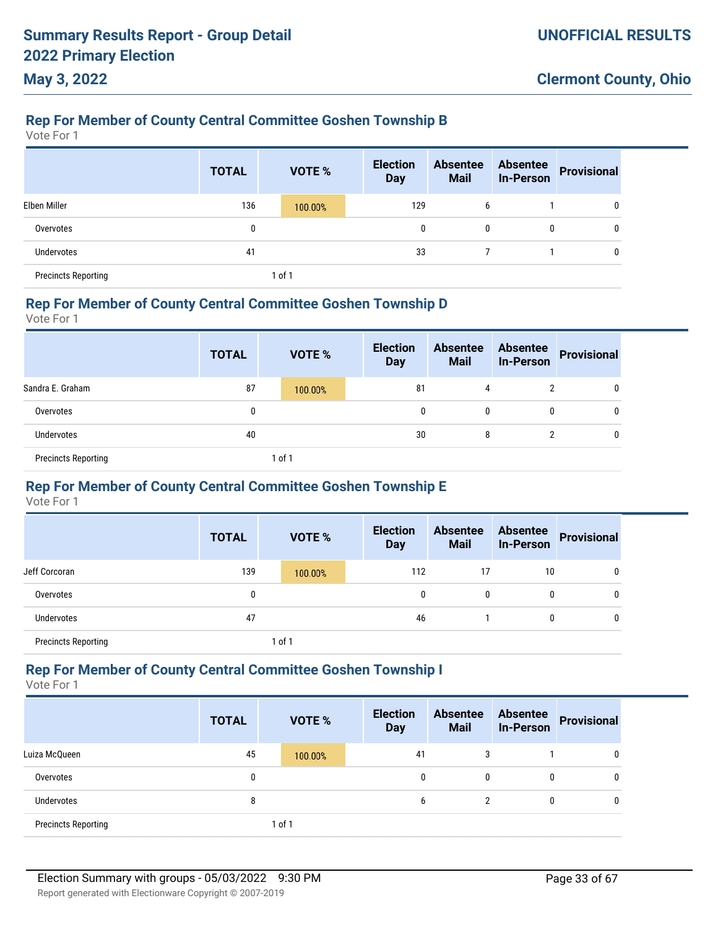# **Rep For Member of County Central Committee Goshen Township B**

Vote For 1

**May 3, 2022**

|                            | <b>TOTAL</b> |        | <b>VOTE %</b> | <b>Election</b><br><b>Day</b> | <b>Absentee</b><br><b>Mail</b> | <b>Absentee</b><br><b>In-Person</b> | <b>Provisional</b> |
|----------------------------|--------------|--------|---------------|-------------------------------|--------------------------------|-------------------------------------|--------------------|
| Elben Miller               | 136          |        | 100.00%       | 129                           | 6                              |                                     | 0                  |
| Overvotes                  | 0            |        |               | 0                             | 0                              | 0                                   | 0                  |
| Undervotes                 | 41           |        |               | 33                            |                                |                                     | 0                  |
| <b>Precincts Reporting</b> |              | 1 of 1 |               |                               |                                |                                     |                    |

#### **Rep For Member of County Central Committee Goshen Township D**

Vote For 1

|                            | <b>TOTAL</b> |        | <b>VOTE %</b> | <b>Election</b><br><b>Day</b> | <b>Absentee</b><br><b>Mail</b> | <b>Absentee</b><br><b>In-Person</b> | Provisional |
|----------------------------|--------------|--------|---------------|-------------------------------|--------------------------------|-------------------------------------|-------------|
| Sandra E. Graham           | 87           |        | 100.00%       | 81                            | 4                              | 2                                   | 0           |
| Overvotes                  | 0            |        |               | 0                             | 0                              | 0                                   | 0           |
| Undervotes                 | 40           |        |               | 30                            | 8                              | 2                                   | 0           |
| <b>Precincts Reporting</b> |              | 1 of 1 |               |                               |                                |                                     |             |

### **Rep For Member of County Central Committee Goshen Township E**

Vote For 1

|                            | <b>TOTAL</b> |        | <b>VOTE %</b> | <b>Election</b><br><b>Day</b> | <b>Absentee</b><br><b>Mail</b> | <b>Absentee</b><br><b>In-Person</b> | <b>Provisional</b> |
|----------------------------|--------------|--------|---------------|-------------------------------|--------------------------------|-------------------------------------|--------------------|
| Jeff Corcoran              | 139          |        | 100.00%       | 112                           | 17                             | 10                                  | 0                  |
| Overvotes                  | 0            |        |               | 0                             | 0                              | 0                                   | 0                  |
| Undervotes                 | 47           |        |               | 46                            |                                | 0                                   | 0                  |
| <b>Precincts Reporting</b> |              | 1 of 1 |               |                               |                                |                                     |                    |

#### **Rep For Member of County Central Committee Goshen Township I**

|                            | <b>TOTAL</b> | <b>VOTE %</b> | <b>Election</b><br><b>Day</b> | <b>Absentee</b><br><b>Mail</b> | <b>Absentee</b><br><b>In-Person</b> | <b>Provisional</b> |
|----------------------------|--------------|---------------|-------------------------------|--------------------------------|-------------------------------------|--------------------|
| Luiza McQueen              | 45           | 100.00%       | 41                            | 3                              |                                     | $\mathbf{0}$       |
| Overvotes                  | 0            |               | 0                             | 0                              | 0                                   | 0                  |
| <b>Undervotes</b>          | 8            |               | 6                             | $\overline{2}$                 | 0                                   | $\mathbf{0}$       |
| <b>Precincts Reporting</b> |              | of 1          |                               |                                |                                     |                    |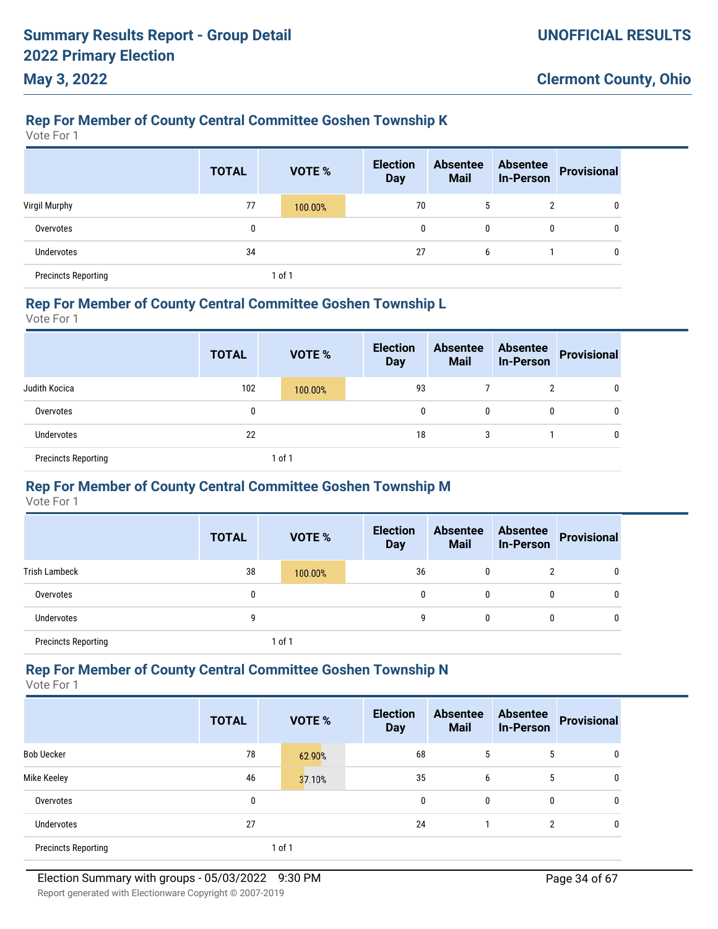# **Rep For Member of County Central Committee Goshen Township K**

Vote For 1

**May 3, 2022**

|                            | <b>TOTAL</b> | <b>VOTE %</b> | <b>Election</b><br><b>Day</b> | <b>Absentee</b><br><b>Mail</b> | <b>Absentee</b><br><b>In-Person</b> | Provisional |
|----------------------------|--------------|---------------|-------------------------------|--------------------------------|-------------------------------------|-------------|
| Virgil Murphy              | 77           | 100.00%       | 70                            |                                |                                     | 0           |
| Overvotes                  | 0            |               | 0                             | 0                              | $\mathbf{0}$                        | 0           |
| Undervotes                 | 34           |               | 27                            | 6                              |                                     | 0           |
| <b>Precincts Reporting</b> |              | 1 of 1        |                               |                                |                                     |             |

#### **Rep For Member of County Central Committee Goshen Township L**

Vote For 1

|                            | <b>TOTAL</b> | <b>VOTE %</b> | <b>Election</b><br><b>Day</b> | <b>Absentee</b><br><b>Mail</b> | <b>Absentee</b><br><b>In-Person</b> | Provisional |
|----------------------------|--------------|---------------|-------------------------------|--------------------------------|-------------------------------------|-------------|
| Judith Kocica              | 102          | 100.00%       | 93                            |                                | 2                                   | 0           |
| Overvotes                  | 0            |               | 0                             | 0                              | $\mathbf{0}$                        | 0           |
| <b>Undervotes</b>          | 22           |               | 18                            | 3                              |                                     | 0           |
| <b>Precincts Reporting</b> |              | 1 of 1        |                               |                                |                                     |             |

### **Rep For Member of County Central Committee Goshen Township M**

Vote For 1

|                            | <b>TOTAL</b> | <b>VOTE %</b> | <b>Election</b><br><b>Day</b> | <b>Absentee</b><br><b>Mail</b> | <b>Absentee</b><br><b>In-Person</b> | <b>Provisional</b> |
|----------------------------|--------------|---------------|-------------------------------|--------------------------------|-------------------------------------|--------------------|
| <b>Trish Lambeck</b>       | 38           | 100.00%       | 36                            | 0                              | າ                                   | 0                  |
| Overvotes                  | 0            |               | 0                             | 0                              | 0                                   | 0                  |
| <b>Undervotes</b>          | 9            |               | 9                             | $\mathbf{0}$                   | 0                                   | 0                  |
| <b>Precincts Reporting</b> |              | 1 of 1        |                               |                                |                                     |                    |

#### **Rep For Member of County Central Committee Goshen Township N**

|                            | <b>TOTAL</b> | <b>VOTE %</b> | <b>Election</b><br><b>Day</b> | <b>Absentee</b><br><b>Mail</b> | <b>Absentee</b><br><b>In-Person</b> | <b>Provisional</b> |
|----------------------------|--------------|---------------|-------------------------------|--------------------------------|-------------------------------------|--------------------|
| <b>Bob Uecker</b>          | 78           | 62.90%        | 68                            | 5                              | 5                                   | 0                  |
| Mike Keeley                | 46           | 37.10%        | 35                            | 6                              | 5                                   | 0                  |
| Overvotes                  | 0            |               | 0                             | $\mathbf{0}$                   | 0                                   | 0                  |
| Undervotes                 | 27           |               | 24                            |                                | $\overline{2}$                      | 0                  |
| <b>Precincts Reporting</b> |              | 1 of 1        |                               |                                |                                     |                    |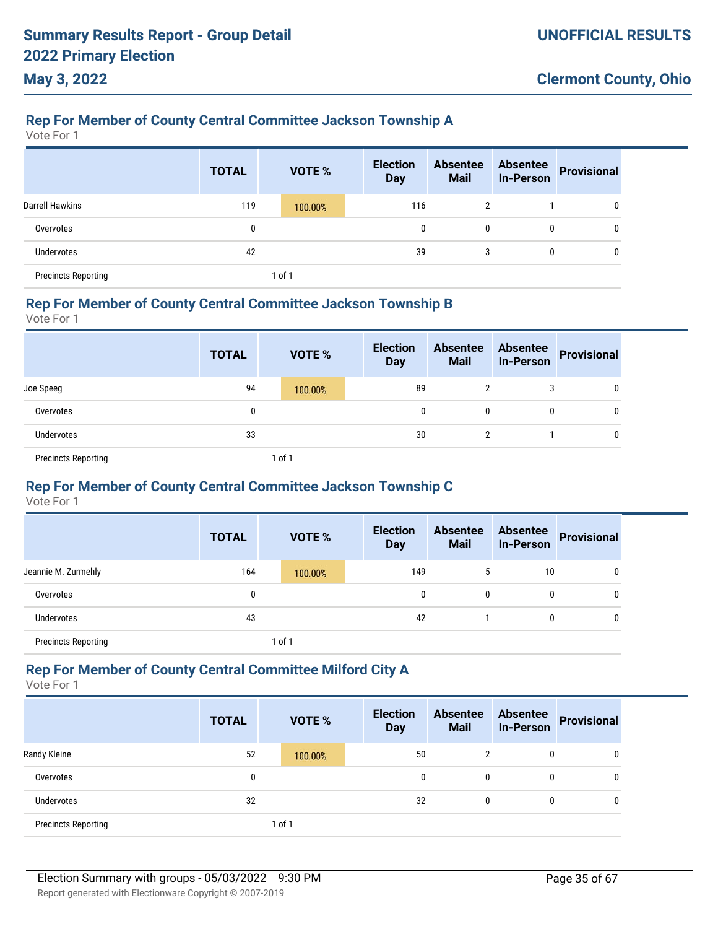# **Rep For Member of County Central Committee Jackson Township A**

Vote For 1

**May 3, 2022**

|                            | <b>TOTAL</b> | <b>VOTE %</b> | <b>Election</b><br><b>Day</b> | <b>Absentee</b><br><b>Mail</b> | <b>Absentee</b><br><b>In-Person</b> | <b>Provisional</b> |
|----------------------------|--------------|---------------|-------------------------------|--------------------------------|-------------------------------------|--------------------|
| <b>Darrell Hawkins</b>     | 119          | 100.00%       | 116                           | $\mathbf{2}$                   |                                     | 0                  |
| Overvotes                  | 0            |               | $\mathbf{0}$                  | 0                              | 0                                   | 0                  |
| Undervotes                 | 42           |               | 39                            | 3                              | 0                                   | 0                  |
| <b>Precincts Reporting</b> |              | 1 of 1        |                               |                                |                                     |                    |

#### **Rep For Member of County Central Committee Jackson Township B**

Vote For 1

|                            | <b>TOTAL</b> | <b>VOTE %</b> | <b>Election</b><br><b>Day</b> | <b>Absentee</b><br><b>Mail</b> | <b>Absentee</b><br><b>In-Person</b> | Provisional |
|----------------------------|--------------|---------------|-------------------------------|--------------------------------|-------------------------------------|-------------|
| Joe Speeg                  | 94           | 100.00%       | 89                            | 2                              | 3                                   | 0           |
| Overvotes                  | 0            |               | 0                             | 0                              | $\mathbf{0}$                        | 0           |
| Undervotes                 | 33           |               | 30                            | 2                              |                                     | 0           |
| <b>Precincts Reporting</b> |              | 1 of 1        |                               |                                |                                     |             |

### **Rep For Member of County Central Committee Jackson Township C**

Vote For 1

|                            | <b>TOTAL</b> | <b>VOTE %</b> | <b>Election</b><br><b>Day</b> | <b>Absentee</b><br><b>Mail</b> | <b>Absentee</b><br><b>In-Person</b> | <b>Provisional</b> |
|----------------------------|--------------|---------------|-------------------------------|--------------------------------|-------------------------------------|--------------------|
| Jeannie M. Zurmehly        | 164          | 100.00%       | 149                           | 5                              | 10                                  | 0                  |
| Overvotes                  | 0            |               | 0                             | $\mathbf{0}$                   | 0                                   | 0                  |
| Undervotes                 | 43           |               | 42                            |                                | 0                                   | 0                  |
| <b>Precincts Reporting</b> |              | $1$ of $1$    |                               |                                |                                     |                    |

### **Rep For Member of County Central Committee Milford City A**

|                            | <b>TOTAL</b> | <b>VOTE %</b> | <b>Election</b><br><b>Day</b> | <b>Absentee</b><br><b>Mail</b> | <b>Absentee</b><br><b>In-Person</b> | <b>Provisional</b> |
|----------------------------|--------------|---------------|-------------------------------|--------------------------------|-------------------------------------|--------------------|
| Randy Kleine               | 52           | 100.00%       | 50                            | 2                              | 0                                   | 0                  |
| Overvotes                  | 0            |               | $\mathbf{0}$                  | 0                              | 0                                   | 0                  |
| Undervotes                 | 32           |               | 32                            | 0                              | 0                                   | 0                  |
| <b>Precincts Reporting</b> |              | 1 of 1        |                               |                                |                                     |                    |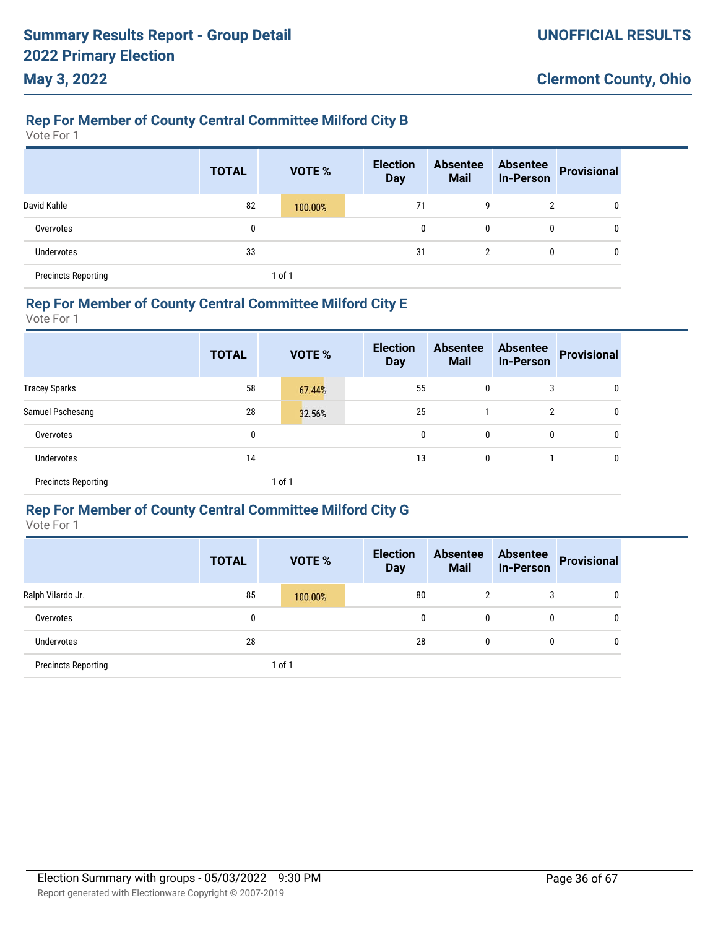# **May 3, 2022**

### **Rep For Member of County Central Committee Milford City B**

Vote For 1

|                            | <b>TOTAL</b> |        | <b>VOTE %</b> | <b>Election</b><br><b>Day</b> | <b>Absentee</b><br><b>Mail</b> | <b>Absentee</b><br><b>In-Person</b> | <b>Provisional</b> |
|----------------------------|--------------|--------|---------------|-------------------------------|--------------------------------|-------------------------------------|--------------------|
| David Kahle                | 82           |        | 100.00%       | 71                            | 9                              | 2                                   | 0                  |
| Overvotes                  | 0            |        |               | 0                             | 0                              | 0                                   | 0                  |
| <b>Undervotes</b>          | 33           |        |               | 31                            | っ<br>∠                         | 0                                   | 0                  |
| <b>Precincts Reporting</b> |              | 1 of 1 |               |                               |                                |                                     |                    |

#### **Rep For Member of County Central Committee Milford City E**

Vote For 1

|                            | <b>TOTAL</b> | VOTE % | <b>Election</b><br><b>Day</b> | <b>Absentee</b><br><b>Mail</b> | <b>Absentee</b><br><b>In-Person</b> | <b>Provisional</b> |
|----------------------------|--------------|--------|-------------------------------|--------------------------------|-------------------------------------|--------------------|
| <b>Tracey Sparks</b>       | 58           | 67.44% | 55                            | 0                              | 3                                   | 0                  |
| Samuel Pschesang           | 28           | 32.56% | 25                            |                                | 2                                   | 0                  |
| Overvotes                  | 0            |        | 0                             | 0                              | 0                                   | 0                  |
| Undervotes                 | 14           |        | 13                            | 0                              |                                     | 0                  |
| <b>Precincts Reporting</b> |              | 1 of 1 |                               |                                |                                     |                    |

### **Rep For Member of County Central Committee Milford City G**

|                            | <b>TOTAL</b> | <b>VOTE %</b> | <b>Election</b><br><b>Day</b> | <b>Absentee</b><br><b>Mail</b> | <b>Absentee</b><br><b>In-Person</b> | <b>Provisional</b> |
|----------------------------|--------------|---------------|-------------------------------|--------------------------------|-------------------------------------|--------------------|
| Ralph Vilardo Jr.          | 85           | 100.00%       | 80                            | 2                              | 3                                   | 0                  |
| Overvotes                  | 0            |               | 0                             | $\mathbf{0}$                   | 0                                   | 0                  |
| <b>Undervotes</b>          | 28           |               | 28                            | 0                              | $\mathbf{0}$                        | 0                  |
| <b>Precincts Reporting</b> |              | $1$ of $1$    |                               |                                |                                     |                    |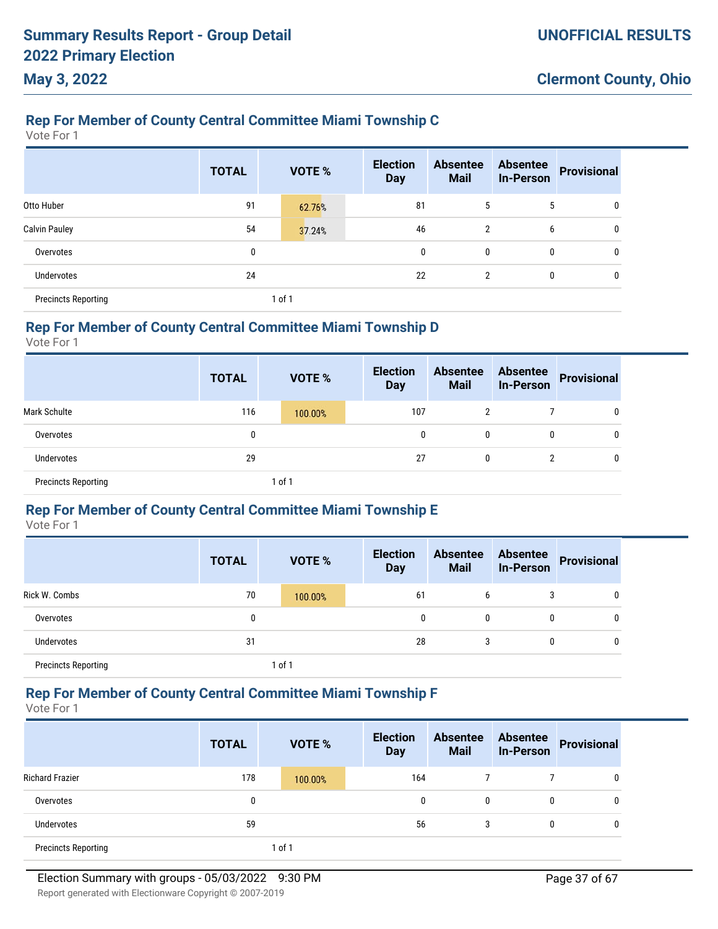# **Rep For Member of County Central Committee Miami Township C**

Vote For 1

|                            | <b>TOTAL</b> | <b>VOTE %</b> | <b>Election</b><br><b>Day</b> | <b>Absentee</b><br><b>Mail</b> | <b>Absentee</b><br><b>In-Person</b> | <b>Provisional</b> |
|----------------------------|--------------|---------------|-------------------------------|--------------------------------|-------------------------------------|--------------------|
| Otto Huber                 | 91           | 62.76%        | 81                            | 5                              | 5                                   | 0                  |
| <b>Calvin Pauley</b>       | 54           | 37.24%        | 46                            | 2                              | 6                                   | 0                  |
| Overvotes                  | 0            |               | 0                             | 0                              | 0                                   | 0                  |
| Undervotes                 | 24           |               | 22                            | 2                              | 0                                   | 0                  |
| <b>Precincts Reporting</b> |              | 1 of 1        |                               |                                |                                     |                    |

#### **Rep For Member of County Central Committee Miami Township D**

Vote For 1

|                            | <b>TOTAL</b> | <b>VOTE %</b> | <b>Election</b><br><b>Day</b> | <b>Absentee</b><br><b>Mail</b> | <b>Absentee</b><br><b>In-Person</b> | <b>Provisional</b> |
|----------------------------|--------------|---------------|-------------------------------|--------------------------------|-------------------------------------|--------------------|
| <b>Mark Schulte</b>        | 116          | 100.00%       | 107                           | 2                              |                                     | 0                  |
| Overvotes                  | 0            |               | 0                             | 0                              | 0                                   | 0                  |
| Undervotes                 | 29           |               | 27                            | 0                              |                                     | $\mathbf 0$        |
| <b>Precincts Reporting</b> |              | 1 of 1        |                               |                                |                                     |                    |

### **Rep For Member of County Central Committee Miami Township E**

Vote For 1

|                            | <b>TOTAL</b> | <b>VOTE %</b> | <b>Election</b><br><b>Day</b> | <b>Absentee</b><br><b>Mail</b> | <b>Absentee</b><br><b>In-Person</b> | <b>Provisional</b> |
|----------------------------|--------------|---------------|-------------------------------|--------------------------------|-------------------------------------|--------------------|
| Rick W. Combs              | 70           | 100.00%       | 61                            | 6                              |                                     | 0                  |
| Overvotes                  | 0            |               | 0                             | $\mathbf{0}$                   | $\mathbf{0}$                        | 0                  |
| <b>Undervotes</b>          | 31           |               | 28                            | 3                              | $\mathbf{0}$                        | 0                  |
| <b>Precincts Reporting</b> |              | 1 of 1        |                               |                                |                                     |                    |

### **Rep For Member of County Central Committee Miami Township F**

Vote For 1

|                            | <b>TOTAL</b> | <b>VOTE %</b> | <b>Election</b><br><b>Day</b> | <b>Absentee</b><br><b>Mail</b> | <b>Absentee</b><br><b>In-Person</b> | <b>Provisional</b> |
|----------------------------|--------------|---------------|-------------------------------|--------------------------------|-------------------------------------|--------------------|
| <b>Richard Frazier</b>     | 178          | 100.00%       | 164                           |                                |                                     | 0                  |
| Overvotes                  | 0            |               | 0                             | 0                              | 0                                   | 0                  |
| Undervotes                 | 59           |               | 56                            | 3                              | 0                                   | 0                  |
| <b>Precincts Reporting</b> |              | 1 of 1        |                               |                                |                                     |                    |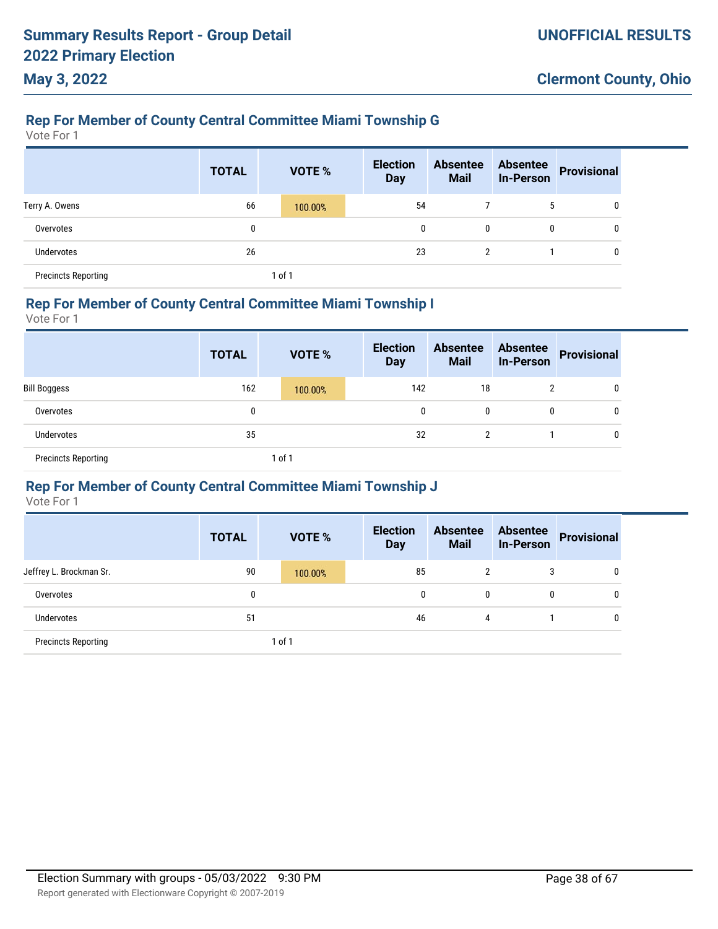### **Rep For Member of County Central Committee Miami Township G**

Vote For 1

**May 3, 2022**

|                            | <b>TOTAL</b> | VOTE %  | <b>Election</b><br><b>Day</b> | <b>Absentee</b><br><b>Mail</b> | <b>Absentee</b><br><b>In-Person</b> | <b>Provisional</b> |
|----------------------------|--------------|---------|-------------------------------|--------------------------------|-------------------------------------|--------------------|
| Terry A. Owens             | 66           | 100.00% | 54                            |                                | 5                                   | $\mathbf{0}$       |
| Overvotes                  | $\mathbf{0}$ |         | 0                             | 0                              | 0                                   | $\mathbf{0}$       |
| Undervotes                 | 26           |         | 23                            | 2                              |                                     | 0                  |
| <b>Precincts Reporting</b> |              | 1 of 1  |                               |                                |                                     |                    |

# **Rep For Member of County Central Committee Miami Township I**

Vote For 1

|                            | <b>TOTAL</b> | <b>VOTE %</b> | <b>Election</b><br><b>Day</b> | <b>Absentee</b><br><b>Mail</b> | <b>Absentee</b><br><b>In-Person</b> | <b>Provisional</b> |
|----------------------------|--------------|---------------|-------------------------------|--------------------------------|-------------------------------------|--------------------|
| <b>Bill Boggess</b>        | 162          | 100.00%       | 142                           | 18                             |                                     | 0                  |
| Overvotes                  | 0            |               | 0                             | 0                              | $\mathbf{0}$                        | 0                  |
| Undervotes                 | 35           |               | 32                            | 2                              |                                     | 0                  |
| <b>Precincts Reporting</b> |              | 1 of 1        |                               |                                |                                     |                    |

### **Rep For Member of County Central Committee Miami Township J**

|                            | <b>TOTAL</b> | <b>VOTE %</b> | <b>Election</b><br><b>Day</b> | <b>Absentee</b><br><b>Mail</b> | <b>Absentee</b><br><b>In-Person</b> | Provisional |
|----------------------------|--------------|---------------|-------------------------------|--------------------------------|-------------------------------------|-------------|
| Jeffrey L. Brockman Sr.    | 90           | 100.00%       | 85                            | C                              | 3                                   | 0           |
| Overvotes                  | 0            |               | 0                             | 0                              | 0                                   | 0           |
| Undervotes                 | 51           |               | 46                            | 4                              |                                     | 0           |
| <b>Precincts Reporting</b> |              | 1 of 1        |                               |                                |                                     |             |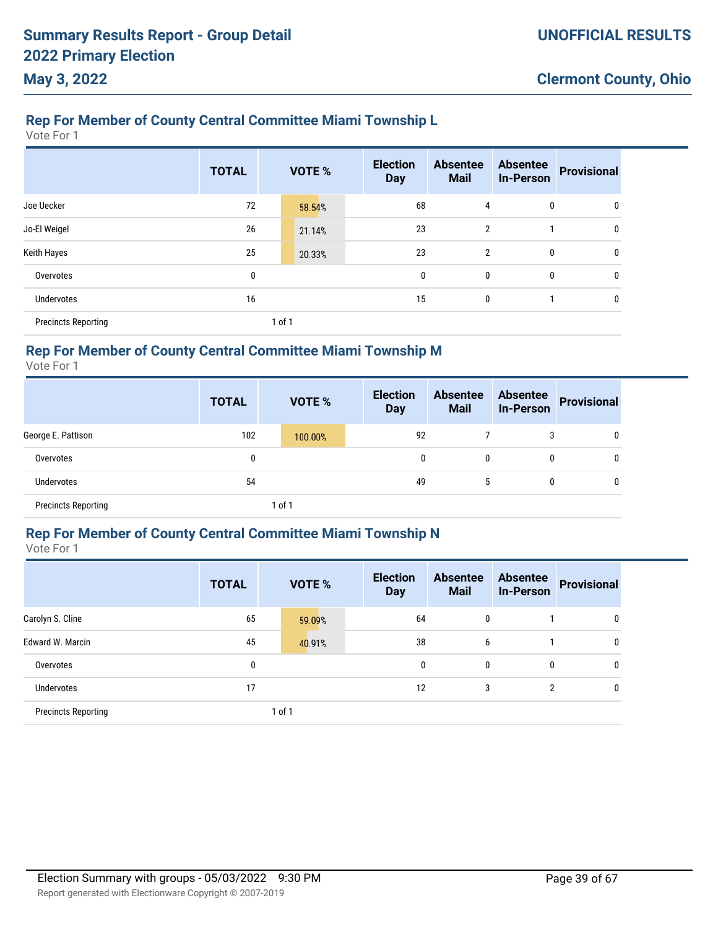### **Rep For Member of County Central Committee Miami Township L**

Vote For 1

|                            | <b>TOTAL</b> |        | VOTE % | <b>Election</b><br><b>Day</b> | <b>Absentee</b><br><b>Mail</b> | <b>Absentee</b><br><b>In-Person</b> | <b>Provisional</b> |
|----------------------------|--------------|--------|--------|-------------------------------|--------------------------------|-------------------------------------|--------------------|
| Joe Uecker                 | 72           |        | 58.54% | 68                            | 4                              | 0                                   | 0                  |
| Jo-El Weigel               | 26           |        | 21.14% | 23                            | $\overline{2}$                 |                                     | 0                  |
| Keith Hayes                | 25           |        | 20.33% | 23                            | $\overline{2}$                 | $\mathbf{0}$                        | 0                  |
| Overvotes                  | 0            |        |        | $\mathbf 0$                   | 0                              | $\mathbf{0}$                        | 0                  |
| <b>Undervotes</b>          | 16           |        |        | 15                            | 0                              |                                     | 0                  |
| <b>Precincts Reporting</b> |              | 1 of 1 |        |                               |                                |                                     |                    |

### **Rep For Member of County Central Committee Miami Township M**

Vote For 1

|                            | <b>TOTAL</b> | <b>VOTE %</b> | <b>Election</b><br><b>Day</b> | <b>Absentee</b><br><b>Mail</b> | <b>Absentee</b><br>In-Person | <b>Provisional</b> |
|----------------------------|--------------|---------------|-------------------------------|--------------------------------|------------------------------|--------------------|
| George E. Pattison         | 102          | 100.00%       | 92                            |                                | 3                            | $\mathbf{0}$       |
| Overvotes                  | 0            |               | 0                             | 0                              | 0                            | 0                  |
| <b>Undervotes</b>          | 54           |               | 49                            | 5                              | 0                            | $\mathbf{0}$       |
| <b>Precincts Reporting</b> |              | 1 of 1        |                               |                                |                              |                    |

### **Rep For Member of County Central Committee Miami Township N**

Vote For 1

|                            | <b>TOTAL</b> | <b>VOTE %</b> | <b>Election</b><br><b>Day</b> | <b>Absentee</b><br><b>Mail</b> | <b>Absentee</b><br><b>In-Person</b> | <b>Provisional</b> |
|----------------------------|--------------|---------------|-------------------------------|--------------------------------|-------------------------------------|--------------------|
| Carolyn S. Cline           | 65           | 59.09%        | 64                            | 0                              |                                     | 0                  |
| <b>Edward W. Marcin</b>    | 45           | 40.91%        | 38                            | 6                              |                                     | 0                  |
| Overvotes                  | 0            |               | 0                             | 0                              | 0                                   | 0                  |
| Undervotes                 | 17           |               | 12                            | 3                              | $\overline{2}$                      | 0                  |
| <b>Precincts Reporting</b> |              | 1 of 1        |                               |                                |                                     |                    |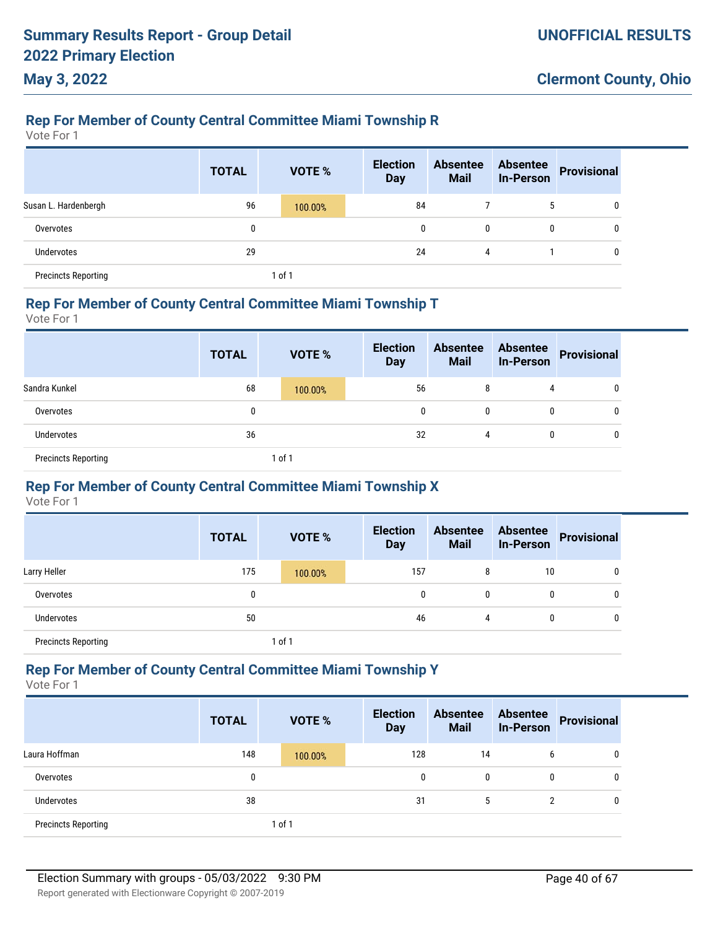# **Rep For Member of County Central Committee Miami Township R**

Vote For 1

**May 3, 2022**

|                            | <b>TOTAL</b> | VOTE %  | <b>Election</b><br><b>Day</b> | <b>Absentee</b><br><b>Mail</b> | <b>Absentee</b><br><b>In-Person</b> | <b>Provisional</b> |
|----------------------------|--------------|---------|-------------------------------|--------------------------------|-------------------------------------|--------------------|
| Susan L. Hardenbergh       | 96           | 100.00% | 84                            |                                | 5                                   | 0                  |
| Overvotes                  | 0            |         | 0                             | 0                              | 0                                   | $\mathbf{0}$       |
| <b>Undervotes</b>          | 29           |         | 24                            | 4                              |                                     | $\mathbf{0}$       |
| <b>Precincts Reporting</b> |              | of 1    |                               |                                |                                     |                    |

#### **Rep For Member of County Central Committee Miami Township T**

Vote For 1

|                            | <b>TOTAL</b> | <b>VOTE %</b> | <b>Election</b><br><b>Day</b> | <b>Absentee</b><br><b>Mail</b> | <b>Absentee</b><br><b>In-Person</b> | Provisional |
|----------------------------|--------------|---------------|-------------------------------|--------------------------------|-------------------------------------|-------------|
| Sandra Kunkel              | 68           | 100.00%       | 56                            | 8                              | 4                                   | 0           |
| Overvotes                  | 0            |               | 0                             | 0                              | $\mathbf{0}$                        | U           |
| <b>Undervotes</b>          | 36           |               | 32                            | 4                              | 0                                   | 0           |
| <b>Precincts Reporting</b> |              | 1 of 1        |                               |                                |                                     |             |

### **Rep For Member of County Central Committee Miami Township X**

Vote For 1

|                            | <b>TOTAL</b> |        | <b>VOTE %</b> | <b>Election</b><br><b>Day</b> | <b>Absentee</b><br><b>Mail</b> | <b>Absentee</b><br>In-Person | <b>Provisional</b> |
|----------------------------|--------------|--------|---------------|-------------------------------|--------------------------------|------------------------------|--------------------|
| Larry Heller               | 175          |        | 100.00%       | 157                           | 8                              | 10                           | 0                  |
| Overvotes                  | 0            |        |               | 0                             | 0                              | 0                            | 0                  |
| Undervotes                 | 50           |        |               | 46                            | 4                              | 0                            | 0                  |
| <b>Precincts Reporting</b> |              | 1 of 1 |               |                               |                                |                              |                    |

### **Rep For Member of County Central Committee Miami Township Y**

|                            | <b>TOTAL</b> | <b>VOTE %</b> | <b>Election</b><br><b>Day</b> | <b>Absentee</b><br><b>Mail</b> | <b>Absentee</b><br><b>In-Person</b> | <b>Provisional</b> |
|----------------------------|--------------|---------------|-------------------------------|--------------------------------|-------------------------------------|--------------------|
| Laura Hoffman              | 148          | 100.00%       | 128                           | 14                             | 6                                   | 0                  |
| Overvotes                  | 0            |               | 0                             | 0                              | 0                                   | 0                  |
| <b>Undervotes</b>          | 38           |               | 31                            | 5                              | 2                                   | 0                  |
| <b>Precincts Reporting</b> |              | 1 of 1        |                               |                                |                                     |                    |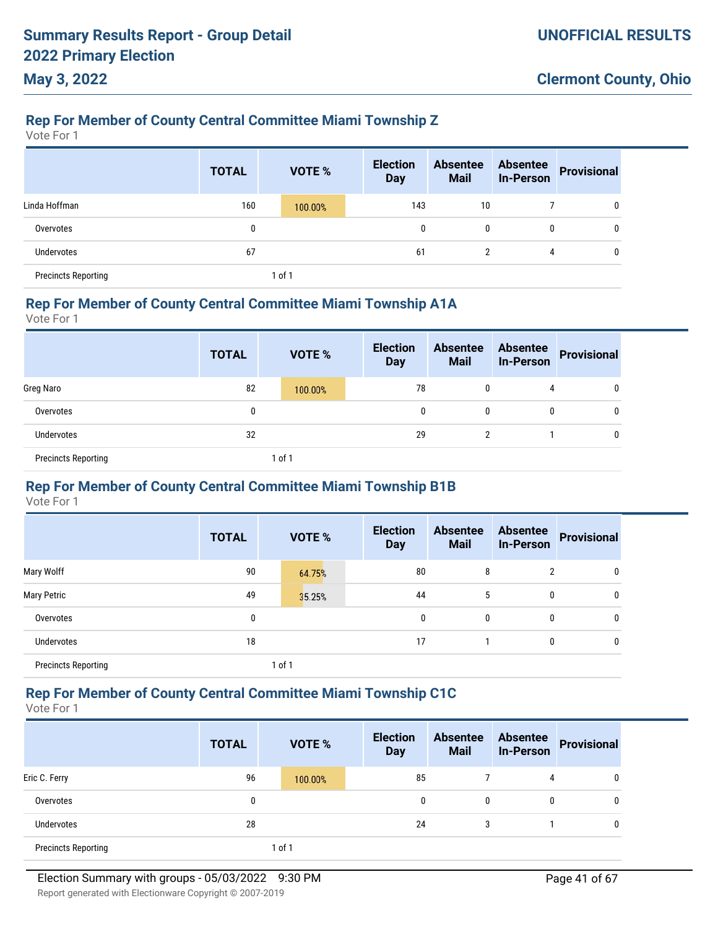# **Rep For Member of County Central Committee Miami Township Z**

Vote For 1

**May 3, 2022**

|                            | <b>TOTAL</b> | VOTE %  | <b>Election</b><br><b>Day</b> | <b>Absentee</b><br><b>Mail</b> | <b>Absentee</b><br><b>In-Person</b> | <b>Provisional</b> |
|----------------------------|--------------|---------|-------------------------------|--------------------------------|-------------------------------------|--------------------|
| Linda Hoffman              | 160          | 100.00% | 143                           | 10                             |                                     | 0                  |
| Overvotes                  | 0            |         | 0                             | 0                              | 0                                   | 0                  |
| <b>Undervotes</b>          | 67           |         | 61                            | 2                              | 4                                   | 0                  |
| <b>Precincts Reporting</b> |              | of 1    |                               |                                |                                     |                    |

#### **Rep For Member of County Central Committee Miami Township A1A**

Vote For 1

|                            | <b>TOTAL</b> | <b>VOTE %</b> | <b>Election</b><br><b>Day</b> | <b>Absentee</b><br><b>Mail</b> | <b>Absentee</b><br>In-Person | Provisional |
|----------------------------|--------------|---------------|-------------------------------|--------------------------------|------------------------------|-------------|
| Greg Naro                  | 82           | 100.00%       | 78                            | 0                              | 4                            | 0           |
| Overvotes                  | 0            |               | 0                             | 0                              | 0                            | 0           |
| Undervotes                 | 32           |               | 29                            | C                              |                              | 0           |
| <b>Precincts Reporting</b> |              | of 1          |                               |                                |                              |             |

### **Rep For Member of County Central Committee Miami Township B1B**

Vote For 1

|                            | <b>TOTAL</b> | VOTE % | <b>Election</b><br><b>Day</b> | <b>Absentee</b><br><b>Mail</b> | <b>Absentee</b><br><b>In-Person</b> | <b>Provisional</b> |
|----------------------------|--------------|--------|-------------------------------|--------------------------------|-------------------------------------|--------------------|
| Mary Wolff                 | 90           | 64.75% | 80                            | 8                              | 2                                   | 0                  |
| <b>Mary Petric</b>         | 49           | 35.25% | 44                            | 5                              | 0                                   | $\mathbf{0}$       |
| Overvotes                  | 0            |        | 0                             | 0                              | 0                                   | $\mathbf{0}$       |
| <b>Undervotes</b>          | 18           |        | 17                            |                                | 0                                   | $\mathbf{0}$       |
| <b>Precincts Reporting</b> |              | 1 of 1 |                               |                                |                                     |                    |

### **Rep For Member of County Central Committee Miami Township C1C**

Vote For 1

|                            | <b>TOTAL</b> |        | <b>VOTE %</b> | <b>Election</b><br><b>Day</b> | <b>Absentee</b><br><b>Mail</b> | <b>Absentee</b><br><b>In-Person</b> | <b>Provisional</b> |
|----------------------------|--------------|--------|---------------|-------------------------------|--------------------------------|-------------------------------------|--------------------|
| Eric C. Ferry              | 96           |        | 100.00%       | 85                            |                                | 4                                   | 0                  |
| Overvotes                  | 0            |        |               | 0                             | $\mathbf{0}$                   | 0                                   | 0                  |
| <b>Undervotes</b>          | 28           |        |               | 24                            | 3                              |                                     | 0                  |
| <b>Precincts Reporting</b> |              | 1 of 1 |               |                               |                                |                                     |                    |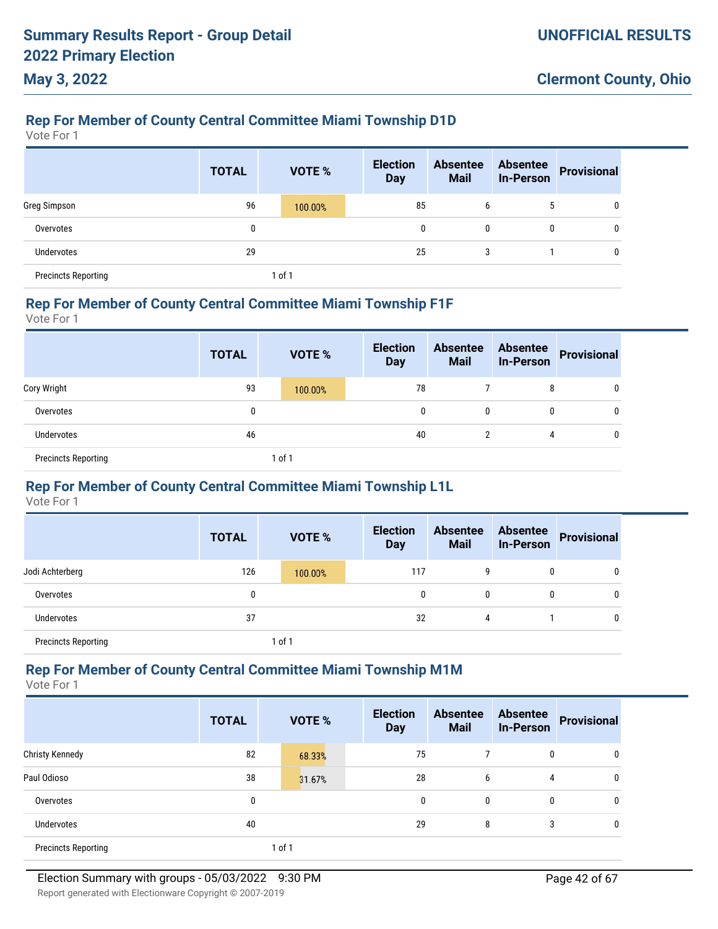# **Rep For Member of County Central Committee Miami Township D1D**

Vote For 1

**May 3, 2022**

|                            | <b>TOTAL</b> |        | <b>VOTE %</b> | <b>Election</b><br><b>Day</b> | <b>Absentee</b><br><b>Mail</b> | <b>Absentee</b><br><b>In-Person</b> | <b>Provisional</b> |
|----------------------------|--------------|--------|---------------|-------------------------------|--------------------------------|-------------------------------------|--------------------|
| Greg Simpson               | 96           |        | 100.00%       | 85                            | 6                              | 5                                   | 0                  |
| Overvotes                  | 0            |        |               | 0                             | 0                              | 0                                   | 0                  |
| <b>Undervotes</b>          | 29           |        |               | 25                            | 3                              |                                     | 0                  |
| <b>Precincts Reporting</b> |              | 1 of 1 |               |                               |                                |                                     |                    |

#### **Rep For Member of County Central Committee Miami Township F1F**

Vote For 1

|                            | <b>TOTAL</b> | <b>VOTE %</b> | <b>Election</b><br><b>Day</b> | <b>Absentee</b><br><b>Mail</b> | <b>Absentee</b><br>In-Person | Provisional |
|----------------------------|--------------|---------------|-------------------------------|--------------------------------|------------------------------|-------------|
| Cory Wright                | 93           | 100.00%       | 78                            |                                | 8                            | 0           |
| Overvotes                  | 0            |               | 0                             | 0                              | $\mathbf{0}$                 | 0           |
| <b>Undervotes</b>          | 46           |               | 40                            |                                | 4                            | 0           |
| <b>Precincts Reporting</b> |              | 1 of 1        |                               |                                |                              |             |

### **Rep For Member of County Central Committee Miami Township L1L**

Vote For 1

|                            | <b>TOTAL</b> | <b>VOTE %</b> | <b>Election</b><br><b>Day</b> | <b>Absentee</b><br><b>Mail</b> | <b>Absentee</b><br><b>In-Person</b> | Provisional |
|----------------------------|--------------|---------------|-------------------------------|--------------------------------|-------------------------------------|-------------|
| Jodi Achterberg            | 126          | 100.00%       | 117                           | g                              | 0                                   | 0           |
| Overvotes                  | 0            |               | 0                             | 0                              | 0                                   | 0           |
| <b>Undervotes</b>          | 37           |               | 32                            | 4                              |                                     | 0           |
| <b>Precincts Reporting</b> |              | 1 of 1        |                               |                                |                                     |             |

#### **Rep For Member of County Central Committee Miami Township M1M**

|                            | <b>TOTAL</b> | VOTE % | <b>Election</b><br><b>Day</b> | <b>Absentee</b><br><b>Mail</b> | <b>Absentee</b><br><b>In-Person</b> | <b>Provisional</b> |
|----------------------------|--------------|--------|-------------------------------|--------------------------------|-------------------------------------|--------------------|
| <b>Christy Kennedy</b>     | 82           | 68.33% | 75                            |                                | 0                                   | 0                  |
| Paul Odioso                | 38           | 31.67% | 28                            | 6                              | 4                                   | 0                  |
| Overvotes                  | 0            |        | $\mathbf 0$                   | 0                              | 0                                   | 0                  |
| Undervotes                 | 40           |        | 29                            | 8                              | 3                                   | 0                  |
| <b>Precincts Reporting</b> |              | 1 of 1 |                               |                                |                                     |                    |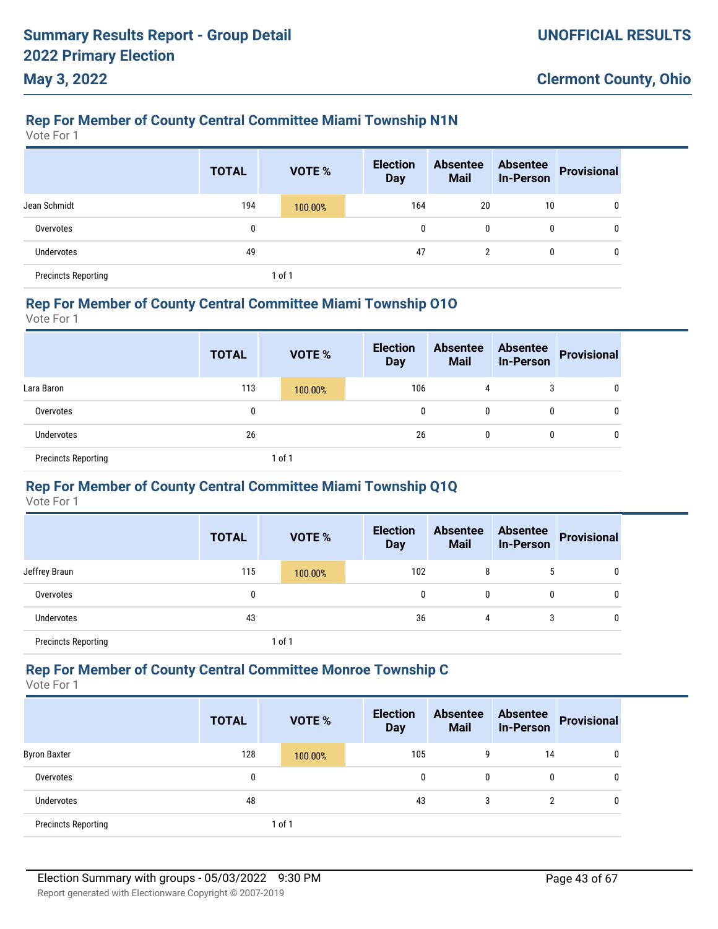# **Rep For Member of County Central Committee Miami Township N1N**

Vote For 1

**May 3, 2022**

|                            | <b>TOTAL</b> | VOTE %  | <b>Election</b><br><b>Day</b> | <b>Absentee</b><br><b>Mail</b> | <b>Absentee</b><br><b>In-Person</b> | <b>Provisional</b> |
|----------------------------|--------------|---------|-------------------------------|--------------------------------|-------------------------------------|--------------------|
| Jean Schmidt               | 194          | 100.00% | 164                           | 20                             | 10                                  | 0                  |
| Overvotes                  | 0            |         | 0                             | 0                              | 0                                   | 0                  |
| Undervotes                 | 49           |         | 47                            |                                | 0                                   | 0                  |
| <b>Precincts Reporting</b> |              | 1 of 1  |                               |                                |                                     |                    |

#### **Rep For Member of County Central Committee Miami Township O1O**

Vote For 1

|                            | <b>TOTAL</b> | <b>VOTE %</b> | <b>Election</b><br><b>Day</b> | <b>Absentee</b><br><b>Mail</b> | <b>Absentee</b><br><b>In-Person</b> | Provisional |
|----------------------------|--------------|---------------|-------------------------------|--------------------------------|-------------------------------------|-------------|
| Lara Baron                 | 113          | 100.00%       | 106                           | 4                              | 3                                   | 0           |
| Overvotes                  | 0            |               | 0                             | 0                              | $\mathbf{0}$                        | 0           |
| <b>Undervotes</b>          | 26           |               | 26                            | 0                              | $\mathbf 0$                         | 0           |
| <b>Precincts Reporting</b> |              | 1 of 1        |                               |                                |                                     |             |

### **Rep For Member of County Central Committee Miami Township Q1Q**

Vote For 1

|                            | <b>TOTAL</b> |        | <b>VOTE %</b> | <b>Election</b><br><b>Day</b> |     | <b>Absentee</b><br><b>Mail</b> | <b>Absentee</b><br><b>In-Person</b> | Provisional |
|----------------------------|--------------|--------|---------------|-------------------------------|-----|--------------------------------|-------------------------------------|-------------|
| Jeffrey Braun              | 115          |        | 100.00%       |                               | 102 | 8                              | 5                                   | 0           |
| Overvotes                  | 0            |        |               |                               | 0   | 0                              | 0                                   | 0           |
| Undervotes                 | 43           |        |               |                               | 36  | 4                              | 3                                   | 0           |
| <b>Precincts Reporting</b> |              | 1 of 1 |               |                               |     |                                |                                     |             |

#### **Rep For Member of County Central Committee Monroe Township C**

|                            | <b>TOTAL</b> | <b>VOTE %</b> | <b>Election</b><br><b>Day</b> | <b>Absentee</b><br><b>Mail</b> | <b>Absentee</b><br><b>In-Person</b> | <b>Provisional</b> |
|----------------------------|--------------|---------------|-------------------------------|--------------------------------|-------------------------------------|--------------------|
| <b>Byron Baxter</b>        | 128          | 100.00%       | 105                           | 9                              | 14                                  | 0                  |
| Overvotes                  | 0            |               | 0                             | 0                              | 0                                   | 0                  |
| Undervotes                 | 48           |               | 43                            | 3                              | $\overline{2}$                      | 0                  |
| <b>Precincts Reporting</b> |              | 1 of 1        |                               |                                |                                     |                    |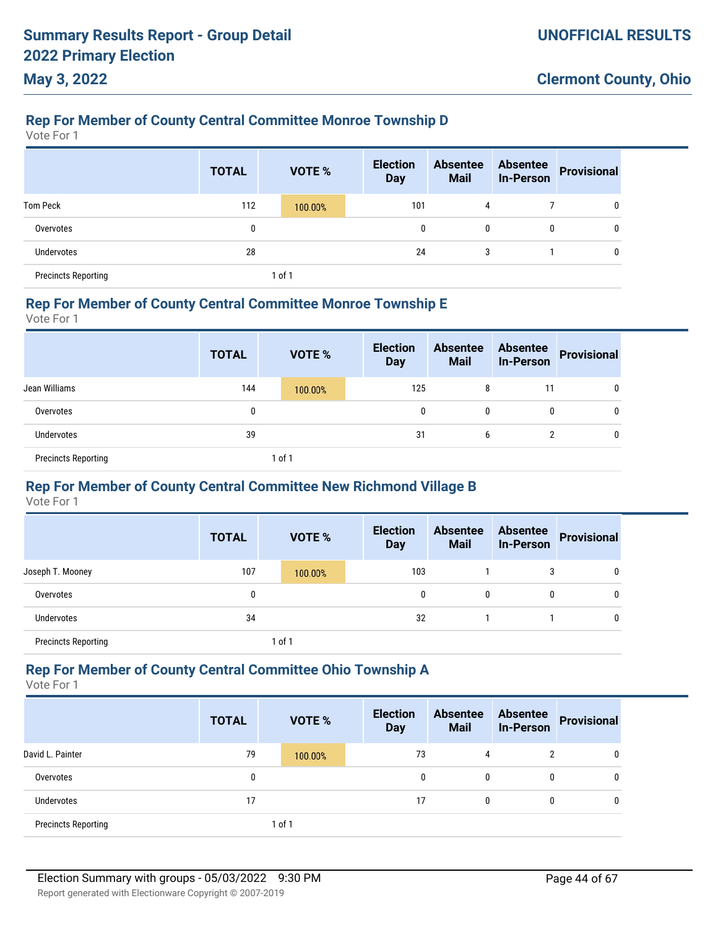# **Rep For Member of County Central Committee Monroe Township D**

Vote For 1

**May 3, 2022**

|                            | <b>TOTAL</b> | VOTE %  | <b>Election</b><br><b>Day</b> | <b>Absentee</b><br><b>Mail</b> | <b>Absentee</b><br><b>In-Person</b> | <b>Provisional</b> |
|----------------------------|--------------|---------|-------------------------------|--------------------------------|-------------------------------------|--------------------|
| <b>Tom Peck</b>            | 112          | 100.00% | 101                           | 4                              |                                     | 0                  |
| Overvotes                  | 0            |         | $\mathbf{0}$                  | 0                              | 0                                   | 0                  |
| Undervotes                 | 28           |         | 24                            | 3                              |                                     | 0                  |
| <b>Precincts Reporting</b> |              | 1 of 1  |                               |                                |                                     |                    |

#### **Rep For Member of County Central Committee Monroe Township E**

Vote For 1

|                            | <b>TOTAL</b> | <b>VOTE %</b> | <b>Election</b><br><b>Day</b> | <b>Absentee</b><br><b>Mail</b> | <b>Absentee</b><br><b>In-Person</b> | Provisional |
|----------------------------|--------------|---------------|-------------------------------|--------------------------------|-------------------------------------|-------------|
| Jean Williams              | 144          | 100.00%       | 125                           | 8                              | 11                                  | 0           |
| Overvotes                  | 0            |               | 0                             | 0                              | $\mathbf{0}$                        | 0           |
| <b>Undervotes</b>          | 39           |               | 31                            | b                              | C                                   | 0           |
| <b>Precincts Reporting</b> |              | 1 of 1        |                               |                                |                                     |             |

### **Rep For Member of County Central Committee New Richmond Village B**

Vote For 1

|                            | <b>TOTAL</b> |        | <b>VOTE %</b> | <b>Election</b><br><b>Day</b> | <b>Absentee</b><br><b>Mail</b> | <b>Absentee</b><br><b>In-Person</b> | <b>Provisional</b> |
|----------------------------|--------------|--------|---------------|-------------------------------|--------------------------------|-------------------------------------|--------------------|
| Joseph T. Mooney           | 107          |        | 100.00%       | 103                           |                                | 3                                   |                    |
| Overvotes                  | 0            |        |               |                               | 0                              | 0                                   |                    |
| Undervotes                 | 34           |        |               | 32                            |                                |                                     | 0                  |
| <b>Precincts Reporting</b> |              | 1 of 1 |               |                               |                                |                                     |                    |

#### **Rep For Member of County Central Committee Ohio Township A**

|                            | <b>TOTAL</b> | VOTE %  | <b>Election</b><br><b>Day</b> | <b>Absentee</b><br><b>Mail</b> | <b>Absentee</b><br><b>In-Person</b> | Provisional |
|----------------------------|--------------|---------|-------------------------------|--------------------------------|-------------------------------------|-------------|
| David L. Painter           | 79           | 100.00% | 73                            | 4                              | 2                                   | 0           |
| Overvotes                  | 0            |         | $\Omega$                      | $\mathbf{0}$                   | 0                                   | 0           |
| <b>Undervotes</b>          | 17           |         | 17                            | $\mathbf{0}$                   | 0                                   | 0           |
| <b>Precincts Reporting</b> |              | of 1    |                               |                                |                                     |             |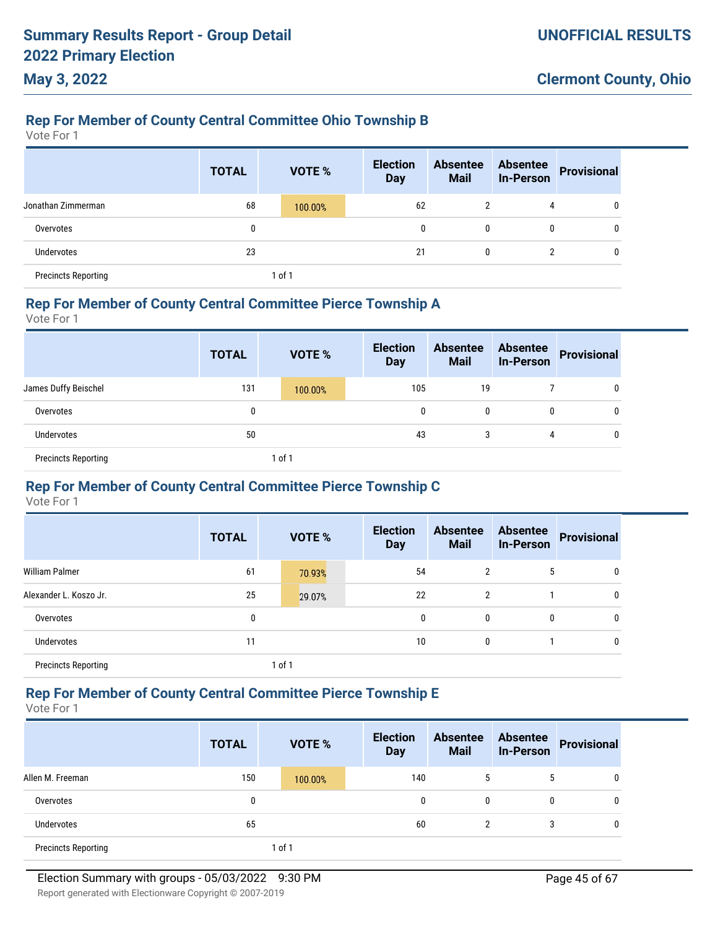# **Rep For Member of County Central Committee Ohio Township B**

Vote For 1

**May 3, 2022**

|                            | <b>TOTAL</b> | VOTE %  | <b>Election</b><br><b>Day</b> | <b>Absentee</b><br><b>Mail</b> | <b>Absentee</b><br><b>In-Person</b> | <b>Provisional</b> |
|----------------------------|--------------|---------|-------------------------------|--------------------------------|-------------------------------------|--------------------|
| Jonathan Zimmerman         | 68           | 100.00% | 62                            | $\overline{2}$                 | 4                                   | 0                  |
| Overvotes                  | 0            |         | 0                             | 0                              | 0                                   | $\mathbf{0}$       |
| Undervotes                 | 23           |         | 21                            | 0                              | 2                                   | 0                  |
| <b>Precincts Reporting</b> |              | of 1    |                               |                                |                                     |                    |

#### **Rep For Member of County Central Committee Pierce Township A**

Vote For 1

|                            | <b>TOTAL</b> | <b>VOTE %</b> | <b>Election</b><br><b>Day</b> | <b>Absentee</b><br><b>Mail</b> | <b>Absentee</b><br><b>In-Person</b> | Provisional |
|----------------------------|--------------|---------------|-------------------------------|--------------------------------|-------------------------------------|-------------|
| James Duffy Beischel       | 131          | 100.00%       | 105                           | 19                             |                                     | 0           |
| Overvotes                  | 0            |               | 0                             | 0                              | 0                                   | 0           |
| Undervotes                 | 50           |               | 43                            | 3                              | 4                                   | 0           |
| <b>Precincts Reporting</b> |              | 1 of 1        |                               |                                |                                     |             |

### **Rep For Member of County Central Committee Pierce Township C**

Vote For 1

|                            | <b>TOTAL</b> | <b>VOTE %</b> | <b>Election</b><br><b>Day</b> | <b>Absentee</b><br><b>Mail</b> | <b>Absentee</b><br><b>In-Person</b> | <b>Provisional</b> |
|----------------------------|--------------|---------------|-------------------------------|--------------------------------|-------------------------------------|--------------------|
| <b>William Palmer</b>      | 61           | 70.93%        | 54                            | 2                              | 5                                   |                    |
| Alexander L. Koszo Jr.     | 25           | 29.07%        | 22                            | 2                              |                                     |                    |
| Overvotes                  | 0            |               | 0                             | $\mathbf{0}$                   | 0                                   |                    |
| <b>Undervotes</b>          | 11           |               | 10                            | 0                              |                                     |                    |
| <b>Precincts Reporting</b> |              | 1 of 1        |                               |                                |                                     |                    |

### **Rep For Member of County Central Committee Pierce Township E**

Vote For 1

|                            | <b>TOTAL</b> |        | <b>VOTE %</b> | <b>Election</b><br><b>Day</b> | <b>Absentee</b><br><b>Mail</b> | <b>Absentee</b><br><b>In-Person</b> | <b>Provisional</b> |
|----------------------------|--------------|--------|---------------|-------------------------------|--------------------------------|-------------------------------------|--------------------|
| Allen M. Freeman           | 150          |        | 100.00%       | 140                           | 5                              | 5                                   | 0                  |
| Overvotes                  | 0            |        |               | 0                             | 0                              | $\mathbf{0}$                        | 0                  |
| <b>Undervotes</b>          | 65           |        |               | 60                            | 2                              | 3                                   | 0                  |
| <b>Precincts Reporting</b> |              | 1 of 1 |               |                               |                                |                                     |                    |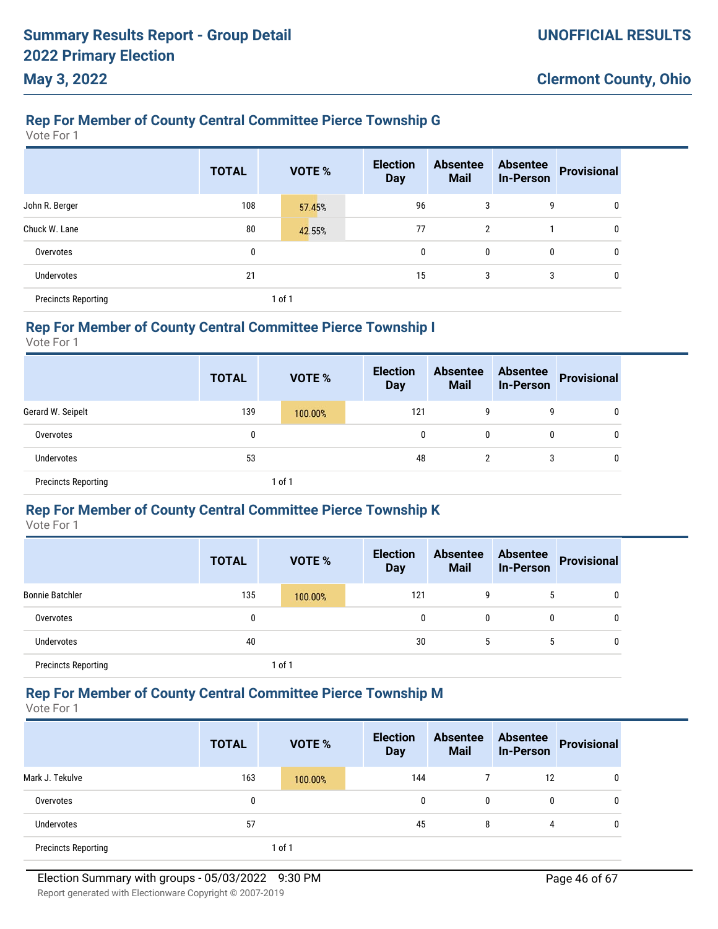# **Rep For Member of County Central Committee Pierce Township G**

Vote For 1

|                            | <b>TOTAL</b> | VOTE % | <b>Election</b><br><b>Day</b> | <b>Absentee</b><br><b>Mail</b> | <b>Absentee</b><br><b>In-Person</b> | <b>Provisional</b> |
|----------------------------|--------------|--------|-------------------------------|--------------------------------|-------------------------------------|--------------------|
| John R. Berger             | 108          | 57.45% | 96                            | 3                              | 9                                   | 0                  |
| Chuck W. Lane              | 80           | 42.55% | 77                            | $\overline{2}$                 |                                     | 0                  |
| Overvotes                  | 0            |        | 0                             | 0                              | $\mathbf 0$                         | 0                  |
| Undervotes                 | 21           |        | 15                            | 3                              | 3                                   | 0                  |
| <b>Precincts Reporting</b> |              | 1 of 1 |                               |                                |                                     |                    |

### **Rep For Member of County Central Committee Pierce Township I**

Vote For 1

|                            | <b>TOTAL</b> | <b>VOTE %</b> | <b>Election</b><br><b>Day</b> | <b>Absentee</b><br><b>Mail</b> | <b>Absentee</b><br><b>In-Person</b> | <b>Provisional</b> |
|----------------------------|--------------|---------------|-------------------------------|--------------------------------|-------------------------------------|--------------------|
| Gerard W. Seipelt          | 139          | 100.00%       | 121                           | 9                              | 9                                   | 0                  |
| Overvotes                  | 0            |               | 0                             | 0                              | 0                                   | 0                  |
| Undervotes                 | 53           |               | 48                            | 2                              |                                     | 0                  |
| <b>Precincts Reporting</b> |              | $ $ of 1      |                               |                                |                                     |                    |

#### **Rep For Member of County Central Committee Pierce Township K**

Vote For 1

|                            | <b>TOTAL</b> | <b>VOTE %</b> | <b>Election</b><br><b>Day</b> | <b>Absentee</b><br><b>Mail</b> | <b>Absentee</b><br><b>In-Person</b> | <b>Provisional</b> |
|----------------------------|--------------|---------------|-------------------------------|--------------------------------|-------------------------------------|--------------------|
| <b>Bonnie Batchler</b>     | 135          | 100.00%       | 121                           | 9                              |                                     | 0                  |
| Overvotes                  | 0            |               | 0                             | $\mathbf{0}$                   | $\mathbf{0}$                        | 0                  |
| <b>Undervotes</b>          | 40           |               | 30                            | 5                              | 5                                   | 0                  |
| <b>Precincts Reporting</b> |              | 1 of 1        |                               |                                |                                     |                    |

### **Rep For Member of County Central Committee Pierce Township M**

Vote For 1

|                            | <b>TOTAL</b> | <b>VOTE %</b> | <b>Election</b><br><b>Day</b> | <b>Absentee</b><br><b>Mail</b> | <b>Absentee</b><br><b>In-Person</b> | Provisional |
|----------------------------|--------------|---------------|-------------------------------|--------------------------------|-------------------------------------|-------------|
| Mark J. Tekulve            | 163          | 100.00%       | 144                           |                                | 12                                  | 0           |
| Overvotes                  | 0            |               | 0                             | 0                              | 0                                   | 0           |
| Undervotes                 | 57           |               | 45                            | 8                              | 4                                   | 0           |
| <b>Precincts Reporting</b> |              | 1 of 1        |                               |                                |                                     |             |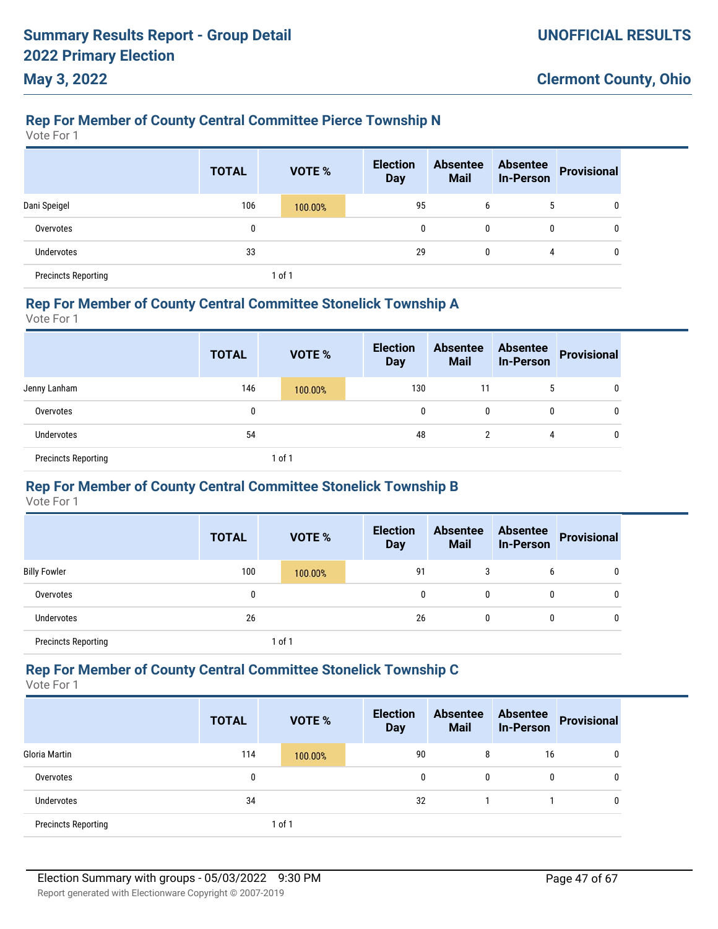# **Rep For Member of County Central Committee Pierce Township N**

Vote For 1

**May 3, 2022**

|                            | <b>TOTAL</b> | VOTE %  | <b>Election</b><br><b>Day</b> | <b>Absentee</b><br><b>Mail</b> | <b>Absentee</b><br><b>In-Person</b> | <b>Provisional</b> |
|----------------------------|--------------|---------|-------------------------------|--------------------------------|-------------------------------------|--------------------|
| Dani Speigel               | 106          | 100.00% | 95                            | 6                              | 5                                   | 0                  |
| Overvotes                  | 0            |         | 0                             | 0                              |                                     | 0                  |
| <b>Undervotes</b>          | 33           |         | 29                            | 0                              | 4                                   | 0                  |
| <b>Precincts Reporting</b> |              | 1 of 1  |                               |                                |                                     |                    |

#### **Rep For Member of County Central Committee Stonelick Township A**

Vote For 1

|                            | <b>TOTAL</b> | <b>VOTE %</b> | <b>Election</b><br><b>Day</b> | <b>Absentee</b><br><b>Mail</b> | <b>Absentee</b><br><b>In-Person</b> | Provisional |
|----------------------------|--------------|---------------|-------------------------------|--------------------------------|-------------------------------------|-------------|
| Jenny Lanham               | 146          | 100.00%       | 130                           | 11                             | 5                                   | 0           |
| Overvotes                  | 0            |               | 0                             | 0                              | 0                                   | 0           |
| <b>Undervotes</b>          | 54           |               | 48                            | 2                              | 4                                   | 0           |
| <b>Precincts Reporting</b> |              | 1 of 1        |                               |                                |                                     |             |

### **Rep For Member of County Central Committee Stonelick Township B**

Vote For 1

|                            | <b>TOTAL</b> | <b>VOTE %</b> | <b>Election</b><br><b>Day</b> | <b>Absentee</b><br><b>Mail</b> | <b>Absentee</b><br><b>In-Person</b> | <b>Provisional</b> |
|----------------------------|--------------|---------------|-------------------------------|--------------------------------|-------------------------------------|--------------------|
| <b>Billy Fowler</b>        | 100          | 100.00%       | 91                            | 3                              | 6                                   | 0                  |
| Overvotes                  |              |               | 0                             | 0                              | 0                                   | 0                  |
| <b>Undervotes</b>          | 26           |               | 26                            | 0                              | 0                                   | 0                  |
| <b>Precincts Reporting</b> |              | 1 of 1        |                               |                                |                                     |                    |

### **Rep For Member of County Central Committee Stonelick Township C**

|                            | <b>TOTAL</b> | <b>VOTE %</b> | <b>Election</b><br><b>Day</b> | <b>Absentee</b><br><b>Mail</b> | <b>Absentee</b><br><b>In-Person</b> | <b>Provisional</b> |
|----------------------------|--------------|---------------|-------------------------------|--------------------------------|-------------------------------------|--------------------|
| Gloria Martin              | 114          | 100.00%       | 90                            | 8                              | 16                                  | 0                  |
| Overvotes                  | 0            |               | 0                             | $\mathbf{0}$                   | 0                                   | 0                  |
| Undervotes                 | 34           |               | 32                            |                                |                                     | 0                  |
| <b>Precincts Reporting</b> |              | 1 of 1        |                               |                                |                                     |                    |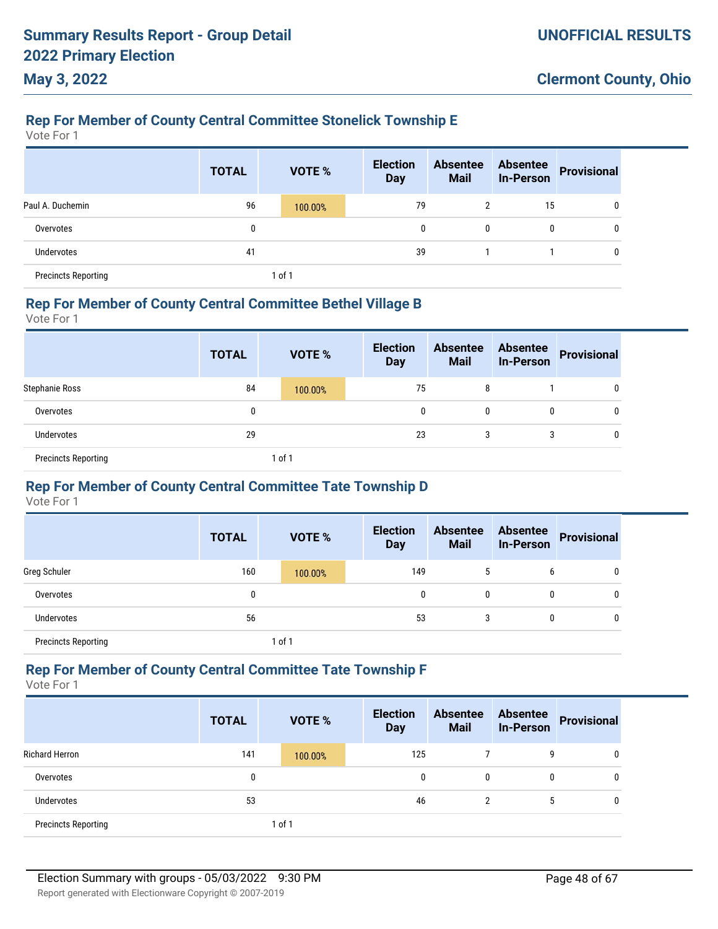# **Rep For Member of County Central Committee Stonelick Township E**

Vote For 1

**May 3, 2022**

|                            | <b>TOTAL</b> |        | <b>VOTE %</b> | <b>Election</b><br><b>Day</b> | <b>Absentee</b><br><b>Mail</b> | <b>Absentee</b><br><b>In-Person</b> | Provisional |
|----------------------------|--------------|--------|---------------|-------------------------------|--------------------------------|-------------------------------------|-------------|
| Paul A. Duchemin           | 96           |        | 100.00%       | 79                            | 2                              | 15                                  |             |
| Overvotes                  | 0            |        |               | 0                             | 0                              | 0                                   |             |
| Undervotes                 | 41           |        |               | 39                            |                                |                                     |             |
| <b>Precincts Reporting</b> |              | 1 of 1 |               |                               |                                |                                     |             |

#### **Rep For Member of County Central Committee Bethel Village B**

Vote For 1

|                            | <b>TOTAL</b> | <b>VOTE %</b> | <b>Election</b><br><b>Day</b> | <b>Absentee</b><br><b>Mail</b> | <b>Absentee</b><br><b>In-Person</b> | Provisional |
|----------------------------|--------------|---------------|-------------------------------|--------------------------------|-------------------------------------|-------------|
| <b>Stephanie Ross</b>      | 84           | 100.00%       | 75                            | 8                              |                                     | 0           |
| Overvotes                  | 0            |               | 0                             | 0                              | $\mathbf{0}$                        | U           |
| <b>Undervotes</b>          | 29           |               | 23                            | 3                              | 3                                   | 0           |
| <b>Precincts Reporting</b> |              | 1 of 1        |                               |                                |                                     |             |

### **Rep For Member of County Central Committee Tate Township D**

Vote For 1

|                            | <b>TOTAL</b> | <b>VOTE %</b> | <b>Election</b><br><b>Day</b> | <b>Absentee</b><br><b>Mail</b> | <b>Absentee</b><br><b>In-Person</b> | <b>Provisional</b> |
|----------------------------|--------------|---------------|-------------------------------|--------------------------------|-------------------------------------|--------------------|
| Greg Schuler               | 160          | 100.00%       | 149                           | 5                              | 6                                   | 0                  |
| Overvotes                  | 0            |               | 0                             | 0                              | 0                                   | 0                  |
| Undervotes                 | 56           |               | 53                            | 3                              | 0                                   | 0                  |
| <b>Precincts Reporting</b> |              | $1$ of $1$    |                               |                                |                                     |                    |

#### **Rep For Member of County Central Committee Tate Township F**

|                            | <b>TOTAL</b> | <b>VOTE %</b> | <b>Election</b><br><b>Day</b> | <b>Absentee</b><br><b>Mail</b> | <b>Absentee</b><br><b>In-Person</b> | Provisional |
|----------------------------|--------------|---------------|-------------------------------|--------------------------------|-------------------------------------|-------------|
| <b>Richard Herron</b>      | 141          | 100.00%       | 125                           |                                | 9                                   | 0           |
| Overvotes                  | 0            |               | 0                             | 0                              | 0                                   | 0           |
| <b>Undervotes</b>          | 53           |               | 46                            | 2                              | 5                                   | 0           |
| <b>Precincts Reporting</b> |              | 1 of 1        |                               |                                |                                     |             |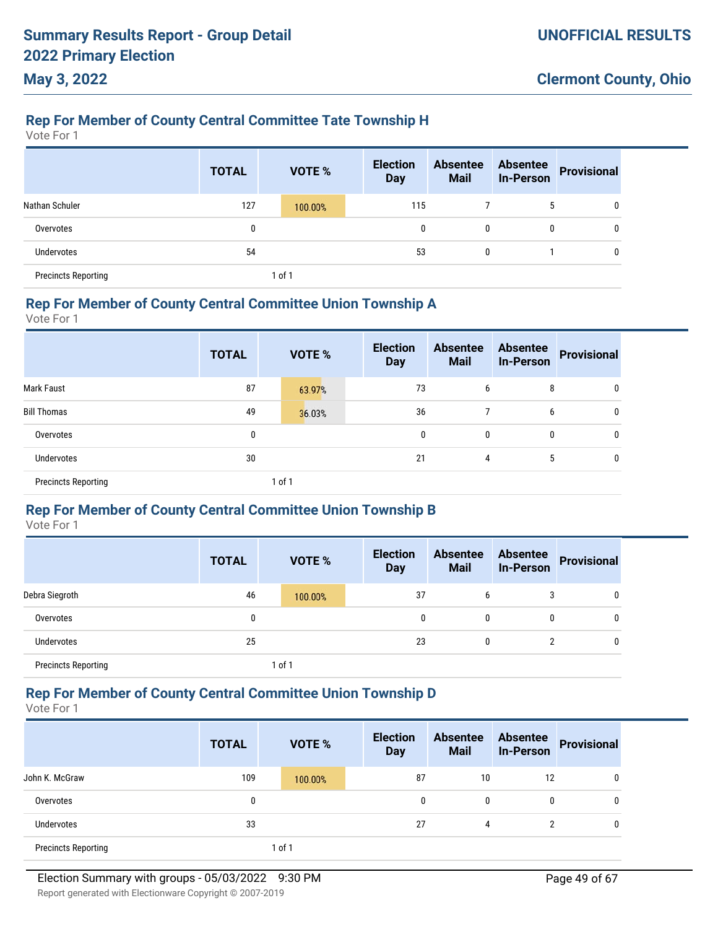# **Rep For Member of County Central Committee Tate Township H**

Vote For 1

**May 3, 2022**

|                            | <b>TOTAL</b> | VOTE %  | <b>Election</b><br><b>Day</b> | <b>Absentee</b><br><b>Mail</b> | <b>Absentee</b><br><b>In-Person</b> | <b>Provisional</b> |
|----------------------------|--------------|---------|-------------------------------|--------------------------------|-------------------------------------|--------------------|
| Nathan Schuler             | 127          | 100.00% | 115                           |                                | 5                                   | 0                  |
| Overvotes                  | 0            |         | 0                             | 0                              |                                     | 0                  |
| <b>Undervotes</b>          | 54           |         | 53                            | 0                              |                                     | 0                  |
| <b>Precincts Reporting</b> |              | 1 of 1  |                               |                                |                                     |                    |

#### **Rep For Member of County Central Committee Union Township A**

Vote For 1

|                            | <b>TOTAL</b> |        | VOTE % | <b>Election</b><br><b>Day</b> | <b>Absentee</b><br><b>Mail</b> | <b>Absentee</b><br><b>In-Person</b> | <b>Provisional</b> |
|----------------------------|--------------|--------|--------|-------------------------------|--------------------------------|-------------------------------------|--------------------|
| <b>Mark Faust</b>          | 87           |        | 63.97% | 73                            | 6                              | 8                                   | 0                  |
| <b>Bill Thomas</b>         | 49           |        | 36.03% | 36                            |                                | 6                                   | 0                  |
| Overvotes                  | 0            |        |        | $\mathbf{0}$                  | 0                              | 0                                   | 0                  |
| Undervotes                 | 30           |        |        | 21                            | 4                              | 5                                   | 0                  |
| <b>Precincts Reporting</b> |              | 1 of 1 |        |                               |                                |                                     |                    |

### **Rep For Member of County Central Committee Union Township B**

Vote For 1

|                            | <b>TOTAL</b> | VOTE %  | <b>Election</b><br><b>Day</b> | <b>Absentee</b><br><b>Mail</b> | <b>Absentee</b><br><b>In-Person</b> | <b>Provisional</b> |
|----------------------------|--------------|---------|-------------------------------|--------------------------------|-------------------------------------|--------------------|
| Debra Siegroth             | 46           | 100.00% | 37                            | 6                              |                                     | $\mathbf{0}$       |
| Overvotes                  | 0            |         | 0                             | 0                              | 0                                   | $\mathbf{0}$       |
| <b>Undervotes</b>          | 25           |         | 23                            | 0                              |                                     | $\mathbf{0}$       |
| <b>Precincts Reporting</b> |              | 1 of 1  |                               |                                |                                     |                    |

### **Rep For Member of County Central Committee Union Township D**

Vote For 1

|                            | <b>TOTAL</b> | <b>VOTE %</b> | <b>Election</b><br><b>Day</b> | <b>Absentee</b><br><b>Mail</b> | <b>Absentee</b><br>In-Person | Provisional |
|----------------------------|--------------|---------------|-------------------------------|--------------------------------|------------------------------|-------------|
| John K. McGraw             | 109          | 100.00%       | 87                            | 10                             | 12                           | 0           |
| Overvotes                  | 0            |               | 0                             | 0                              | 0                            | 0           |
| <b>Undervotes</b>          | 33           |               | 27                            | 4                              | 2                            | 0           |
| <b>Precincts Reporting</b> |              | 1 of 1        |                               |                                |                              |             |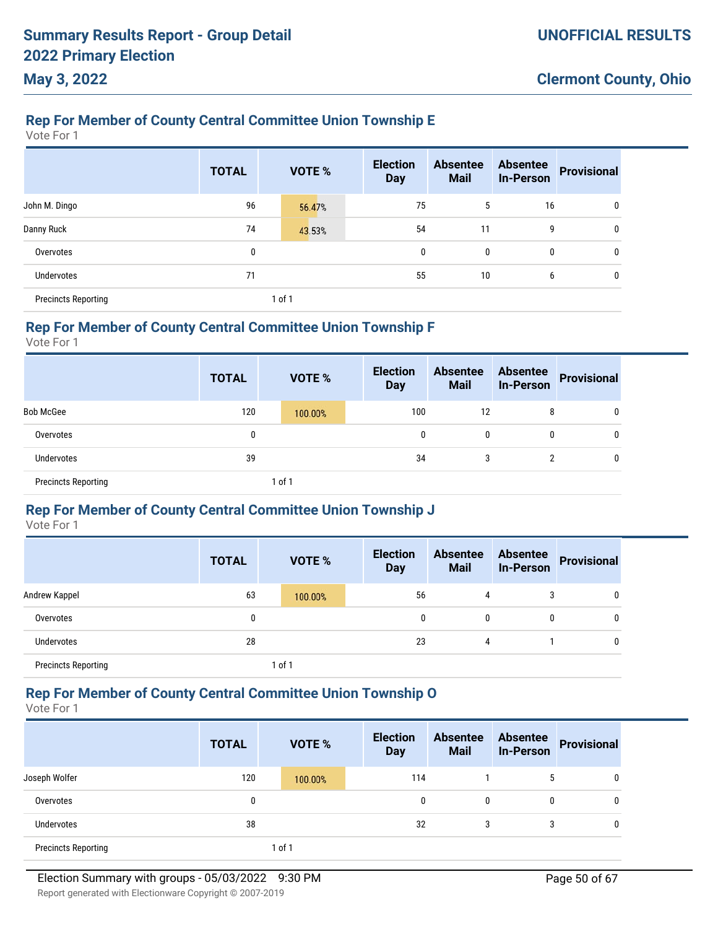# **Rep For Member of County Central Committee Union Township E**

Vote For 1

|                            | <b>TOTAL</b> | <b>VOTE %</b> | <b>Election</b><br><b>Day</b> | <b>Absentee</b><br><b>Mail</b> | <b>Absentee</b><br><b>In-Person</b> | <b>Provisional</b> |
|----------------------------|--------------|---------------|-------------------------------|--------------------------------|-------------------------------------|--------------------|
| John M. Dingo              | 96           | 56.47%        | 75                            | 5                              | 16                                  | 0                  |
| Danny Ruck                 | 74           | 43.53%        | 54                            | 11                             | 9                                   | 0                  |
| Overvotes                  | 0            |               | 0                             | 0                              | 0                                   | 0                  |
| <b>Undervotes</b>          | 71           |               | 55                            | 10                             | 6                                   | 0                  |
| <b>Precincts Reporting</b> |              | 1 of 1        |                               |                                |                                     |                    |

### **Rep For Member of County Central Committee Union Township F**

Vote For 1

|                            | <b>TOTAL</b> | <b>VOTE %</b> | <b>Election</b><br><b>Day</b> | <b>Absentee</b><br><b>Mail</b> | <b>Absentee</b><br><b>In-Person</b> | <b>Provisional</b> |
|----------------------------|--------------|---------------|-------------------------------|--------------------------------|-------------------------------------|--------------------|
| <b>Bob McGee</b>           | 120          | 100.00%       | 100                           | 12                             | 8                                   | 0                  |
| Overvotes                  | 0            |               | 0                             | 0                              | 0                                   | 0                  |
| Undervotes                 | 39           |               | 34                            | 3                              |                                     | 0                  |
| <b>Precincts Reporting</b> |              | $ $ of 1      |                               |                                |                                     |                    |

### **Rep For Member of County Central Committee Union Township J**

Vote For 1

|                            | <b>TOTAL</b> | <b>VOTE %</b> | <b>Election</b><br><b>Day</b> | <b>Absentee</b><br><b>Mail</b> | <b>Absentee</b><br>In-Person | <b>Provisional</b> |
|----------------------------|--------------|---------------|-------------------------------|--------------------------------|------------------------------|--------------------|
| Andrew Kappel              | 63           | 100.00%       | 56                            | 4                              | 3                            | 0                  |
| Overvotes                  | 0            |               | 0                             | $\mathbf{0}$                   | $\boldsymbol{0}$             | 0                  |
| <b>Undervotes</b>          | 28           |               | 23                            | 4                              |                              | 0                  |
| <b>Precincts Reporting</b> |              | 1 of 1        |                               |                                |                              |                    |

### **Rep For Member of County Central Committee Union Township O**

Vote For 1

|                            | <b>TOTAL</b> | <b>VOTE %</b> | <b>Election</b><br><b>Day</b> | <b>Absentee</b><br><b>Mail</b> | <b>Absentee</b><br><b>In-Person</b> | Provisional |
|----------------------------|--------------|---------------|-------------------------------|--------------------------------|-------------------------------------|-------------|
| Joseph Wolfer              | 120          | 100.00%       | 114                           |                                | b                                   | 0           |
| Overvotes                  | 0            |               | 0                             | 0                              | 0                                   | 0           |
| <b>Undervotes</b>          | 38           |               | 32                            | 3                              | 3                                   | 0           |
| <b>Precincts Reporting</b> |              | 1 of 1        |                               |                                |                                     |             |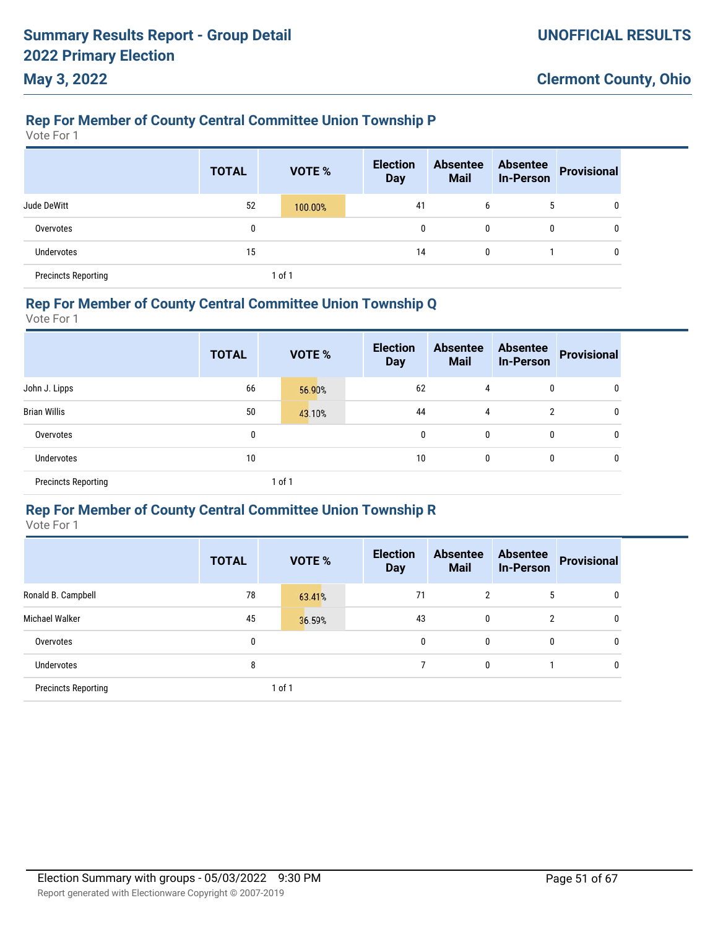### **Rep For Member of County Central Committee Union Township P**

Vote For 1

**May 3, 2022**

|                            | <b>TOTAL</b> | VOTE %  | <b>Election</b><br><b>Day</b> | <b>Absentee</b><br><b>Mail</b> | <b>Absentee</b><br><b>In-Person</b> | <b>Provisional</b> |
|----------------------------|--------------|---------|-------------------------------|--------------------------------|-------------------------------------|--------------------|
| Jude DeWitt                | 52           | 100.00% | 41                            | 6                              | 5                                   | 0                  |
| Overvotes                  | 0            |         | $\mathbf{0}$                  | 0                              | 0                                   | 0                  |
| <b>Undervotes</b>          | 15           |         | 14                            | 0                              |                                     | 0                  |
| <b>Precincts Reporting</b> |              | 1 of 1  |                               |                                |                                     |                    |

#### **Rep For Member of County Central Committee Union Township Q**

Vote For 1

|                            | <b>TOTAL</b> | <b>VOTE %</b> | <b>Election</b><br><b>Day</b> | <b>Absentee</b><br><b>Mail</b> | <b>Absentee</b><br>In-Person | Provisional |
|----------------------------|--------------|---------------|-------------------------------|--------------------------------|------------------------------|-------------|
| John J. Lipps              | 66           | 56.90%        | 62                            | 4                              | 0                            | 0           |
| <b>Brian Willis</b>        | 50           | 43.10%        | 44                            | $\overline{4}$                 | 2                            | 0           |
| Overvotes                  | 0            |               | 0                             | 0                              | $\mathbf{0}$                 | 0           |
| Undervotes                 | 10           |               | 10                            | 0                              | 0                            | 0           |
| <b>Precincts Reporting</b> |              | 1 of 1        |                               |                                |                              |             |

### **Rep For Member of County Central Committee Union Township R**

|                            | <b>TOTAL</b> | <b>VOTE %</b> | <b>Election</b><br><b>Day</b> | <b>Absentee</b><br><b>Mail</b> | <b>Absentee</b><br><b>In-Person</b> | <b>Provisional</b> |
|----------------------------|--------------|---------------|-------------------------------|--------------------------------|-------------------------------------|--------------------|
| Ronald B. Campbell         | 78           | 63.41%        | 71                            | 2                              | 5                                   | $\mathbf{0}$       |
| Michael Walker             | 45           | 36.59%        | 43                            | 0                              | $\overline{2}$                      | $\mathbf{0}$       |
| Overvotes                  | 0            |               | 0                             | $\mathbf{0}$                   | $\mathbf{0}$                        | $\mathbf{0}$       |
| Undervotes                 | 8            |               |                               | 0                              |                                     | $\mathbf{0}$       |
| <b>Precincts Reporting</b> |              | 1 of 1        |                               |                                |                                     |                    |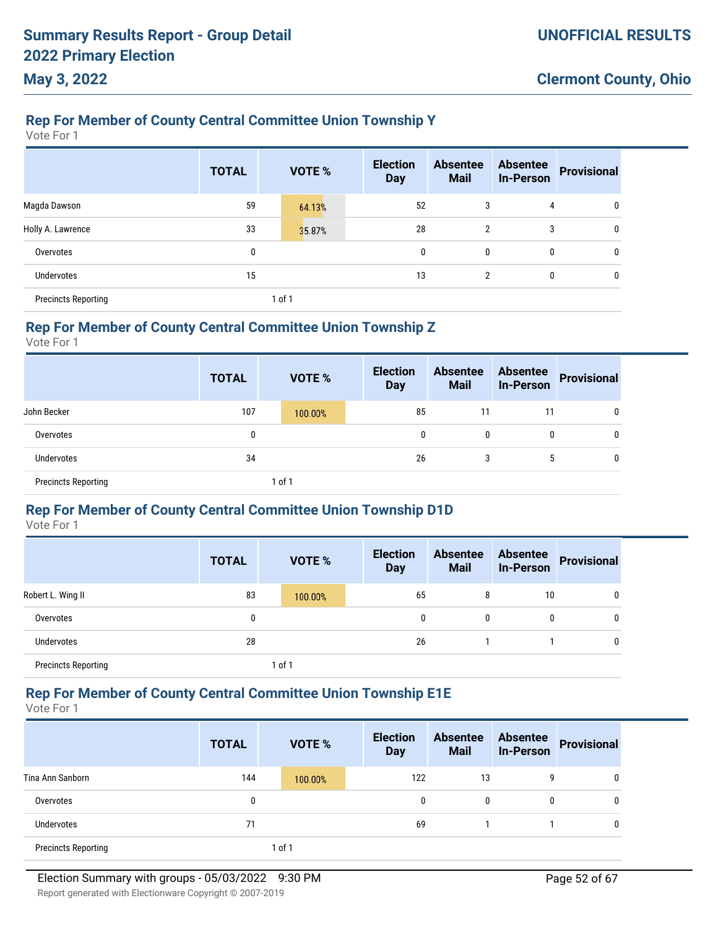# **Rep For Member of County Central Committee Union Township Y**

Vote For 1

|                            | <b>TOTAL</b> | <b>VOTE %</b> | <b>Election</b><br><b>Day</b> | <b>Absentee</b><br><b>Mail</b> | <b>Absentee</b><br><b>In-Person</b> | <b>Provisional</b> |
|----------------------------|--------------|---------------|-------------------------------|--------------------------------|-------------------------------------|--------------------|
| Magda Dawson               | 59           | 64.13%        | 52                            | 3                              | 4                                   | 0                  |
| Holly A. Lawrence          | 33           | 35.87%        | 28                            | 2                              | 3                                   | 0                  |
| Overvotes                  | 0            |               | $\mathbf{0}$                  | 0                              | 0                                   | 0                  |
| Undervotes                 | 15           |               | 13                            | $\overline{2}$                 | 0                                   | 0                  |
| <b>Precincts Reporting</b> |              | 1 of 1        |                               |                                |                                     |                    |

#### **Rep For Member of County Central Committee Union Township Z**

Vote For 1

|                            | <b>TOTAL</b> | <b>VOTE %</b> | <b>Election</b><br><b>Day</b> | <b>Absentee</b><br><b>Mail</b> | <b>Absentee</b><br><b>In-Person</b> | <b>Provisional</b> |
|----------------------------|--------------|---------------|-------------------------------|--------------------------------|-------------------------------------|--------------------|
| John Becker                | 107          | 100.00%       | 85                            | 11                             | 11                                  | 0                  |
| Overvotes                  | 0            |               | 0                             | 0                              | 0                                   | $\mathbf{0}$       |
| <b>Undervotes</b>          | 34           |               | 26                            | 3                              | <sub>5</sub>                        | 0                  |
| <b>Precincts Reporting</b> |              | 1 of 1        |                               |                                |                                     |                    |

#### **Rep For Member of County Central Committee Union Township D1D**

Vote For 1

|                            | <b>TOTAL</b> | VOTE %  | <b>Election</b><br><b>Day</b> | <b>Absentee</b><br><b>Mail</b> | <b>Absentee</b><br><b>In-Person</b> | <b>Provisional</b> |
|----------------------------|--------------|---------|-------------------------------|--------------------------------|-------------------------------------|--------------------|
| Robert L. Wing II          | 83           | 100.00% | 65                            | 8                              | 10                                  | $\mathbf{0}$       |
| Overvotes                  | 0            |         | 0                             | 0                              |                                     | 0                  |
| <b>Undervotes</b>          | 28           |         | 26                            |                                |                                     | $\mathbf{0}$       |
| <b>Precincts Reporting</b> |              | 1 of 1  |                               |                                |                                     |                    |

### **Rep For Member of County Central Committee Union Township E1E**

Vote For 1

|                            | <b>TOTAL</b> | <b>VOTE %</b> | <b>Election</b><br><b>Day</b> | <b>Absentee</b><br><b>Mail</b> | <b>Absentee</b><br><b>In-Person</b> | Provisional |
|----------------------------|--------------|---------------|-------------------------------|--------------------------------|-------------------------------------|-------------|
| Tina Ann Sanborn           | 144          | 100.00%       | 122                           | 13                             | g                                   | 0           |
| Overvotes                  | 0            |               | 0                             | 0                              | 0                                   | 0           |
| Undervotes                 | 71           |               | 69                            |                                |                                     | 0           |
| <b>Precincts Reporting</b> |              | 1 of 1        |                               |                                |                                     |             |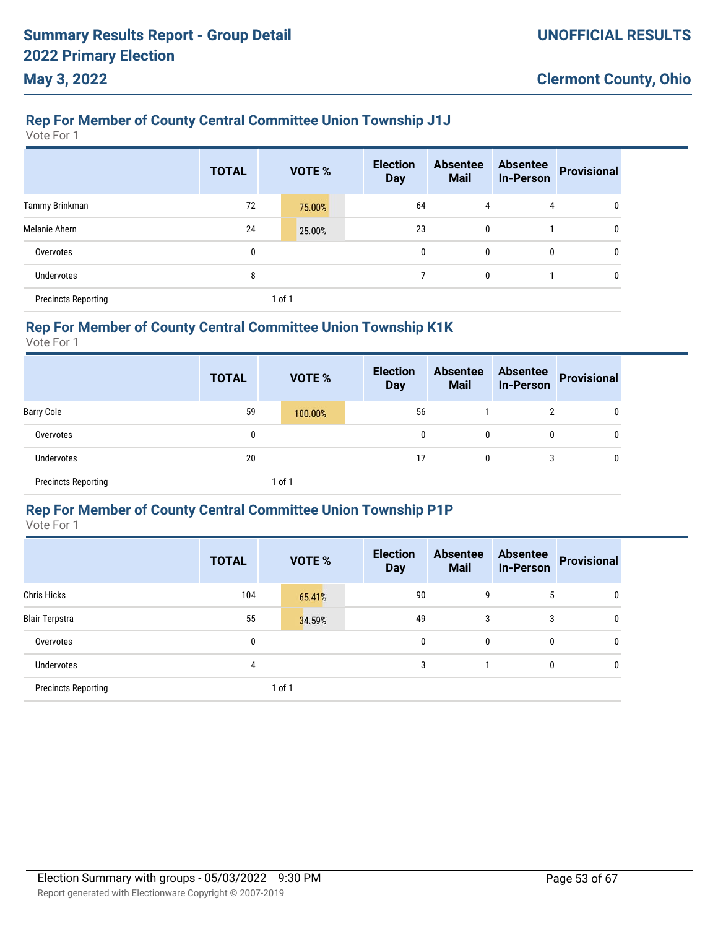### **Rep For Member of County Central Committee Union Township J1J**

Vote For 1

|                            | <b>TOTAL</b> |        | VOTE % | <b>Election</b><br><b>Day</b> | <b>Absentee</b><br><b>Mail</b> | <b>Absentee</b><br><b>In-Person</b> | <b>Provisional</b> |
|----------------------------|--------------|--------|--------|-------------------------------|--------------------------------|-------------------------------------|--------------------|
| Tammy Brinkman             | 72           |        | 75.00% | 64                            | 4                              | 4                                   | 0                  |
| Melanie Ahern              | 24           |        | 25.00% | 23                            | 0                              |                                     | 0                  |
| Overvotes                  | 0            |        |        | 0                             | 0                              | 0                                   | 0                  |
| <b>Undervotes</b>          | 8            |        |        |                               | 0                              |                                     | 0                  |
| <b>Precincts Reporting</b> |              | 1 of 1 |        |                               |                                |                                     |                    |

### **Rep For Member of County Central Committee Union Township K1K**

Vote For 1

|                            | <b>TOTAL</b> | <b>VOTE %</b> | <b>Election</b><br><b>Day</b> | Absentee<br><b>Mail</b> | <b>Absentee</b><br><b>In-Person</b> | Provisional |
|----------------------------|--------------|---------------|-------------------------------|-------------------------|-------------------------------------|-------------|
| <b>Barry Cole</b>          | 59           | 100.00%       | 56                            |                         | 2                                   | 0           |
| Overvotes                  | 0            |               | 0                             | 0                       | 0                                   | 0           |
| <b>Undervotes</b>          | 20           |               | 17                            | 0                       | 3                                   | 0           |
| <b>Precincts Reporting</b> |              | 1 of 1        |                               |                         |                                     |             |

#### **Rep For Member of County Central Committee Union Township P1P**

|                            | <b>TOTAL</b> | <b>VOTE %</b> | <b>Election</b><br><b>Day</b> | <b>Absentee</b><br><b>Mail</b> | <b>Absentee</b><br><b>In-Person</b> | <b>Provisional</b> |
|----------------------------|--------------|---------------|-------------------------------|--------------------------------|-------------------------------------|--------------------|
| <b>Chris Hicks</b>         | 104          | 65.41%        | 90                            | 9                              | 5                                   | $\mathbf{0}$       |
| <b>Blair Terpstra</b>      | 55           | 34.59%        | 49                            | 3                              | 3                                   | $\mathbf{0}$       |
| Overvotes                  | 0            |               | $\mathbf{0}$                  | 0                              | 0                                   | $\mathbf{0}$       |
| <b>Undervotes</b>          | 4            |               | 3                             |                                | 0                                   | $\mathbf{0}$       |
| <b>Precincts Reporting</b> |              | 1 of 1        |                               |                                |                                     |                    |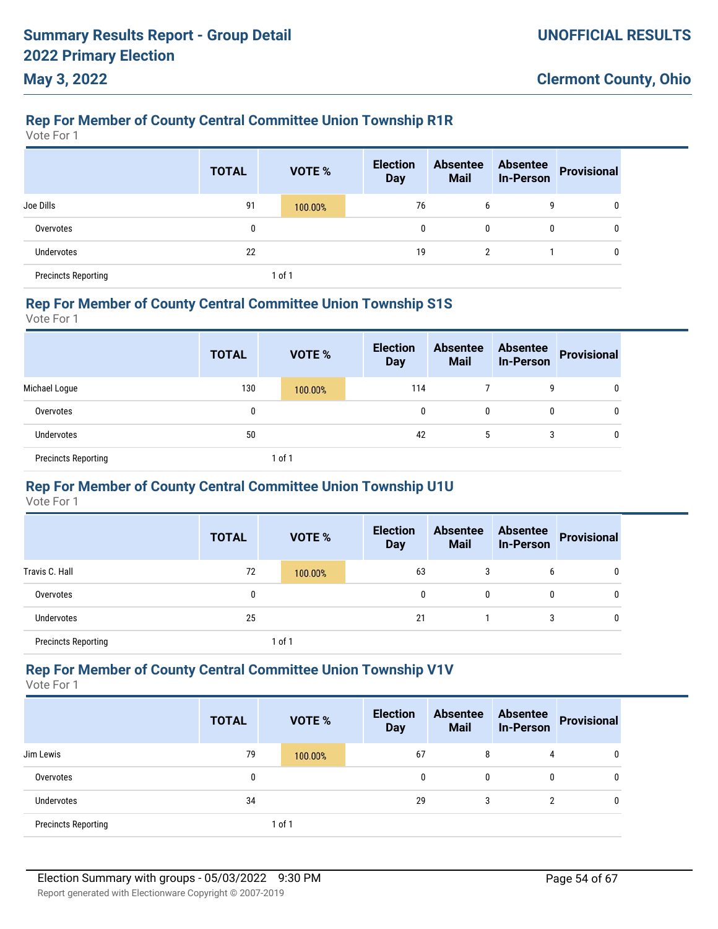# **Rep For Member of County Central Committee Union Township R1R**

Vote For 1

**May 3, 2022**

|                            | <b>TOTAL</b> |        | <b>VOTE %</b> | <b>Election</b><br><b>Day</b> | <b>Absentee</b><br><b>Mail</b> | <b>Absentee</b><br><b>In-Person</b> | <b>Provisional</b> |
|----------------------------|--------------|--------|---------------|-------------------------------|--------------------------------|-------------------------------------|--------------------|
| Joe Dills                  | 91           |        | 100.00%       | 76                            | 6                              | 9                                   | 0                  |
| Overvotes                  | 0            |        |               |                               | 0<br>0                         | 0                                   | $\mathbf{0}$       |
| Undervotes                 | 22           |        |               | 19                            | 2                              |                                     | 0                  |
| <b>Precincts Reporting</b> |              | 1 of 1 |               |                               |                                |                                     |                    |

#### **Rep For Member of County Central Committee Union Township S1S**

Vote For 1

|                            | <b>TOTAL</b> | <b>VOTE %</b> | <b>Election</b><br><b>Day</b> | <b>Absentee</b><br><b>Mail</b> | Absentee<br>In-Person | Provisional |
|----------------------------|--------------|---------------|-------------------------------|--------------------------------|-----------------------|-------------|
| Michael Loque              | 130          | 100.00%       | 114                           |                                | 9                     | 0           |
| Overvotes                  | 0            |               | $\mathbf{0}$                  | $\mathbf{0}$                   | 0                     | 0           |
| Undervotes                 | 50           |               | 42                            | <sub>5</sub>                   | 3                     | 0           |
| <b>Precincts Reporting</b> |              | $ $ of 1      |                               |                                |                       |             |

### **Rep For Member of County Central Committee Union Township U1U**

Vote For 1

|                            | <b>TOTAL</b> |        | VOTE %  | <b>Election</b><br><b>Day</b> | <b>Absentee</b><br><b>Mail</b> | <b>Absentee</b><br><b>In-Person</b> | <b>Provisional</b> |
|----------------------------|--------------|--------|---------|-------------------------------|--------------------------------|-------------------------------------|--------------------|
| Travis C. Hall             | 72           |        | 100.00% | 63                            | 3                              | 6                                   | 0                  |
| Overvotes                  | 0            |        |         | 0                             | 0                              | 0                                   | 0                  |
| <b>Undervotes</b>          | 25           |        |         | 21                            |                                | 3                                   | 0                  |
| <b>Precincts Reporting</b> |              | 1 of 1 |         |                               |                                |                                     |                    |

#### **Rep For Member of County Central Committee Union Township V1V**

|                            | <b>TOTAL</b> | <b>VOTE %</b> | <b>Election</b><br><b>Day</b> | <b>Absentee</b><br><b>Mail</b> | <b>Absentee</b><br><b>In-Person</b> | Provisional |
|----------------------------|--------------|---------------|-------------------------------|--------------------------------|-------------------------------------|-------------|
| Jim Lewis                  | 79           | 100.00%       | 67                            | 8                              | 4                                   | 0           |
| Overvotes                  | 0            |               | 0                             | $\mathbf{0}$                   | 0                                   | 0           |
| Undervotes                 | 34           |               | 29                            | 3                              | 2                                   | 0           |
| <b>Precincts Reporting</b> |              | 1 of 1        |                               |                                |                                     |             |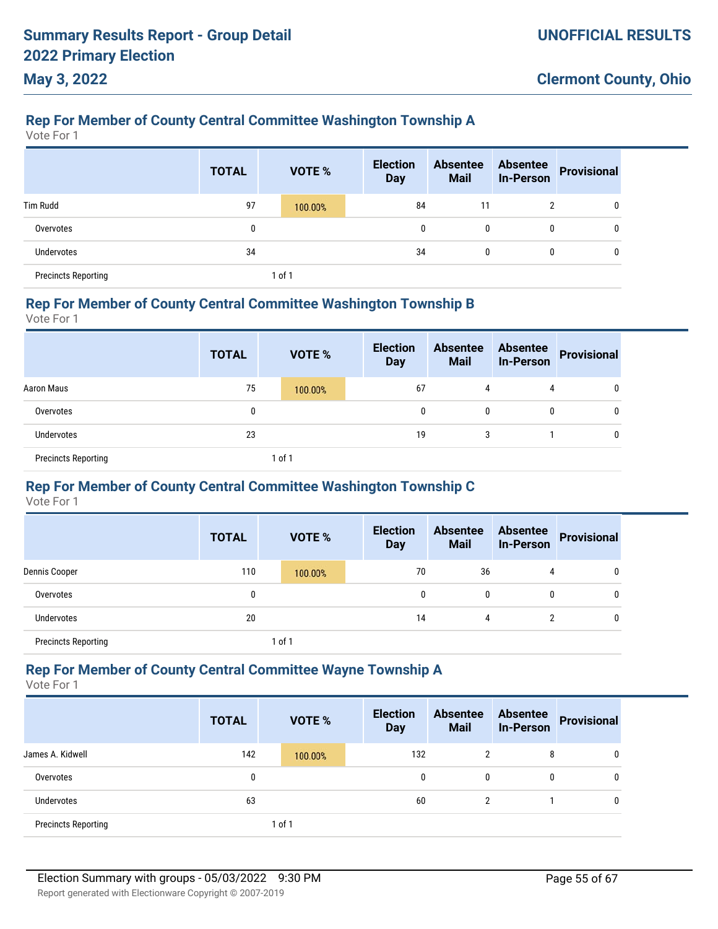### **Rep For Member of County Central Committee Washington Township A**

Vote For 1

**May 3, 2022**

|                            | <b>TOTAL</b> | <b>VOTE %</b> | <b>Election</b><br><b>Day</b> | <b>Absentee</b><br><b>Mail</b> | <b>Absentee</b><br><b>In-Person</b> | <b>Provisional</b> |
|----------------------------|--------------|---------------|-------------------------------|--------------------------------|-------------------------------------|--------------------|
| <b>Tim Rudd</b>            | 97           | 100.00%       | 84                            | 11                             | 2                                   | 0                  |
| Overvotes                  | 0            |               | 0                             | 0                              | 0                                   | 0                  |
| Undervotes                 | 34           |               | 34                            | 0                              | 0                                   | $\mathbf{0}$       |
| <b>Precincts Reporting</b> |              | 1 of 1        |                               |                                |                                     |                    |

#### **Rep For Member of County Central Committee Washington Township B**

Vote For 1

|                            | <b>TOTAL</b> | <b>VOTE %</b> | <b>Election</b><br><b>Day</b> | <b>Absentee</b><br><b>Mail</b> |   | Absentee<br>In-Person Provisional |
|----------------------------|--------------|---------------|-------------------------------|--------------------------------|---|-----------------------------------|
| Aaron Maus                 | 75           | 100.00%       | 67                            | 4                              | 4 | 0                                 |
| Overvotes                  | 0            |               | 0                             | $\mathbf{0}$                   | 0 | 0                                 |
| Undervotes                 | 23           |               | 19                            | 3                              |   | 0                                 |
| <b>Precincts Reporting</b> |              | $ $ of 1      |                               |                                |   |                                   |

### **Rep For Member of County Central Committee Washington Township C**

Vote For 1

|                            | <b>TOTAL</b> |            | <b>VOTE %</b> | <b>Election</b><br><b>Day</b> | <b>Absentee</b><br><b>Mail</b> | <b>Absentee</b><br><b>In-Person</b> | <b>Provisional</b> |
|----------------------------|--------------|------------|---------------|-------------------------------|--------------------------------|-------------------------------------|--------------------|
| Dennis Cooper              | 110          |            | 100.00%       | 70                            | 36                             | 4                                   | 0                  |
| Overvotes                  | 0            |            |               | 0                             | 0                              | $\mathbf{0}$                        | 0                  |
| <b>Undervotes</b>          | 20           |            |               | 14                            | 4                              | C                                   | 0                  |
| <b>Precincts Reporting</b> |              | $1$ of $1$ |               |                               |                                |                                     |                    |

#### **Rep For Member of County Central Committee Wayne Township A**

|                            | <b>TOTAL</b> | <b>VOTE %</b> | <b>Election</b><br><b>Day</b> | <b>Absentee</b><br><b>Mail</b> | <b>Absentee</b><br><b>In-Person</b> | <b>Provisional</b> |
|----------------------------|--------------|---------------|-------------------------------|--------------------------------|-------------------------------------|--------------------|
| James A. Kidwell           | 142          | 100.00%       | 132                           | 2                              | 8                                   | 0                  |
| Overvotes                  | 0            |               | 0                             | $\mathbf{0}$                   | 0                                   | 0                  |
| Undervotes                 | 63           |               | 60                            | 2                              |                                     | 0                  |
| <b>Precincts Reporting</b> |              | 1 of 1        |                               |                                |                                     |                    |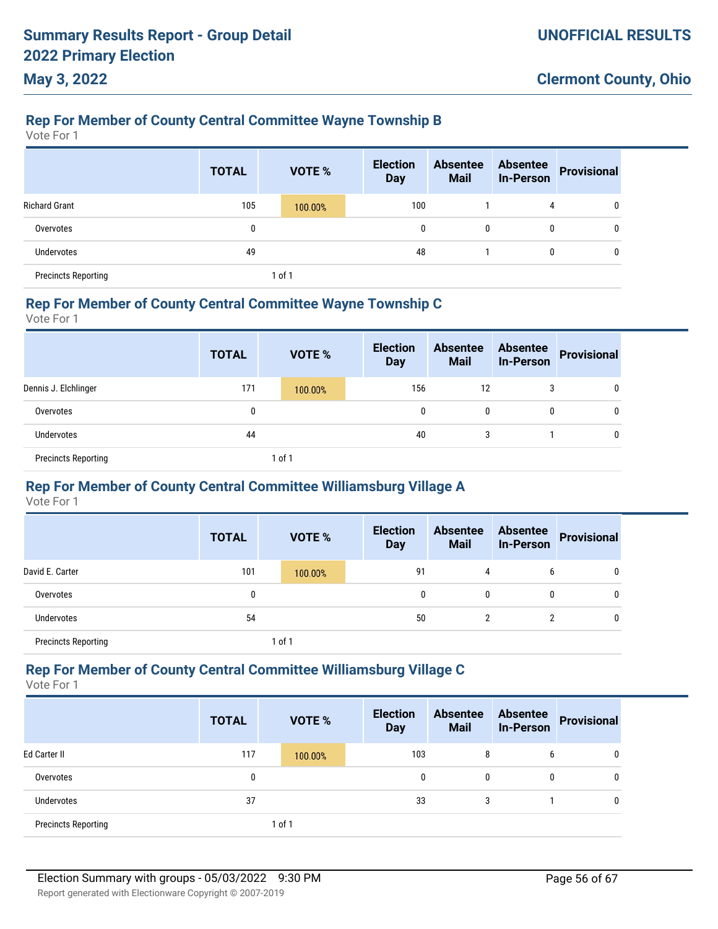# **Rep For Member of County Central Committee Wayne Township B**

Vote For 1

**May 3, 2022**

|                            | <b>TOTAL</b> | VOTE %  | <b>Election</b><br><b>Day</b> | <b>Absentee</b><br><b>Mail</b> | <b>Absentee</b><br><b>In-Person</b> | <b>Provisional</b> |
|----------------------------|--------------|---------|-------------------------------|--------------------------------|-------------------------------------|--------------------|
| <b>Richard Grant</b>       | 105          | 100.00% | 100                           |                                | 4                                   | 0                  |
| Overvotes                  | 0            |         | 0                             | 0                              | 0                                   | 0                  |
| <b>Undervotes</b>          | 49           |         | 48                            |                                |                                     | 0                  |
| <b>Precincts Reporting</b> |              | 1 of 1  |                               |                                |                                     |                    |

#### **Rep For Member of County Central Committee Wayne Township C**

Vote For 1

|                            | <b>TOTAL</b> | <b>VOTE %</b> | <b>Election</b><br><b>Day</b> | <b>Absentee</b><br><b>Mail</b> | <b>Absentee</b><br><b>In-Person</b> | Provisional |
|----------------------------|--------------|---------------|-------------------------------|--------------------------------|-------------------------------------|-------------|
| Dennis J. Elchlinger       | 171          | 100.00%       | 156                           | 12                             |                                     | 0           |
| Overvotes                  | 0            |               |                               | 0<br>0                         | 0                                   | 0           |
| <b>Undervotes</b>          | 44           |               |                               | 40<br>3                        |                                     | 0           |
| <b>Precincts Reporting</b> |              | 1 of 1        |                               |                                |                                     |             |

### **Rep For Member of County Central Committee Williamsburg Village A**

Vote For 1

|                            | <b>TOTAL</b> |            | <b>VOTE %</b> | <b>Election</b><br><b>Day</b> | <b>Absentee</b><br><b>Mail</b> | <b>Absentee</b><br><b>In-Person</b> | <b>Provisional</b> |
|----------------------------|--------------|------------|---------------|-------------------------------|--------------------------------|-------------------------------------|--------------------|
| David E. Carter            | 101          |            | 100.00%       | 91                            | 4                              | b                                   | 0                  |
| Overvotes                  | 0            |            |               | 0                             | 0                              | $\mathbf{0}$                        | 0                  |
| <b>Undervotes</b>          | 54           |            |               | 50                            | $\overline{2}$                 | <sup>2</sup>                        | 0                  |
| <b>Precincts Reporting</b> |              | $1$ of $1$ |               |                               |                                |                                     |                    |

#### **Rep For Member of County Central Committee Williamsburg Village C**

|                            | <b>TOTAL</b> | <b>VOTE %</b> | <b>Election</b><br><b>Day</b> | <b>Absentee</b><br><b>Mail</b> | <b>Absentee</b><br><b>In-Person</b> | <b>Provisional</b> |
|----------------------------|--------------|---------------|-------------------------------|--------------------------------|-------------------------------------|--------------------|
| Ed Carter II               | 117          | 100.00%       | 103                           | 8                              | b                                   | 0                  |
| Overvotes                  | 0            |               | 0                             | 0                              | 0                                   | 0                  |
| Undervotes                 | 37           |               | 33                            | 3                              |                                     | 0                  |
| <b>Precincts Reporting</b> |              | $ $ of 1      |                               |                                |                                     |                    |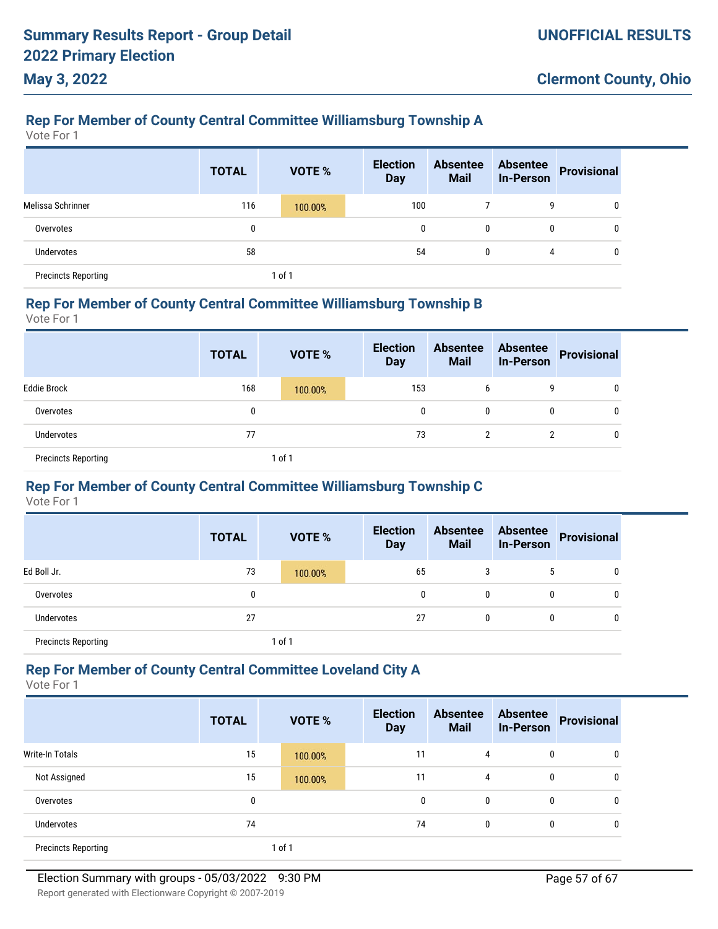### **Rep For Member of County Central Committee Williamsburg Township A**

Vote For 1

**May 3, 2022**

|                            | <b>TOTAL</b> |        | <b>VOTE %</b> | <b>Election</b><br><b>Day</b> | <b>Absentee</b><br><b>Mail</b> | <b>Absentee</b><br><b>In-Person</b> | <b>Provisional</b> |
|----------------------------|--------------|--------|---------------|-------------------------------|--------------------------------|-------------------------------------|--------------------|
| Melissa Schrinner          | 116          |        | 100.00%       | 100                           |                                | 9                                   |                    |
| Overvotes                  | 0            |        |               | 0                             | 0                              | 0                                   |                    |
| Undervotes                 | 58           |        |               | 54                            | $\mathbf{0}$                   | 4                                   |                    |
| <b>Precincts Reporting</b> |              | 1 of 1 |               |                               |                                |                                     |                    |

#### **Rep For Member of County Central Committee Williamsburg Township B**

Vote For 1

|                            | <b>TOTAL</b> | <b>VOTE %</b> | <b>Election</b><br><b>Day</b> | <b>Absentee</b><br><b>Mail</b> | <b>Absentee</b><br><b>In-Person</b> | Provisional |
|----------------------------|--------------|---------------|-------------------------------|--------------------------------|-------------------------------------|-------------|
| <b>Eddie Brock</b>         | 168          | 100.00%       | 153                           | b                              | g                                   | 0           |
| Overvotes                  | 0            |               | 0                             | 0                              |                                     | 0           |
| Undervotes                 | 77           |               | 73                            | 2                              |                                     | 0           |
| <b>Precincts Reporting</b> |              | 1 of 1        |                               |                                |                                     |             |

### **Rep For Member of County Central Committee Williamsburg Township C**

Vote For 1

|                            | <b>TOTAL</b> | <b>VOTE %</b> | <b>Election</b><br><b>Day</b> | <b>Absentee</b><br><b>Mail</b> | <b>Absentee</b><br><b>In-Person</b> | <b>Provisional</b> |
|----------------------------|--------------|---------------|-------------------------------|--------------------------------|-------------------------------------|--------------------|
| Ed Boll Jr.                | 73           | 100.00%       | 65                            | 3                              | 5                                   | 0                  |
| Overvotes                  | 0            |               | 0                             | $\mathbf{0}$                   | 0                                   | 0                  |
| <b>Undervotes</b>          | 27           |               | 27                            | $\mathbf{0}$                   | 0                                   | 0                  |
| <b>Precincts Reporting</b> |              | 1 of 1        |                               |                                |                                     |                    |

### **Rep For Member of County Central Committee Loveland City A**

|                            | <b>TOTAL</b> | VOTE %  | <b>Election</b><br><b>Day</b> | <b>Absentee</b><br><b>Mail</b> | <b>Absentee</b><br><b>In-Person</b> | <b>Provisional</b> |
|----------------------------|--------------|---------|-------------------------------|--------------------------------|-------------------------------------|--------------------|
| <b>Write-In Totals</b>     | 15           | 100.00% | 11                            | 4                              | 0                                   | 0                  |
| Not Assigned               | 15           | 100.00% | 11                            | 4                              | 0                                   | 0                  |
| Overvotes                  | 0            |         | 0                             | 0                              | 0                                   | 0                  |
| Undervotes                 | 74           |         | 74                            | 0                              | 0                                   | 0                  |
| <b>Precincts Reporting</b> |              | 1 of 1  |                               |                                |                                     |                    |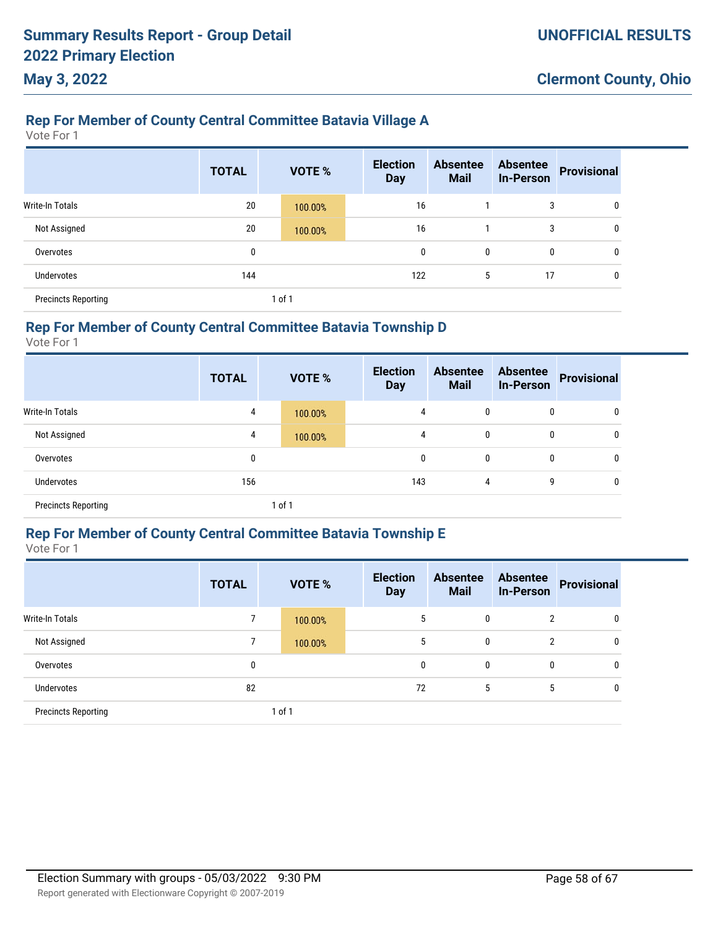### **Rep For Member of County Central Committee Batavia Village A**

Vote For 1

|                            | <b>TOTAL</b> | <b>VOTE %</b> | <b>Election</b><br><b>Day</b> | <b>Absentee</b><br><b>Mail</b> | <b>Absentee</b><br><b>In-Person</b> | <b>Provisional</b> |
|----------------------------|--------------|---------------|-------------------------------|--------------------------------|-------------------------------------|--------------------|
| Write-In Totals            | 20           | 100.00%       | 16                            |                                | 3                                   | 0                  |
| Not Assigned               | 20           | 100.00%       | 16                            |                                | 3                                   | 0                  |
| Overvotes                  | 0            |               | 0                             | 0                              | 0                                   | 0                  |
| <b>Undervotes</b>          | 144          |               | 122                           | 5                              | 17                                  | 0                  |
| <b>Precincts Reporting</b> |              | 1 of 1        |                               |                                |                                     |                    |

#### **Rep For Member of County Central Committee Batavia Township D**

Vote For 1

|                            | <b>TOTAL</b> |        | <b>VOTE %</b> | <b>Election</b><br><b>Day</b> | <b>Absentee</b><br><b>Mail</b> | <b>Absentee</b><br><b>In-Person</b> | <b>Provisional</b> |
|----------------------------|--------------|--------|---------------|-------------------------------|--------------------------------|-------------------------------------|--------------------|
| Write-In Totals            | 4            |        | 100.00%       | 4                             | 0                              | 0                                   | 0                  |
| Not Assigned               | 4            |        | 100.00%       | 4                             | 0                              | 0                                   | 0                  |
| Overvotes                  | 0            |        |               | 0                             | 0                              | 0                                   | 0                  |
| <b>Undervotes</b>          | 156          |        |               | 143                           | 4                              | 9                                   | 0                  |
| <b>Precincts Reporting</b> |              | 1 of 1 |               |                               |                                |                                     |                    |

### **Rep For Member of County Central Committee Batavia Township E**

Vote For 1

|                            | <b>TOTAL</b> | <b>VOTE %</b> | <b>Election</b><br><b>Day</b> | <b>Absentee</b><br><b>Mail</b> | <b>Absentee</b><br><b>In-Person</b> | <b>Provisional</b> |
|----------------------------|--------------|---------------|-------------------------------|--------------------------------|-------------------------------------|--------------------|
| Write-In Totals            | 7            | 100.00%       | 5                             | 0                              | 2                                   | 0                  |
| Not Assigned               | 7            | 100.00%       | 5                             | 0                              | $\overline{2}$                      | 0                  |
| Overvotes                  | 0            |               | 0                             | 0                              | 0                                   | 0                  |
| Undervotes                 | 82           |               | 72                            | 5                              | 5                                   | 0                  |
| <b>Precincts Reporting</b> |              | 1 of 1        |                               |                                |                                     |                    |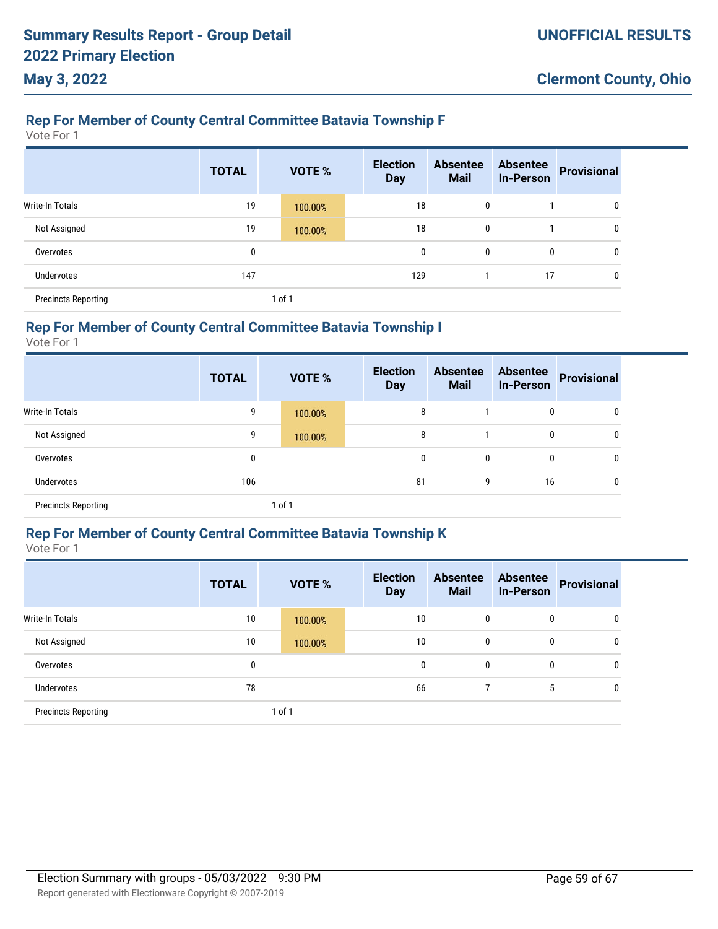### **Rep For Member of County Central Committee Batavia Township F**

Vote For 1

|                            | <b>TOTAL</b> | <b>VOTE %</b> | <b>Election</b><br><b>Day</b> | <b>Absentee</b><br><b>Mail</b> | <b>Absentee</b><br><b>In-Person</b> | <b>Provisional</b> |
|----------------------------|--------------|---------------|-------------------------------|--------------------------------|-------------------------------------|--------------------|
| <b>Write-In Totals</b>     | 19           | 100.00%       | 18                            | 0                              |                                     | 0                  |
| Not Assigned               | 19           | 100.00%       | 18                            | 0                              |                                     | 0                  |
| Overvotes                  | 0            |               | 0                             | 0                              | 0                                   | 0                  |
| <b>Undervotes</b>          | 147          |               | 129                           |                                | 17                                  | 0                  |
| <b>Precincts Reporting</b> |              | of 1          |                               |                                |                                     |                    |

### **Rep For Member of County Central Committee Batavia Township I**

Vote For 1

|                            | <b>TOTAL</b> |        | <b>VOTE %</b> | <b>Election</b><br><b>Day</b> | <b>Absentee</b><br><b>Mail</b> | <b>Absentee</b><br><b>In-Person</b> | <b>Provisional</b> |
|----------------------------|--------------|--------|---------------|-------------------------------|--------------------------------|-------------------------------------|--------------------|
| <b>Write-In Totals</b>     | 9            |        | 100.00%       | 8                             |                                | 0                                   | 0                  |
| Not Assigned               | 9            |        | 100.00%       | 8                             |                                | 0                                   | 0                  |
| Overvotes                  | 0            |        |               | 0                             | 0                              | 0                                   | 0                  |
| <b>Undervotes</b>          | 106          |        |               | 81                            | 9                              | 16                                  | 0                  |
| <b>Precincts Reporting</b> |              | 1 of 1 |               |                               |                                |                                     |                    |

### **Rep For Member of County Central Committee Batavia Township K**

Vote For 1

|                            | <b>TOTAL</b> |        | <b>VOTE %</b> | <b>Election</b><br><b>Day</b> |    | <b>Absentee</b><br><b>Mail</b> | <b>Absentee</b><br><b>In-Person</b> | <b>Provisional</b> |
|----------------------------|--------------|--------|---------------|-------------------------------|----|--------------------------------|-------------------------------------|--------------------|
| <b>Write-In Totals</b>     | 10           |        | 100.00%       |                               | 10 | 0                              | 0                                   | 0                  |
| Not Assigned               | 10           |        | 100.00%       |                               | 10 | 0                              | 0                                   | 0                  |
| Overvotes                  | 0            |        |               |                               | 0  | 0                              | 0                                   | 0                  |
| Undervotes                 | 78           |        |               |                               | 66 |                                | 5                                   | 0                  |
| <b>Precincts Reporting</b> |              | 1 of 1 |               |                               |    |                                |                                     |                    |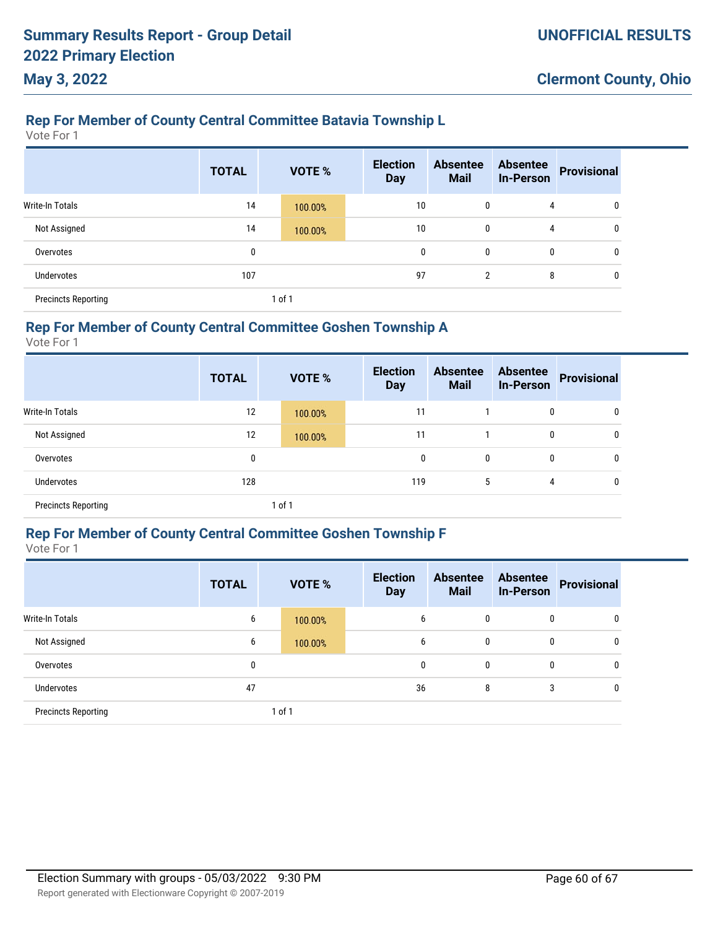### **Rep For Member of County Central Committee Batavia Township L**

Vote For 1

|                            | <b>TOTAL</b> |        | <b>VOTE %</b> | <b>Election</b><br><b>Day</b> | <b>Absentee</b><br><b>Mail</b> | <b>Absentee</b><br><b>In-Person</b> | <b>Provisional</b> |
|----------------------------|--------------|--------|---------------|-------------------------------|--------------------------------|-------------------------------------|--------------------|
| Write-In Totals            | 14           |        | 100.00%       | 10                            | $\mathbf{0}$                   | 4                                   | 0                  |
| Not Assigned               | 14           |        | 100.00%       | 10                            | $\mathbf{0}$                   | 4                                   | 0                  |
| Overvotes                  | 0            |        |               | 0                             | $\mathbf{0}$                   | 0                                   | 0                  |
| <b>Undervotes</b>          | 107          |        |               | 97                            | 2                              | 8                                   | $\mathbf{0}$       |
| <b>Precincts Reporting</b> |              | 1 of 1 |               |                               |                                |                                     |                    |

### **Rep For Member of County Central Committee Goshen Township A**

Vote For 1

|                            | <b>TOTAL</b> |      | <b>VOTE %</b> | <b>Election</b><br><b>Day</b> | <b>Absentee</b><br><b>Mail</b> | <b>Absentee</b><br><b>In-Person</b> | <b>Provisional</b> |
|----------------------------|--------------|------|---------------|-------------------------------|--------------------------------|-------------------------------------|--------------------|
| Write-In Totals            | 12           |      | 100.00%       | 11                            |                                | 0                                   | 0                  |
| Not Assigned               | 12           |      | 100.00%       | 11                            |                                | 0                                   | 0                  |
| Overvotes                  | 0            |      |               | 0                             | 0                              | 0                                   | $\mathbf{0}$       |
| Undervotes                 | 128          |      |               | 119                           | 5                              | 4                                   | $\mathbf{0}$       |
| <b>Precincts Reporting</b> |              | of 1 |               |                               |                                |                                     |                    |

### **Rep For Member of County Central Committee Goshen Township F**

Vote For 1

|                            | <b>TOTAL</b> | <b>VOTE %</b> | <b>Election</b><br><b>Day</b> | <b>Absentee</b><br><b>Mail</b> | <b>Absentee</b><br><b>In-Person</b> | <b>Provisional</b> |
|----------------------------|--------------|---------------|-------------------------------|--------------------------------|-------------------------------------|--------------------|
| Write-In Totals            | 6            | 100.00%       | 6                             | 0                              | 0                                   | 0                  |
| Not Assigned               | 6            | 100.00%       | 6                             | 0                              | 0                                   | 0                  |
| Overvotes                  | 0            |               | 0                             | 0                              | 0                                   | 0                  |
| Undervotes                 | 47           |               | 36                            | 8                              | 3                                   | 0                  |
| <b>Precincts Reporting</b> |              | 1 of 1        |                               |                                |                                     |                    |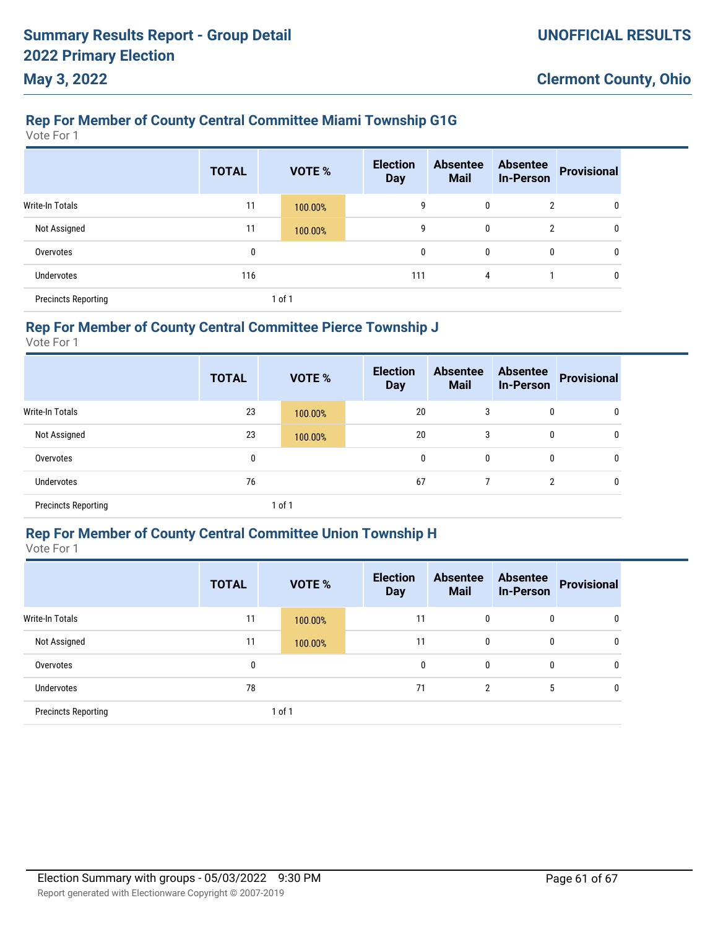### **Rep For Member of County Central Committee Miami Township G1G**

Vote For 1

|                            | <b>TOTAL</b> |        | VOTE %  | <b>Election</b><br><b>Day</b> | <b>Absentee</b><br><b>Mail</b> | <b>Absentee</b><br><b>In-Person</b> | <b>Provisional</b> |
|----------------------------|--------------|--------|---------|-------------------------------|--------------------------------|-------------------------------------|--------------------|
| Write-In Totals            | 11           |        | 100.00% | 9                             | 0                              | $\overline{2}$                      | 0                  |
| Not Assigned               | 11           |        | 100.00% | 9                             | 0                              | $\overline{2}$                      | 0                  |
| Overvotes                  | 0            |        |         | 0                             | 0                              | 0                                   | 0                  |
| <b>Undervotes</b>          | 116          |        |         | 111                           | 4                              |                                     | 0                  |
| <b>Precincts Reporting</b> |              | 1 of 1 |         |                               |                                |                                     |                    |

### **Rep For Member of County Central Committee Pierce Township J**

Vote For 1

|                            | <b>TOTAL</b> |        | <b>VOTE %</b> | <b>Election</b><br><b>Day</b> | <b>Absentee</b><br><b>Mail</b> | <b>Absentee</b><br><b>In-Person</b> | <b>Provisional</b> |
|----------------------------|--------------|--------|---------------|-------------------------------|--------------------------------|-------------------------------------|--------------------|
| Write-In Totals            | 23           |        | 100.00%       | 20                            | 3                              | 0                                   | 0                  |
| Not Assigned               | 23           |        | 100.00%       | 20                            | 3                              | 0                                   | 0                  |
| Overvotes                  | 0            |        |               | 0                             | 0                              | 0                                   | 0                  |
| Undervotes                 | 76           |        |               | 67                            |                                | 2                                   | 0                  |
| <b>Precincts Reporting</b> |              | 1 of 1 |               |                               |                                |                                     |                    |

### **Rep For Member of County Central Committee Union Township H**

Vote For 1

|                            | <b>TOTAL</b> | <b>VOTE %</b> | <b>Election</b><br><b>Day</b> | <b>Absentee</b><br><b>Mail</b> | <b>Absentee</b><br><b>In-Person</b> | <b>Provisional</b> |
|----------------------------|--------------|---------------|-------------------------------|--------------------------------|-------------------------------------|--------------------|
| <b>Write-In Totals</b>     | 11           | 100.00%       | 11                            | 0                              | 0                                   | 0                  |
| Not Assigned               | 11           | 100.00%       | 11                            | 0                              | 0                                   | 0                  |
| Overvotes                  | 0            |               | 0                             | $\mathbf{0}$                   | 0                                   | 0                  |
| <b>Undervotes</b>          | 78           |               | 71                            | $\overline{2}$                 | 5                                   | 0                  |
| <b>Precincts Reporting</b> |              | 1 of 1        |                               |                                |                                     |                    |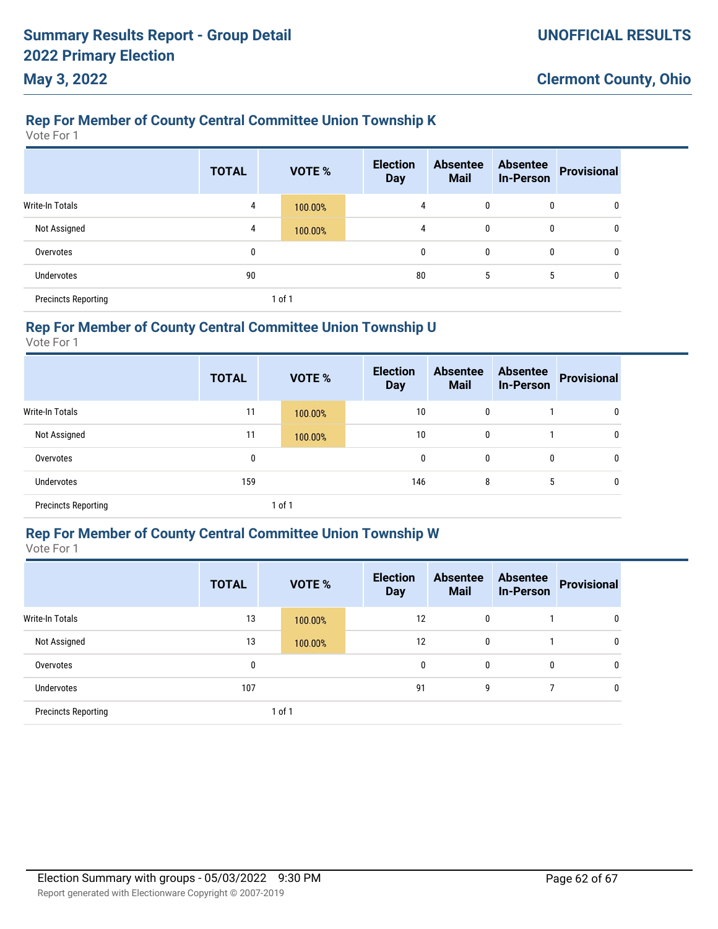### **Rep For Member of County Central Committee Union Township K**

Vote For 1

|                            | <b>TOTAL</b> | VOTE %  | <b>Election</b><br><b>Day</b> | <b>Absentee</b><br><b>Mail</b> | <b>Absentee</b><br><b>In-Person</b> | <b>Provisional</b> |
|----------------------------|--------------|---------|-------------------------------|--------------------------------|-------------------------------------|--------------------|
| Write-In Totals            | 4            | 100.00% | 4                             | $\mathbf{0}$                   | 0                                   | 0                  |
| Not Assigned               | 4            | 100.00% | 4                             | $\mathbf{0}$                   | 0                                   | $\mathbf{0}$       |
| Overvotes                  | 0            |         | $\mathbf{0}$                  | $\mathbf{0}$                   | 0                                   | 0                  |
| <b>Undervotes</b>          | 90           |         | 80                            | 5                              | 5                                   | $\mathbf{0}$       |
| <b>Precincts Reporting</b> |              | 1 of 1  |                               |                                |                                     |                    |

### **Rep For Member of County Central Committee Union Township U**

Vote For 1

|                            | <b>TOTAL</b> |        | <b>VOTE %</b> | <b>Election</b><br><b>Day</b> | <b>Absentee</b><br><b>Mail</b> | <b>Absentee</b><br><b>In-Person</b> | <b>Provisional</b> |
|----------------------------|--------------|--------|---------------|-------------------------------|--------------------------------|-------------------------------------|--------------------|
| Write-In Totals            | 11           |        | 100.00%       | 10                            | 0                              |                                     | 0                  |
| Not Assigned               | 11           |        | 100.00%       | 10                            | 0                              |                                     | 0                  |
| Overvotes                  | 0            |        |               | 0                             | 0                              | 0                                   | 0                  |
| Undervotes                 | 159          |        |               | 146                           | 8                              | 5                                   | 0                  |
| <b>Precincts Reporting</b> |              | 1 of 1 |               |                               |                                |                                     |                    |

### **Rep For Member of County Central Committee Union Township W**

Vote For 1

|                            | <b>TOTAL</b> |        | <b>VOTE %</b> | <b>Election</b><br><b>Day</b> | <b>Absentee</b><br><b>Mail</b> | <b>Absentee</b><br><b>In-Person</b> | <b>Provisional</b> |
|----------------------------|--------------|--------|---------------|-------------------------------|--------------------------------|-------------------------------------|--------------------|
| <b>Write-In Totals</b>     | 13           |        | 100.00%       | 12                            | 0                              |                                     | 0                  |
| Not Assigned               | 13           |        | 100.00%       | 12                            | 0                              |                                     | 0                  |
| Overvotes                  | 0            |        |               | 0                             | 0                              | 0                                   | 0                  |
| Undervotes                 | 107          |        |               | 91                            | 9                              | 7                                   | 0                  |
| <b>Precincts Reporting</b> |              | 1 of 1 |               |                               |                                |                                     |                    |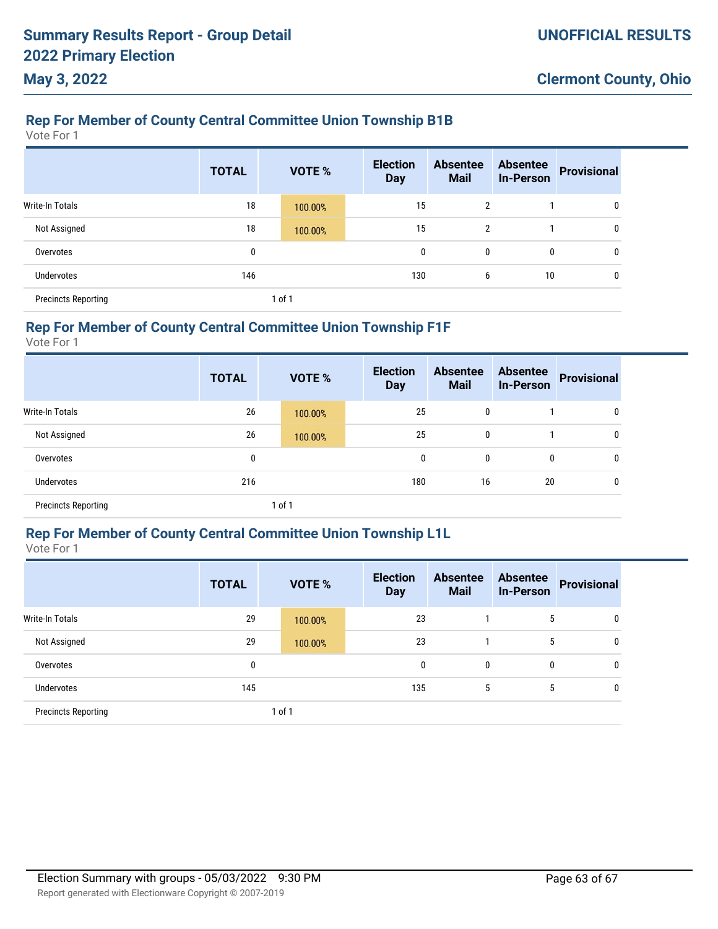### **Rep For Member of County Central Committee Union Township B1B**

Vote For 1

|                            | <b>TOTAL</b> | VOTE %  | <b>Election</b><br><b>Day</b> | <b>Absentee</b><br><b>Mail</b> | <b>Absentee</b><br><b>In-Person</b> | <b>Provisional</b> |
|----------------------------|--------------|---------|-------------------------------|--------------------------------|-------------------------------------|--------------------|
| Write-In Totals            | 18           | 100.00% | 15                            | 2                              |                                     | 0                  |
| Not Assigned               | 18           | 100.00% | 15                            | 2                              |                                     | 0                  |
| Overvotes                  | 0            |         | 0                             | 0                              | 0                                   | $\mathbf 0$        |
| Undervotes                 | 146          |         | 130                           | 6                              | 10                                  | 0                  |
| <b>Precincts Reporting</b> |              | 1 of 1  |                               |                                |                                     |                    |

### **Rep For Member of County Central Committee Union Township F1F**

Vote For 1

|                            | <b>TOTAL</b> |        | <b>VOTE %</b> | <b>Election</b><br><b>Day</b> | <b>Absentee</b><br><b>Mail</b> | <b>Absentee</b><br><b>In-Person</b> | <b>Provisional</b> |
|----------------------------|--------------|--------|---------------|-------------------------------|--------------------------------|-------------------------------------|--------------------|
| Write-In Totals            | 26           |        | 100.00%       | 25                            | 0                              |                                     | 0                  |
| Not Assigned               | 26           |        | 100.00%       | 25                            | 0                              |                                     | 0                  |
| Overvotes                  | 0            |        |               | 0                             | 0                              | $\mathbf{0}$                        | 0                  |
| Undervotes                 | 216          |        |               | 180                           | 16                             | 20                                  | 0                  |
| <b>Precincts Reporting</b> |              | 1 of 1 |               |                               |                                |                                     |                    |

### **Rep For Member of County Central Committee Union Township L1L**

Vote For 1

|                            | <b>TOTAL</b> |        | <b>VOTE %</b> | <b>Election</b><br><b>Day</b> | <b>Absentee</b><br><b>Mail</b> | <b>Absentee</b><br><b>In-Person</b> | <b>Provisional</b> |
|----------------------------|--------------|--------|---------------|-------------------------------|--------------------------------|-------------------------------------|--------------------|
| <b>Write-In Totals</b>     | 29           |        | 100.00%       | 23                            |                                | 5                                   | 0                  |
| Not Assigned               | 29           |        | 100.00%       | 23                            |                                | 5                                   | 0                  |
| Overvotes                  | 0            |        |               | 0                             | 0                              | 0                                   | 0                  |
| Undervotes                 | 145          |        |               | 135                           | 5                              | 5                                   | 0                  |
| <b>Precincts Reporting</b> |              | 1 of 1 |               |                               |                                |                                     |                    |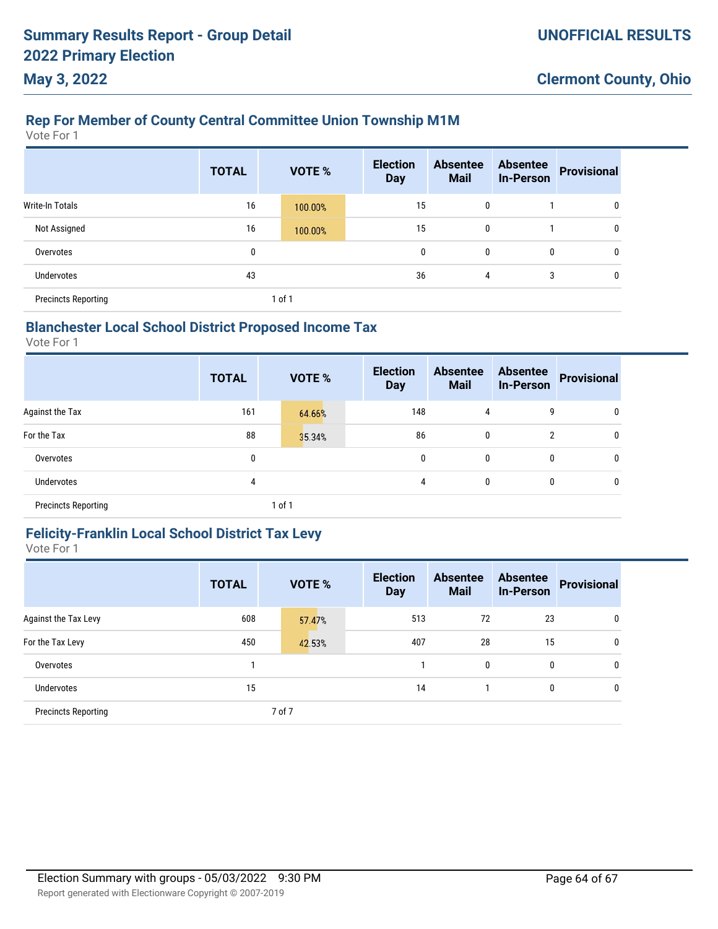### **Rep For Member of County Central Committee Union Township M1M**

Vote For 1

|                            | <b>TOTAL</b> |        | <b>VOTE %</b> | <b>Election</b><br><b>Day</b> | <b>Absentee</b><br><b>Mail</b> | <b>Absentee</b><br><b>In-Person</b> | <b>Provisional</b> |
|----------------------------|--------------|--------|---------------|-------------------------------|--------------------------------|-------------------------------------|--------------------|
| <b>Write-In Totals</b>     | 16           |        | 100.00%       | 15                            | 0                              |                                     | 0                  |
| Not Assigned               | 16           |        | 100.00%       | 15                            | 0                              |                                     | 0                  |
| Overvotes                  | 0            |        |               | 0                             | 0                              | 0                                   | 0                  |
| Undervotes                 | 43           |        |               | 36                            | 4                              | 3                                   | $\mathbf{0}$       |
| <b>Precincts Reporting</b> |              | 1 of 1 |               |                               |                                |                                     |                    |

### **Blanchester Local School District Proposed Income Tax**

Vote For 1

|                            | <b>TOTAL</b> | <b>VOTE %</b> | <b>Election</b><br><b>Day</b> | <b>Absentee</b><br><b>Mail</b> | <b>Absentee</b><br><b>In-Person</b> | <b>Provisional</b> |
|----------------------------|--------------|---------------|-------------------------------|--------------------------------|-------------------------------------|--------------------|
| Against the Tax            | 161          | 64.66%        | 148                           | 4                              | 9                                   | 0                  |
| For the Tax                | 88           | 35.34%        | 86                            | 0                              | 2                                   | 0                  |
| Overvotes                  | 0            |               | 0                             | 0                              | 0                                   | 0                  |
| Undervotes                 | 4            |               | 4                             | 0                              | 0                                   | 0                  |
| <b>Precincts Reporting</b> |              | 1 of 1        |                               |                                |                                     |                    |

#### **Felicity-Franklin Local School District Tax Levy** Vote For 1

|                            | <b>TOTAL</b> | <b>VOTE %</b> | <b>Election</b><br><b>Day</b> | <b>Absentee</b><br><b>Mail</b> | <b>Absentee</b><br><b>In-Person</b> | <b>Provisional</b> |
|----------------------------|--------------|---------------|-------------------------------|--------------------------------|-------------------------------------|--------------------|
| Against the Tax Levy       | 608          | 57.47%        | 513                           | 72                             | 23                                  | 0                  |
| For the Tax Levy           | 450          | 42.53%        | 407                           | 28                             | 15                                  | 0                  |
| Overvotes                  |              |               |                               | 0                              | 0                                   | $\mathbf{0}$       |
| <b>Undervotes</b>          | 15           |               | 14                            |                                | 0                                   | 0                  |
| <b>Precincts Reporting</b> |              | 7 of 7        |                               |                                |                                     |                    |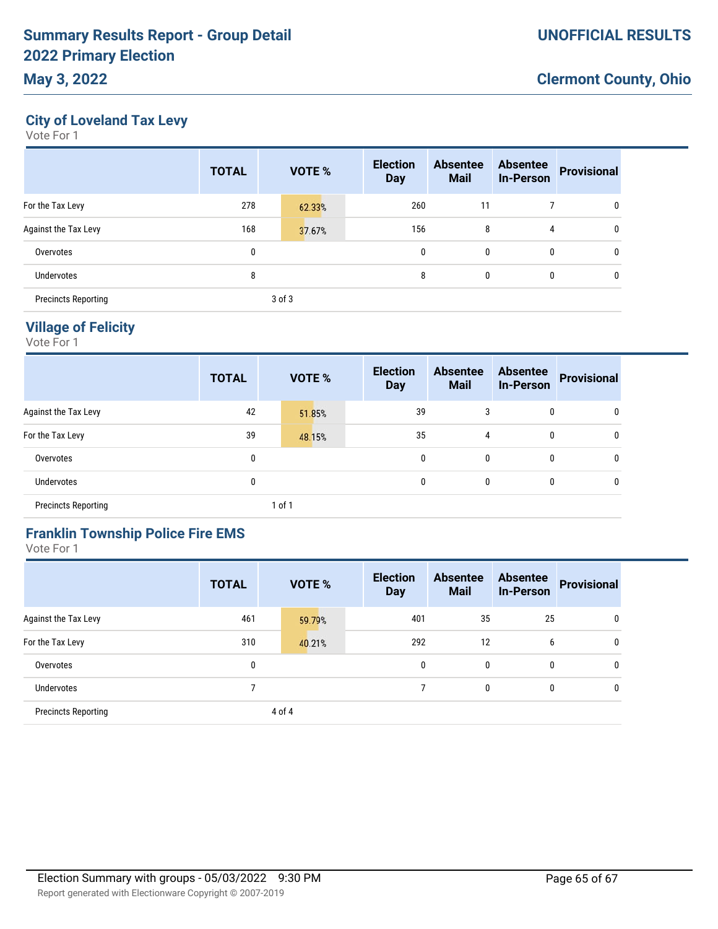### **May 3, 2022**

**City of Loveland Tax Levy**

Vote For 1

|                            | <b>TOTAL</b> | <b>VOTE %</b> | <b>Election</b><br><b>Day</b> | <b>Absentee</b><br><b>Mail</b> | <b>Absentee</b><br><b>In-Person</b> | <b>Provisional</b> |
|----------------------------|--------------|---------------|-------------------------------|--------------------------------|-------------------------------------|--------------------|
| For the Tax Levy           | 278          | 62.33%        | 260                           | 11                             |                                     | 0                  |
| Against the Tax Levy       | 168          | 37.67%        | 156                           | 8                              | 4                                   | 0                  |
| Overvotes                  | 0            |               | 0                             | 0                              | 0                                   | 0                  |
| Undervotes                 | 8            |               | 8                             | 0                              | 0                                   | 0                  |
| <b>Precincts Reporting</b> |              | 3 of 3        |                               |                                |                                     |                    |

### **Village of Felicity**

Vote For 1

|                            | <b>TOTAL</b> | <b>VOTE %</b> | <b>Election</b><br><b>Day</b> | <b>Absentee</b><br><b>Mail</b> | <b>Absentee</b><br><b>In-Person</b> | <b>Provisional</b> |
|----------------------------|--------------|---------------|-------------------------------|--------------------------------|-------------------------------------|--------------------|
| Against the Tax Levy       | 42           | 51.85%        | 39                            | 3                              | 0                                   | 0                  |
| For the Tax Levy           | 39           | 48.15%        | 35                            | 4                              | 0                                   | 0                  |
| Overvotes                  | 0            |               | 0                             | 0                              | 0                                   | 0                  |
| Undervotes                 | 0            |               | 0                             | 0                              | 0                                   | 0                  |
| <b>Precincts Reporting</b> |              | $1$ of $1$    |                               |                                |                                     |                    |

### **Franklin Township Police Fire EMS**

|                            | <b>TOTAL</b> | <b>VOTE %</b> | <b>Election</b><br><b>Day</b> | <b>Absentee</b><br><b>Mail</b> | <b>Absentee</b><br><b>In-Person</b> | <b>Provisional</b> |
|----------------------------|--------------|---------------|-------------------------------|--------------------------------|-------------------------------------|--------------------|
| Against the Tax Levy       | 461          | 59.79%        | 401                           | 35                             | 25                                  | 0                  |
| For the Tax Levy           | 310          | 40.21%        | 292                           | 12                             | 6                                   | 0                  |
| Overvotes                  | 0            |               | 0                             | $\mathbf{0}$                   | 0                                   | 0                  |
| Undervotes                 |              |               |                               | 0                              | 0                                   | 0                  |
| <b>Precincts Reporting</b> |              | 4 of 4        |                               |                                |                                     |                    |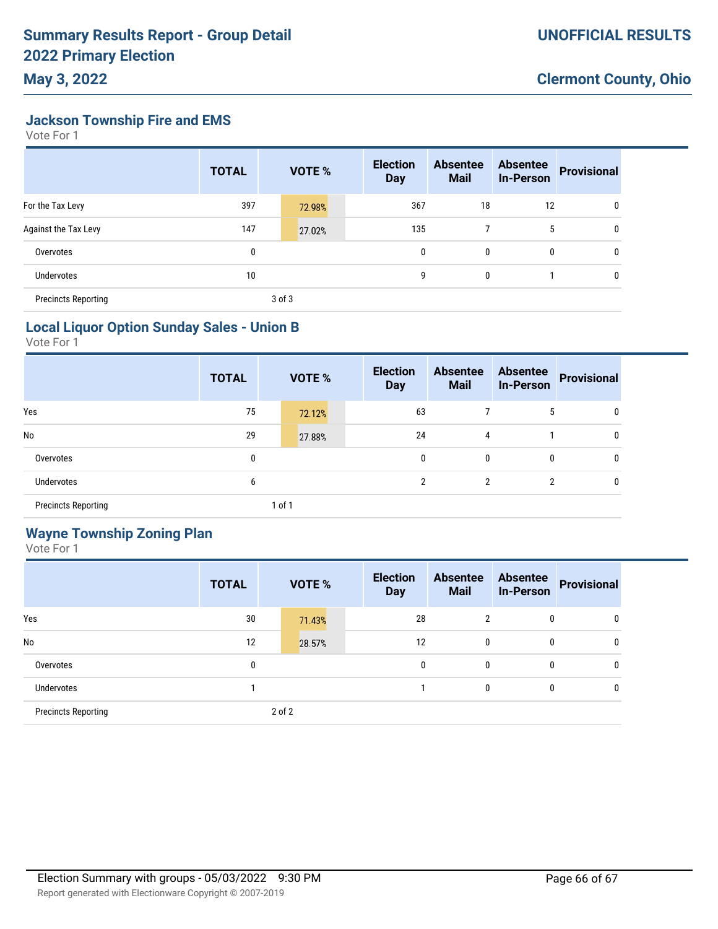**Jackson Township Fire and EMS**

Vote For 1

**May 3, 2022**

|                            | <b>TOTAL</b> |        | <b>VOTE %</b> | <b>Election</b><br><b>Day</b> | <b>Absentee</b><br><b>Mail</b> | <b>Absentee</b><br><b>In-Person</b> | <b>Provisional</b> |
|----------------------------|--------------|--------|---------------|-------------------------------|--------------------------------|-------------------------------------|--------------------|
| For the Tax Levy           | 397          |        | 72.98%        | 367                           | 18                             | 12                                  | 0                  |
| Against the Tax Levy       | 147          |        | 27.02%        | 135                           | 7                              | 5                                   | 0                  |
| Overvotes                  | 0            |        |               | 0                             | 0                              | 0                                   | 0                  |
| Undervotes                 | 10           |        |               | 9                             | 0                              |                                     | 0                  |
| <b>Precincts Reporting</b> |              | 3 of 3 |               |                               |                                |                                     |                    |

### **Local Liquor Option Sunday Sales - Union B**

Vote For 1

|                            | <b>TOTAL</b> |        | <b>VOTE %</b> | <b>Election</b><br><b>Day</b> | <b>Absentee</b><br><b>Mail</b> | <b>Absentee</b><br><b>In-Person</b> | Provisional |
|----------------------------|--------------|--------|---------------|-------------------------------|--------------------------------|-------------------------------------|-------------|
| Yes                        | 75           |        | 72.12%        | 63                            |                                | 5                                   | 0           |
| No                         | 29           |        | 27.88%        | 24                            | 4                              |                                     | 0           |
| Overvotes                  | 0            |        |               | 0                             | 0                              | $\mathbf{0}$                        | 0           |
| Undervotes                 | 6            |        |               | 2                             | $\overline{2}$                 | 2                                   | 0           |
| <b>Precincts Reporting</b> |              | 1 of 1 |               |                               |                                |                                     |             |

### **Wayne Township Zoning Plan**

|                            | <b>TOTAL</b> | VOTE % | <b>Election</b><br><b>Day</b> | <b>Absentee</b><br><b>Mail</b> | <b>Absentee</b><br><b>In-Person</b> | <b>Provisional</b> |
|----------------------------|--------------|--------|-------------------------------|--------------------------------|-------------------------------------|--------------------|
| Yes                        | 30           | 71.43% | 28                            | $\overline{2}$                 | 0                                   | 0                  |
| No                         | 12           | 28.57% | 12                            | 0                              | 0                                   | 0                  |
| Overvotes                  | 0            |        | 0                             | 0                              | 0                                   | 0                  |
| Undervotes                 |              |        |                               | 0                              | 0                                   | 0                  |
| <b>Precincts Reporting</b> |              | 2 of 2 |                               |                                |                                     |                    |